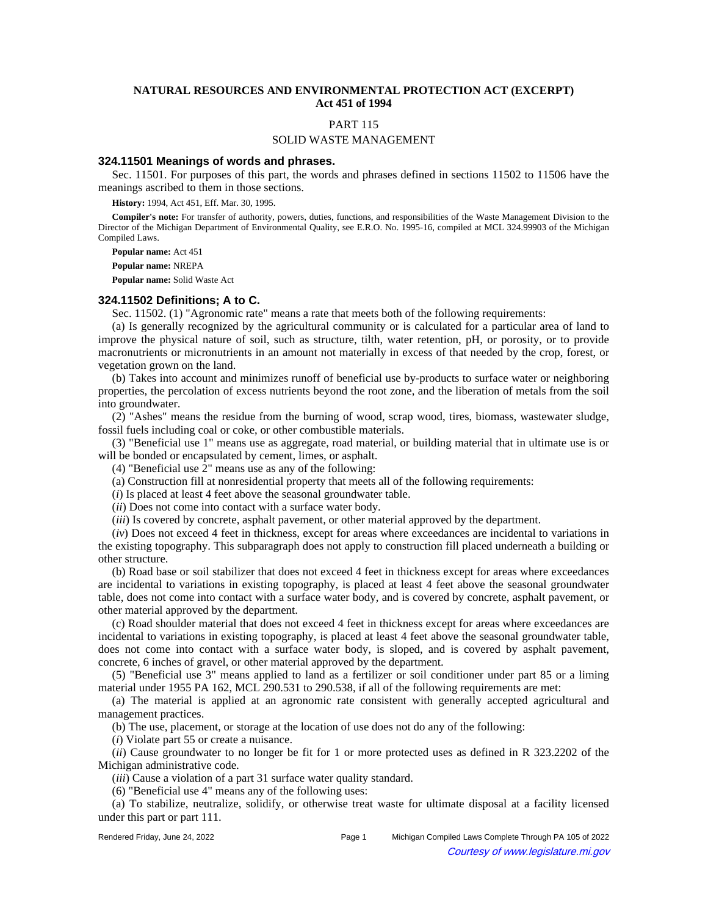# **NATURAL RESOURCES AND ENVIRONMENTAL PROTECTION ACT (EXCERPT) Act 451 of 1994**

# PART 115

#### SOLID WASTE MANAGEMENT

#### **324.11501 Meanings of words and phrases.**

Sec. 11501. For purposes of this part, the words and phrases defined in sections 11502 to 11506 have the meanings ascribed to them in those sections.

**History:** 1994, Act 451, Eff. Mar. 30, 1995.

**Compiler's note:** For transfer of authority, powers, duties, functions, and responsibilities of the Waste Management Division to the Director of the Michigan Department of Environmental Quality, see E.R.O. No. 1995-16, compiled at MCL 324.99903 of the Michigan Compiled Laws.

**Popular name:** Act 451

**Popular name:** NREPA

**Popular name:** Solid Waste Act

## **324.11502 Definitions; A to C.**

Sec. 11502. (1) "Agronomic rate" means a rate that meets both of the following requirements:

(a) Is generally recognized by the agricultural community or is calculated for a particular area of land to improve the physical nature of soil, such as structure, tilth, water retention, pH, or porosity, or to provide macronutrients or micronutrients in an amount not materially in excess of that needed by the crop, forest, or vegetation grown on the land.

(b) Takes into account and minimizes runoff of beneficial use by-products to surface water or neighboring properties, the percolation of excess nutrients beyond the root zone, and the liberation of metals from the soil into groundwater.

(2) "Ashes" means the residue from the burning of wood, scrap wood, tires, biomass, wastewater sludge, fossil fuels including coal or coke, or other combustible materials.

(3) "Beneficial use 1" means use as aggregate, road material, or building material that in ultimate use is or will be bonded or encapsulated by cement, limes, or asphalt.

(4) "Beneficial use 2" means use as any of the following:

(a) Construction fill at nonresidential property that meets all of the following requirements:

(*i*) Is placed at least 4 feet above the seasonal groundwater table.

(*ii*) Does not come into contact with a surface water body.

(*iii*) Is covered by concrete, asphalt pavement, or other material approved by the department.

(*iv*) Does not exceed 4 feet in thickness, except for areas where exceedances are incidental to variations in the existing topography. This subparagraph does not apply to construction fill placed underneath a building or other structure.

(b) Road base or soil stabilizer that does not exceed 4 feet in thickness except for areas where exceedances are incidental to variations in existing topography, is placed at least 4 feet above the seasonal groundwater table, does not come into contact with a surface water body, and is covered by concrete, asphalt pavement, or other material approved by the department.

(c) Road shoulder material that does not exceed 4 feet in thickness except for areas where exceedances are incidental to variations in existing topography, is placed at least 4 feet above the seasonal groundwater table, does not come into contact with a surface water body, is sloped, and is covered by asphalt pavement, concrete, 6 inches of gravel, or other material approved by the department.

(5) "Beneficial use 3" means applied to land as a fertilizer or soil conditioner under part 85 or a liming material under 1955 PA 162, MCL 290.531 to 290.538, if all of the following requirements are met:

(a) The material is applied at an agronomic rate consistent with generally accepted agricultural and management practices.

(b) The use, placement, or storage at the location of use does not do any of the following:

(*i*) Violate part 55 or create a nuisance.

(*ii*) Cause groundwater to no longer be fit for 1 or more protected uses as defined in R 323.2202 of the Michigan administrative code.

(*iii*) Cause a violation of a part 31 surface water quality standard.

(6) "Beneficial use 4" means any of the following uses:

(a) To stabilize, neutralize, solidify, or otherwise treat waste for ultimate disposal at a facility licensed under this part or part 111.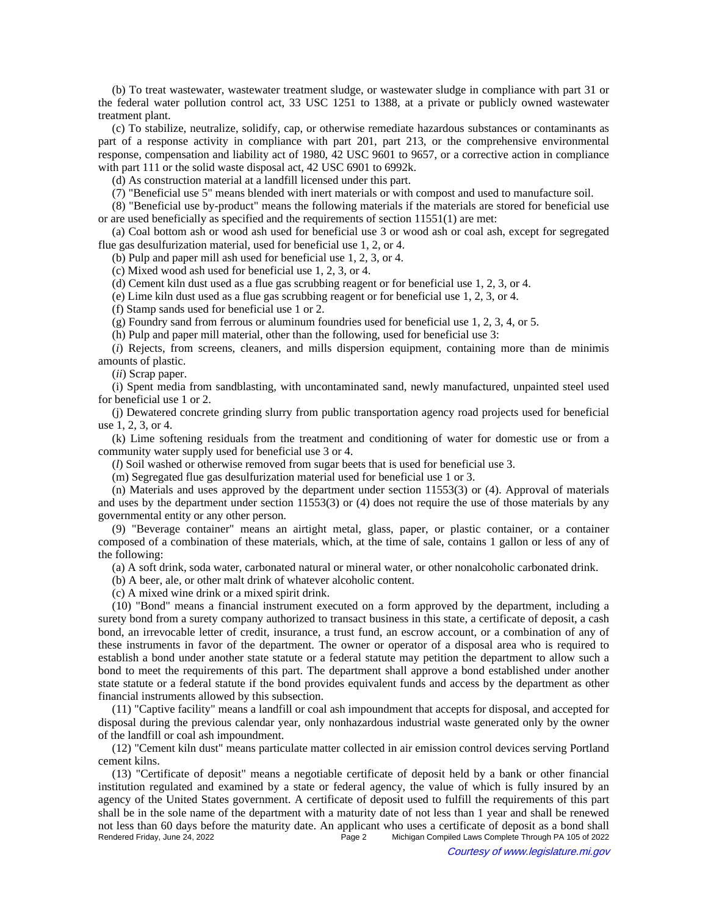(b) To treat wastewater, wastewater treatment sludge, or wastewater sludge in compliance with part 31 or the federal water pollution control act, 33 USC 1251 to 1388, at a private or publicly owned wastewater treatment plant.

(c) To stabilize, neutralize, solidify, cap, or otherwise remediate hazardous substances or contaminants as part of a response activity in compliance with part 201, part 213, or the comprehensive environmental response, compensation and liability act of 1980, 42 USC 9601 to 9657, or a corrective action in compliance with part 111 or the solid waste disposal act, 42 USC 6901 to 6992k.

(d) As construction material at a landfill licensed under this part.

(7) "Beneficial use 5" means blended with inert materials or with compost and used to manufacture soil.

(8) "Beneficial use by-product" means the following materials if the materials are stored for beneficial use or are used beneficially as specified and the requirements of section 11551(1) are met:

(a) Coal bottom ash or wood ash used for beneficial use 3 or wood ash or coal ash, except for segregated flue gas desulfurization material, used for beneficial use 1, 2, or 4.

(b) Pulp and paper mill ash used for beneficial use 1, 2, 3, or 4.

(c) Mixed wood ash used for beneficial use 1, 2, 3, or 4.

(d) Cement kiln dust used as a flue gas scrubbing reagent or for beneficial use 1, 2, 3, or 4.

(e) Lime kiln dust used as a flue gas scrubbing reagent or for beneficial use 1, 2, 3, or 4.

(f) Stamp sands used for beneficial use 1 or 2.

(g) Foundry sand from ferrous or aluminum foundries used for beneficial use 1, 2, 3, 4, or 5.

(h) Pulp and paper mill material, other than the following, used for beneficial use 3:

(*i*) Rejects, from screens, cleaners, and mills dispersion equipment, containing more than de minimis amounts of plastic.

(*ii*) Scrap paper.

(i) Spent media from sandblasting, with uncontaminated sand, newly manufactured, unpainted steel used for beneficial use 1 or 2.

(j) Dewatered concrete grinding slurry from public transportation agency road projects used for beneficial use 1, 2, 3, or 4.

(k) Lime softening residuals from the treatment and conditioning of water for domestic use or from a community water supply used for beneficial use 3 or 4.

(*l*) Soil washed or otherwise removed from sugar beets that is used for beneficial use 3.

(m) Segregated flue gas desulfurization material used for beneficial use 1 or 3.

(n) Materials and uses approved by the department under section 11553(3) or (4). Approval of materials and uses by the department under section 11553(3) or (4) does not require the use of those materials by any governmental entity or any other person.

(9) "Beverage container" means an airtight metal, glass, paper, or plastic container, or a container composed of a combination of these materials, which, at the time of sale, contains 1 gallon or less of any of the following:

(a) A soft drink, soda water, carbonated natural or mineral water, or other nonalcoholic carbonated drink.

(b) A beer, ale, or other malt drink of whatever alcoholic content.

(c) A mixed wine drink or a mixed spirit drink.

(10) "Bond" means a financial instrument executed on a form approved by the department, including a surety bond from a surety company authorized to transact business in this state, a certificate of deposit, a cash bond, an irrevocable letter of credit, insurance, a trust fund, an escrow account, or a combination of any of these instruments in favor of the department. The owner or operator of a disposal area who is required to establish a bond under another state statute or a federal statute may petition the department to allow such a bond to meet the requirements of this part. The department shall approve a bond established under another state statute or a federal statute if the bond provides equivalent funds and access by the department as other financial instruments allowed by this subsection.

(11) "Captive facility" means a landfill or coal ash impoundment that accepts for disposal, and accepted for disposal during the previous calendar year, only nonhazardous industrial waste generated only by the owner of the landfill or coal ash impoundment.

(12) "Cement kiln dust" means particulate matter collected in air emission control devices serving Portland cement kilns.

(13) "Certificate of deposit" means a negotiable certificate of deposit held by a bank or other financial institution regulated and examined by a state or federal agency, the value of which is fully insured by an agency of the United States government. A certificate of deposit used to fulfill the requirements of this part shall be in the sole name of the department with a maturity date of not less than 1 year and shall be renewed not less than 60 days before the maturity date. An applicant who uses a certificate of deposit as a bond shall<br>Page 2 Michigan Compiled Laws Complete Through PA 105 of 2022 Michigan Compiled Laws Complete Through PA 105 of 2022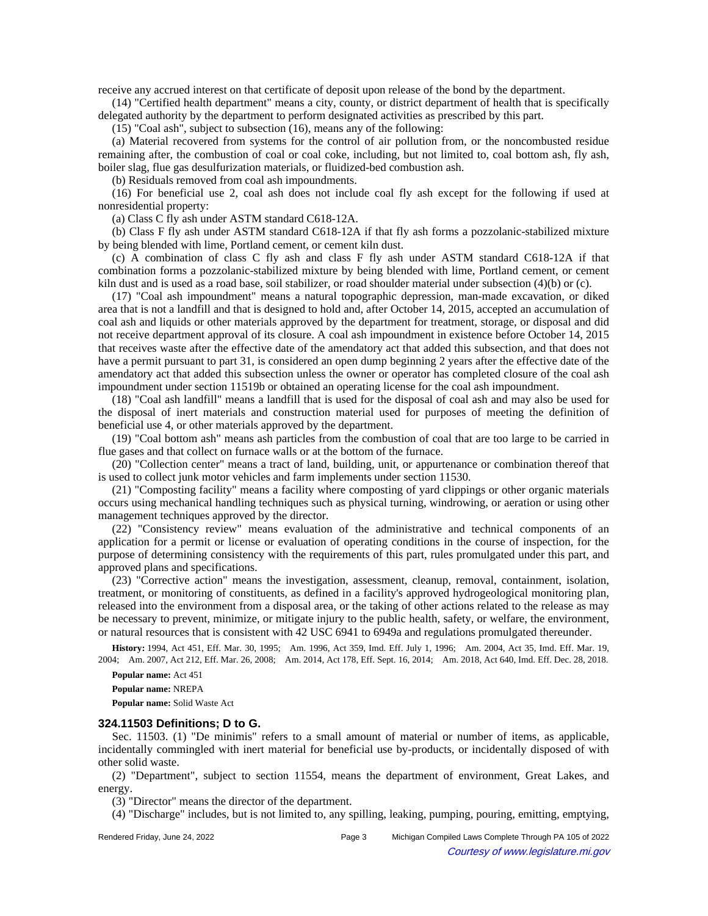receive any accrued interest on that certificate of deposit upon release of the bond by the department.

(14) "Certified health department" means a city, county, or district department of health that is specifically delegated authority by the department to perform designated activities as prescribed by this part.

(15) "Coal ash", subject to subsection (16), means any of the following:

(a) Material recovered from systems for the control of air pollution from, or the noncombusted residue remaining after, the combustion of coal or coal coke, including, but not limited to, coal bottom ash, fly ash, boiler slag, flue gas desulfurization materials, or fluidized-bed combustion ash.

(b) Residuals removed from coal ash impoundments.

(16) For beneficial use 2, coal ash does not include coal fly ash except for the following if used at nonresidential property:

(a) Class C fly ash under ASTM standard C618-12A.

(b) Class F fly ash under ASTM standard C618-12A if that fly ash forms a pozzolanic-stabilized mixture by being blended with lime, Portland cement, or cement kiln dust.

(c) A combination of class C fly ash and class F fly ash under ASTM standard C618-12A if that combination forms a pozzolanic-stabilized mixture by being blended with lime, Portland cement, or cement kiln dust and is used as a road base, soil stabilizer, or road shoulder material under subsection (4)(b) or (c).

(17) "Coal ash impoundment" means a natural topographic depression, man-made excavation, or diked area that is not a landfill and that is designed to hold and, after October 14, 2015, accepted an accumulation of coal ash and liquids or other materials approved by the department for treatment, storage, or disposal and did not receive department approval of its closure. A coal ash impoundment in existence before October 14, 2015 that receives waste after the effective date of the amendatory act that added this subsection, and that does not have a permit pursuant to part 31, is considered an open dump beginning 2 years after the effective date of the amendatory act that added this subsection unless the owner or operator has completed closure of the coal ash impoundment under section 11519b or obtained an operating license for the coal ash impoundment.

(18) "Coal ash landfill" means a landfill that is used for the disposal of coal ash and may also be used for the disposal of inert materials and construction material used for purposes of meeting the definition of beneficial use 4, or other materials approved by the department.

(19) "Coal bottom ash" means ash particles from the combustion of coal that are too large to be carried in flue gases and that collect on furnace walls or at the bottom of the furnace.

(20) "Collection center" means a tract of land, building, unit, or appurtenance or combination thereof that is used to collect junk motor vehicles and farm implements under section 11530.

(21) "Composting facility" means a facility where composting of yard clippings or other organic materials occurs using mechanical handling techniques such as physical turning, windrowing, or aeration or using other management techniques approved by the director.

(22) "Consistency review" means evaluation of the administrative and technical components of an application for a permit or license or evaluation of operating conditions in the course of inspection, for the purpose of determining consistency with the requirements of this part, rules promulgated under this part, and approved plans and specifications.

(23) "Corrective action" means the investigation, assessment, cleanup, removal, containment, isolation, treatment, or monitoring of constituents, as defined in a facility's approved hydrogeological monitoring plan, released into the environment from a disposal area, or the taking of other actions related to the release as may be necessary to prevent, minimize, or mitigate injury to the public health, safety, or welfare, the environment, or natural resources that is consistent with 42 USC 6941 to 6949a and regulations promulgated thereunder.

History: 1994, Act 451, Eff. Mar. 30, 1995;--Am. 1996, Act 359, Imd. Eff. July 1, 1996;--Am. 2004, Act 35, Imd. Eff. Mar. 19, 2004; Am. 2007, Act 212, Eff. Mar. 26, 2008; Am. 2014, Act 178, Eff. Sept. 16, 2014; Am. 2018, Act 640, Imd. Eff. Dec. 28, 2018.

**Popular name:** Act 451

**Popular name:** NREPA

**Popular name:** Solid Waste Act

#### **324.11503 Definitions; D to G.**

Sec. 11503. (1) "De minimis" refers to a small amount of material or number of items, as applicable, incidentally commingled with inert material for beneficial use by-products, or incidentally disposed of with other solid waste.

(2) "Department", subject to section 11554, means the department of environment, Great Lakes, and energy.

(3) "Director" means the director of the department.

(4) "Discharge" includes, but is not limited to, any spilling, leaking, pumping, pouring, emitting, emptying,

Rendered Friday, June 24, 2022 Page 3 Michigan Compiled Laws Complete Through PA 105 of 2022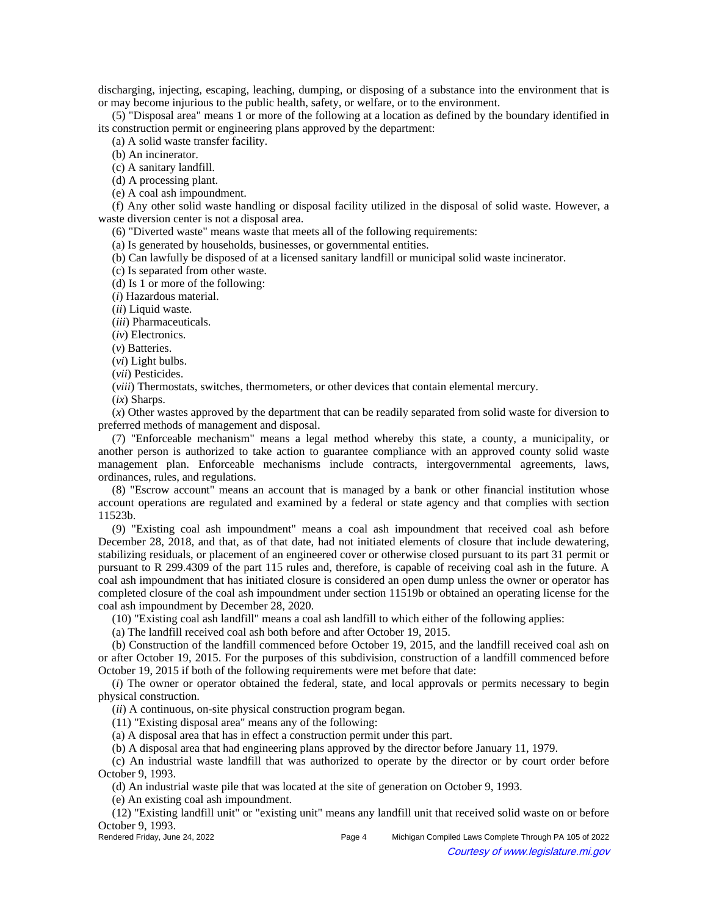discharging, injecting, escaping, leaching, dumping, or disposing of a substance into the environment that is or may become injurious to the public health, safety, or welfare, or to the environment.

(5) "Disposal area" means 1 or more of the following at a location as defined by the boundary identified in its construction permit or engineering plans approved by the department:

(a) A solid waste transfer facility.

(b) An incinerator.

(c) A sanitary landfill.

(d) A processing plant.

(e) A coal ash impoundment.

(f) Any other solid waste handling or disposal facility utilized in the disposal of solid waste. However, a waste diversion center is not a disposal area.

(6) "Diverted waste" means waste that meets all of the following requirements:

(a) Is generated by households, businesses, or governmental entities.

(b) Can lawfully be disposed of at a licensed sanitary landfill or municipal solid waste incinerator.

(c) Is separated from other waste.

(d) Is 1 or more of the following:

(*i*) Hazardous material.

(*ii*) Liquid waste.

(*iii*) Pharmaceuticals.

(*iv*) Electronics.

(*v*) Batteries.

(*vi*) Light bulbs. (*vii*) Pesticides.

(*viii*) Thermostats, switches, thermometers, or other devices that contain elemental mercury.

(*ix*) Sharps.

(*x*) Other wastes approved by the department that can be readily separated from solid waste for diversion to preferred methods of management and disposal.

(7) "Enforceable mechanism" means a legal method whereby this state, a county, a municipality, or another person is authorized to take action to guarantee compliance with an approved county solid waste management plan. Enforceable mechanisms include contracts, intergovernmental agreements, laws, ordinances, rules, and regulations.

(8) "Escrow account" means an account that is managed by a bank or other financial institution whose account operations are regulated and examined by a federal or state agency and that complies with section 11523b.

(9) "Existing coal ash impoundment" means a coal ash impoundment that received coal ash before December 28, 2018, and that, as of that date, had not initiated elements of closure that include dewatering, stabilizing residuals, or placement of an engineered cover or otherwise closed pursuant to its part 31 permit or pursuant to R 299.4309 of the part 115 rules and, therefore, is capable of receiving coal ash in the future. A coal ash impoundment that has initiated closure is considered an open dump unless the owner or operator has completed closure of the coal ash impoundment under section 11519b or obtained an operating license for the coal ash impoundment by December 28, 2020.

(10) "Existing coal ash landfill" means a coal ash landfill to which either of the following applies:

(a) The landfill received coal ash both before and after October 19, 2015.

(b) Construction of the landfill commenced before October 19, 2015, and the landfill received coal ash on or after October 19, 2015. For the purposes of this subdivision, construction of a landfill commenced before October 19, 2015 if both of the following requirements were met before that date:

(*i*) The owner or operator obtained the federal, state, and local approvals or permits necessary to begin physical construction.

(*ii*) A continuous, on-site physical construction program began.

(11) "Existing disposal area" means any of the following:

(a) A disposal area that has in effect a construction permit under this part.

(b) A disposal area that had engineering plans approved by the director before January 11, 1979.

(c) An industrial waste landfill that was authorized to operate by the director or by court order before October 9, 1993.

(d) An industrial waste pile that was located at the site of generation on October 9, 1993.

(e) An existing coal ash impoundment.

(12) "Existing landfill unit" or "existing unit" means any landfill unit that received solid waste on or before October 9, 1993.<br>Rendered Friday, June 24, 2022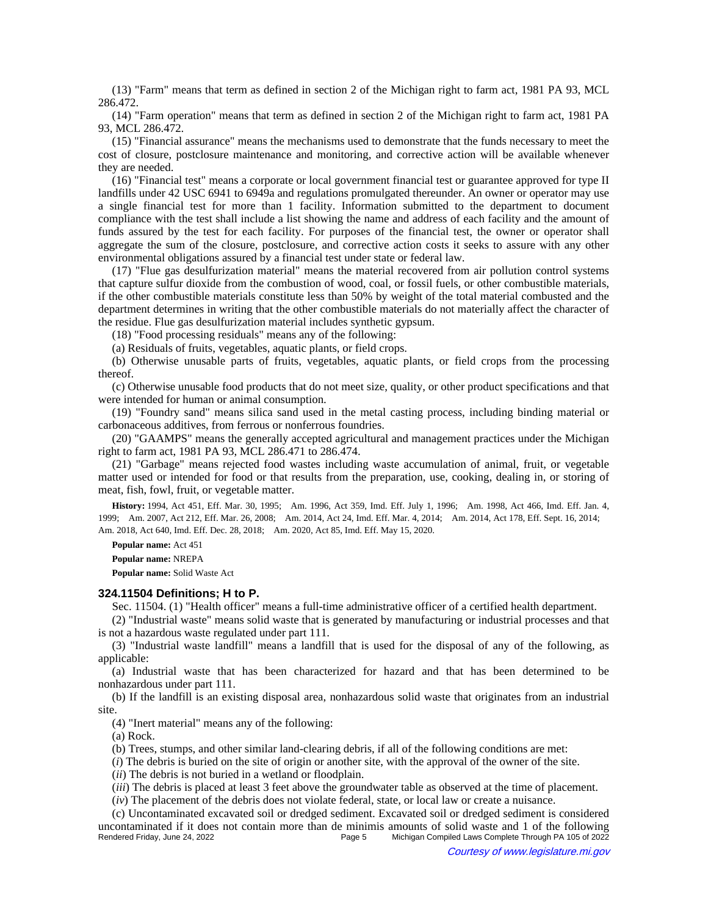(13) "Farm" means that term as defined in section 2 of the Michigan right to farm act, 1981 PA 93, MCL 286.472.

(14) "Farm operation" means that term as defined in section 2 of the Michigan right to farm act, 1981 PA 93, MCL 286.472.

(15) "Financial assurance" means the mechanisms used to demonstrate that the funds necessary to meet the cost of closure, postclosure maintenance and monitoring, and corrective action will be available whenever they are needed.

(16) "Financial test" means a corporate or local government financial test or guarantee approved for type II landfills under 42 USC 6941 to 6949a and regulations promulgated thereunder. An owner or operator may use a single financial test for more than 1 facility. Information submitted to the department to document compliance with the test shall include a list showing the name and address of each facility and the amount of funds assured by the test for each facility. For purposes of the financial test, the owner or operator shall aggregate the sum of the closure, postclosure, and corrective action costs it seeks to assure with any other environmental obligations assured by a financial test under state or federal law.

(17) "Flue gas desulfurization material" means the material recovered from air pollution control systems that capture sulfur dioxide from the combustion of wood, coal, or fossil fuels, or other combustible materials, if the other combustible materials constitute less than 50% by weight of the total material combusted and the department determines in writing that the other combustible materials do not materially affect the character of the residue. Flue gas desulfurization material includes synthetic gypsum.

(18) "Food processing residuals" means any of the following:

(a) Residuals of fruits, vegetables, aquatic plants, or field crops.

(b) Otherwise unusable parts of fruits, vegetables, aquatic plants, or field crops from the processing thereof.

(c) Otherwise unusable food products that do not meet size, quality, or other product specifications and that were intended for human or animal consumption.

(19) "Foundry sand" means silica sand used in the metal casting process, including binding material or carbonaceous additives, from ferrous or nonferrous foundries.

(20) "GAAMPS" means the generally accepted agricultural and management practices under the Michigan right to farm act, 1981 PA 93, MCL 286.471 to 286.474.

(21) "Garbage" means rejected food wastes including waste accumulation of animal, fruit, or vegetable matter used or intended for food or that results from the preparation, use, cooking, dealing in, or storing of meat, fish, fowl, fruit, or vegetable matter.

History: 1994, Act 451, Eff. Mar. 30, 1995;--Am. 1996, Act 359, Imd. Eff. July 1, 1996;--Am. 1998, Act 466, Imd. Eff. Jan. 4, 1999;—Am. 2007, Act 212, Eff. Mar. 26, 2008;—Am. 2014, Act 24, Imd. Eff. Mar. 4, 2014;—Am. 2014, Act 178, Eff. Sept. 16, 2014;— Am. 2018, Act 640, Imd. Eff. Dec. 28, 2018;—Am. 2020, Act 85, Imd. Eff. May 15, 2020.

**Popular name:** Act 451

**Popular name:** NREPA

**Popular name:** Solid Waste Act

#### **324.11504 Definitions; H to P.**

Sec. 11504. (1) "Health officer" means a full-time administrative officer of a certified health department.

(2) "Industrial waste" means solid waste that is generated by manufacturing or industrial processes and that is not a hazardous waste regulated under part 111.

(3) "Industrial waste landfill" means a landfill that is used for the disposal of any of the following, as applicable:

(a) Industrial waste that has been characterized for hazard and that has been determined to be nonhazardous under part 111.

(b) If the landfill is an existing disposal area, nonhazardous solid waste that originates from an industrial site.

(4) "Inert material" means any of the following:

(a) Rock.

(b) Trees, stumps, and other similar land-clearing debris, if all of the following conditions are met:

(*i*) The debris is buried on the site of origin or another site, with the approval of the owner of the site.

(*ii*) The debris is not buried in a wetland or floodplain.

(*iii*) The debris is placed at least 3 feet above the groundwater table as observed at the time of placement.

(*iv*) The placement of the debris does not violate federal, state, or local law or create a nuisance.

(c) Uncontaminated excavated soil or dredged sediment. Excavated soil or dredged sediment is considered uncontaminated if it does not contain more than de minimis amounts of solid waste and 1 of the following<br>Page 5 Michigan Compiled Laws Complete Through PA 105 of 2022 Michigan Compiled Laws Complete Through PA 105 of 2022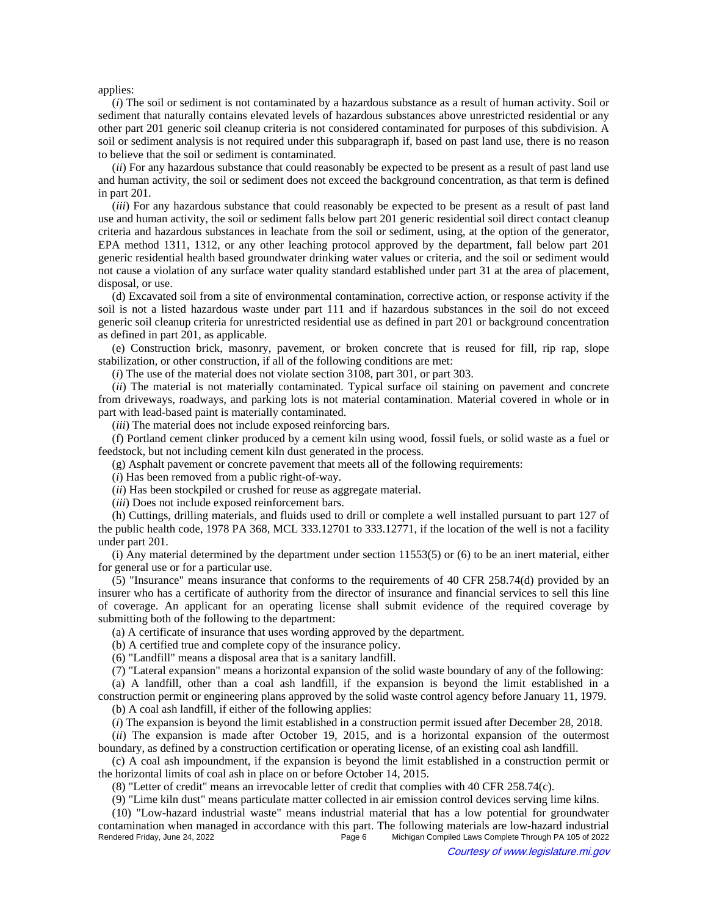applies:

(*i*) The soil or sediment is not contaminated by a hazardous substance as a result of human activity. Soil or sediment that naturally contains elevated levels of hazardous substances above unrestricted residential or any other part 201 generic soil cleanup criteria is not considered contaminated for purposes of this subdivision. A soil or sediment analysis is not required under this subparagraph if, based on past land use, there is no reason to believe that the soil or sediment is contaminated.

(*ii*) For any hazardous substance that could reasonably be expected to be present as a result of past land use and human activity, the soil or sediment does not exceed the background concentration, as that term is defined in part 201.

(*iii*) For any hazardous substance that could reasonably be expected to be present as a result of past land use and human activity, the soil or sediment falls below part 201 generic residential soil direct contact cleanup criteria and hazardous substances in leachate from the soil or sediment, using, at the option of the generator, EPA method 1311, 1312, or any other leaching protocol approved by the department, fall below part 201 generic residential health based groundwater drinking water values or criteria, and the soil or sediment would not cause a violation of any surface water quality standard established under part 31 at the area of placement, disposal, or use.

(d) Excavated soil from a site of environmental contamination, corrective action, or response activity if the soil is not a listed hazardous waste under part 111 and if hazardous substances in the soil do not exceed generic soil cleanup criteria for unrestricted residential use as defined in part 201 or background concentration as defined in part 201, as applicable.

(e) Construction brick, masonry, pavement, or broken concrete that is reused for fill, rip rap, slope stabilization, or other construction, if all of the following conditions are met:

(*i*) The use of the material does not violate section 3108, part 301, or part 303.

(*ii*) The material is not materially contaminated. Typical surface oil staining on pavement and concrete from driveways, roadways, and parking lots is not material contamination. Material covered in whole or in part with lead-based paint is materially contaminated.

(*iii*) The material does not include exposed reinforcing bars.

(f) Portland cement clinker produced by a cement kiln using wood, fossil fuels, or solid waste as a fuel or feedstock, but not including cement kiln dust generated in the process.

(g) Asphalt pavement or concrete pavement that meets all of the following requirements:

(*i*) Has been removed from a public right-of-way.

(*ii*) Has been stockpiled or crushed for reuse as aggregate material.

(*iii*) Does not include exposed reinforcement bars.

(h) Cuttings, drilling materials, and fluids used to drill or complete a well installed pursuant to part 127 of the public health code, 1978 PA 368, MCL 333.12701 to 333.12771, if the location of the well is not a facility under part 201.

(i) Any material determined by the department under section 11553(5) or (6) to be an inert material, either for general use or for a particular use.

(5) "Insurance" means insurance that conforms to the requirements of 40 CFR 258.74(d) provided by an insurer who has a certificate of authority from the director of insurance and financial services to sell this line of coverage. An applicant for an operating license shall submit evidence of the required coverage by submitting both of the following to the department:

(a) A certificate of insurance that uses wording approved by the department.

(b) A certified true and complete copy of the insurance policy.

(6) "Landfill" means a disposal area that is a sanitary landfill.

(7) "Lateral expansion" means a horizontal expansion of the solid waste boundary of any of the following:

(a) A landfill, other than a coal ash landfill, if the expansion is beyond the limit established in a construction permit or engineering plans approved by the solid waste control agency before January 11, 1979.

(b) A coal ash landfill, if either of the following applies:

(*i*) The expansion is beyond the limit established in a construction permit issued after December 28, 2018.

(*ii*) The expansion is made after October 19, 2015, and is a horizontal expansion of the outermost boundary, as defined by a construction certification or operating license, of an existing coal ash landfill.

(c) A coal ash impoundment, if the expansion is beyond the limit established in a construction permit or the horizontal limits of coal ash in place on or before October 14, 2015.

(8) "Letter of credit" means an irrevocable letter of credit that complies with 40 CFR 258.74(c).

(9) "Lime kiln dust" means particulate matter collected in air emission control devices serving lime kilns.

(10) "Low-hazard industrial waste" means industrial material that has a low potential for groundwater contamination when managed in accordance with this part. The following materials are low-hazard industrial<br>Page 6 Michigan Compiled Laws Complete Through PA 105 of 2022 Michigan Compiled Laws Complete Through PA 105 of 2022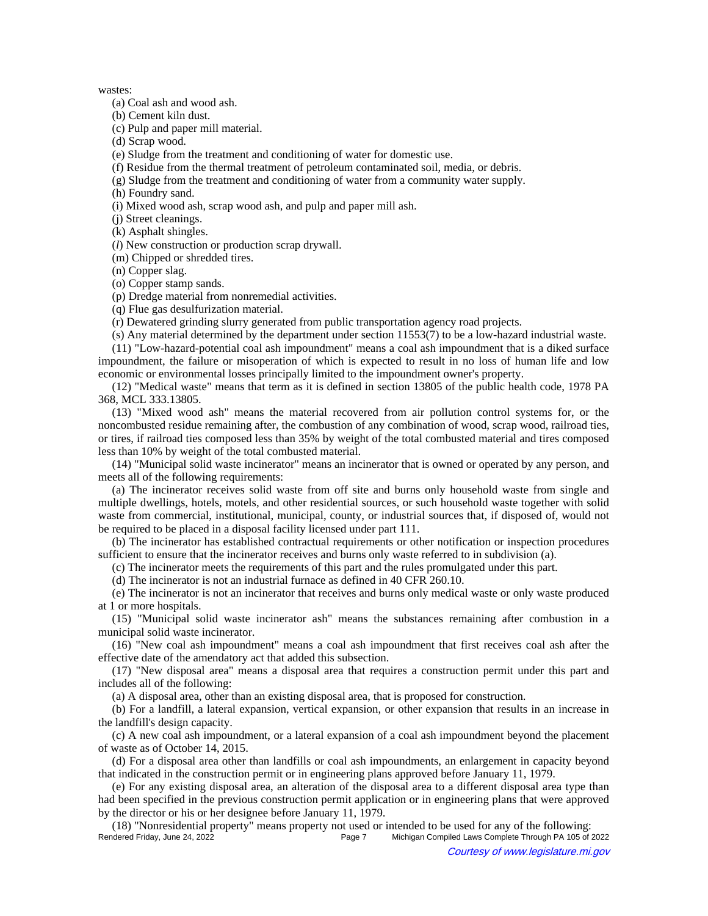#### wastes:

(a) Coal ash and wood ash.

(b) Cement kiln dust.

(c) Pulp and paper mill material.

(d) Scrap wood.

(e) Sludge from the treatment and conditioning of water for domestic use.

(f) Residue from the thermal treatment of petroleum contaminated soil, media, or debris.

(g) Sludge from the treatment and conditioning of water from a community water supply.

(h) Foundry sand.

(i) Mixed wood ash, scrap wood ash, and pulp and paper mill ash.

(j) Street cleanings.

(k) Asphalt shingles.

(*l*) New construction or production scrap drywall.

(m) Chipped or shredded tires.

(n) Copper slag.

(o) Copper stamp sands.

(p) Dredge material from nonremedial activities.

(q) Flue gas desulfurization material.

(r) Dewatered grinding slurry generated from public transportation agency road projects.

(s) Any material determined by the department under section 11553(7) to be a low-hazard industrial waste.

(11) "Low-hazard-potential coal ash impoundment" means a coal ash impoundment that is a diked surface impoundment, the failure or misoperation of which is expected to result in no loss of human life and low economic or environmental losses principally limited to the impoundment owner's property.

(12) "Medical waste" means that term as it is defined in section 13805 of the public health code, 1978 PA 368, MCL 333.13805.

(13) "Mixed wood ash" means the material recovered from air pollution control systems for, or the noncombusted residue remaining after, the combustion of any combination of wood, scrap wood, railroad ties, or tires, if railroad ties composed less than 35% by weight of the total combusted material and tires composed less than 10% by weight of the total combusted material.

(14) "Municipal solid waste incinerator" means an incinerator that is owned or operated by any person, and meets all of the following requirements:

(a) The incinerator receives solid waste from off site and burns only household waste from single and multiple dwellings, hotels, motels, and other residential sources, or such household waste together with solid waste from commercial, institutional, municipal, county, or industrial sources that, if disposed of, would not be required to be placed in a disposal facility licensed under part 111.

(b) The incinerator has established contractual requirements or other notification or inspection procedures sufficient to ensure that the incinerator receives and burns only waste referred to in subdivision (a).

(c) The incinerator meets the requirements of this part and the rules promulgated under this part.

(d) The incinerator is not an industrial furnace as defined in 40 CFR 260.10.

(e) The incinerator is not an incinerator that receives and burns only medical waste or only waste produced at 1 or more hospitals.

(15) "Municipal solid waste incinerator ash" means the substances remaining after combustion in a municipal solid waste incinerator.

(16) "New coal ash impoundment" means a coal ash impoundment that first receives coal ash after the effective date of the amendatory act that added this subsection.

(17) "New disposal area" means a disposal area that requires a construction permit under this part and includes all of the following:

(a) A disposal area, other than an existing disposal area, that is proposed for construction.

(b) For a landfill, a lateral expansion, vertical expansion, or other expansion that results in an increase in the landfill's design capacity.

(c) A new coal ash impoundment, or a lateral expansion of a coal ash impoundment beyond the placement of waste as of October 14, 2015.

(d) For a disposal area other than landfills or coal ash impoundments, an enlargement in capacity beyond that indicated in the construction permit or in engineering plans approved before January 11, 1979.

(e) For any existing disposal area, an alteration of the disposal area to a different disposal area type than had been specified in the previous construction permit application or in engineering plans that were approved by the director or his or her designee before January 11, 1979.

(18) "Nonresidential property" means property not used or intended to be used for any of the following: Michigan Compiled Laws Complete Through PA 105 of 2022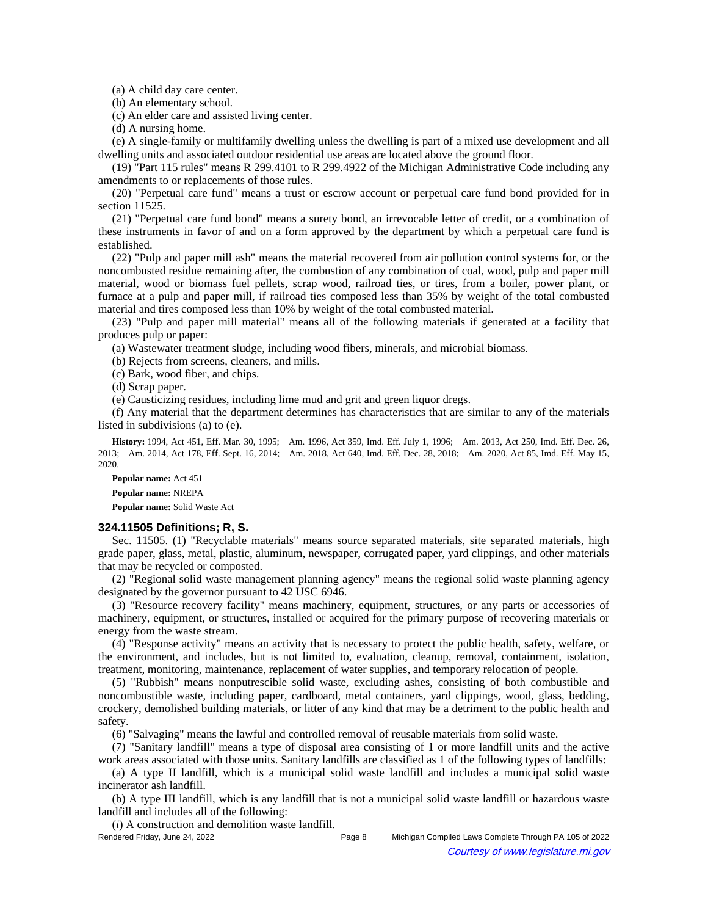(a) A child day care center.

(b) An elementary school.

(c) An elder care and assisted living center.

(d) A nursing home.

(e) A single-family or multifamily dwelling unless the dwelling is part of a mixed use development and all dwelling units and associated outdoor residential use areas are located above the ground floor.

(19) "Part 115 rules" means R 299.4101 to R 299.4922 of the Michigan Administrative Code including any amendments to or replacements of those rules.

(20) "Perpetual care fund" means a trust or escrow account or perpetual care fund bond provided for in section 11525.

(21) "Perpetual care fund bond" means a surety bond, an irrevocable letter of credit, or a combination of these instruments in favor of and on a form approved by the department by which a perpetual care fund is established.

(22) "Pulp and paper mill ash" means the material recovered from air pollution control systems for, or the noncombusted residue remaining after, the combustion of any combination of coal, wood, pulp and paper mill material, wood or biomass fuel pellets, scrap wood, railroad ties, or tires, from a boiler, power plant, or furnace at a pulp and paper mill, if railroad ties composed less than 35% by weight of the total combusted material and tires composed less than 10% by weight of the total combusted material.

(23) "Pulp and paper mill material" means all of the following materials if generated at a facility that produces pulp or paper:

(a) Wastewater treatment sludge, including wood fibers, minerals, and microbial biomass.

(b) Rejects from screens, cleaners, and mills.

(c) Bark, wood fiber, and chips.

(d) Scrap paper.

(e) Causticizing residues, including lime mud and grit and green liquor dregs.

(f) Any material that the department determines has characteristics that are similar to any of the materials listed in subdivisions (a) to (e).

History: 1994, Act 451, Eff. Mar. 30, 1995;--Am. 1996, Act 359, Imd. Eff. July 1, 1996;--Am. 2013, Act 250, Imd. Eff. Dec. 26, 2013;—Am. 2014, Act 178, Eff. Sept. 16, 2014;—Am. 2018, Act 640, Imd. Eff. Dec. 28, 2018;—Am. 2020, Act 85, Imd. Eff. May 15, 2020.

**Popular name:** Act 451

**Popular name:** NREPA

**Popular name:** Solid Waste Act

#### **324.11505 Definitions; R, S.**

Sec. 11505. (1) "Recyclable materials" means source separated materials, site separated materials, high grade paper, glass, metal, plastic, aluminum, newspaper, corrugated paper, yard clippings, and other materials that may be recycled or composted.

(2) "Regional solid waste management planning agency" means the regional solid waste planning agency designated by the governor pursuant to 42 USC 6946.

(3) "Resource recovery facility" means machinery, equipment, structures, or any parts or accessories of machinery, equipment, or structures, installed or acquired for the primary purpose of recovering materials or energy from the waste stream.

(4) "Response activity" means an activity that is necessary to protect the public health, safety, welfare, or the environment, and includes, but is not limited to, evaluation, cleanup, removal, containment, isolation, treatment, monitoring, maintenance, replacement of water supplies, and temporary relocation of people.

(5) "Rubbish" means nonputrescible solid waste, excluding ashes, consisting of both combustible and noncombustible waste, including paper, cardboard, metal containers, yard clippings, wood, glass, bedding, crockery, demolished building materials, or litter of any kind that may be a detriment to the public health and safety.

(6) "Salvaging" means the lawful and controlled removal of reusable materials from solid waste.

(7) "Sanitary landfill" means a type of disposal area consisting of 1 or more landfill units and the active work areas associated with those units. Sanitary landfills are classified as 1 of the following types of landfills:

(a) A type II landfill, which is a municipal solid waste landfill and includes a municipal solid waste incinerator ash landfill.

(b) A type III landfill, which is any landfill that is not a municipal solid waste landfill or hazardous waste landfill and includes all of the following:

(*i*) A construction and demolition waste landfill.

Rendered Friday, June 24, 2022 Page 8 Michigan Compiled Laws Complete Through PA 105 of 2022 Courtesy of www.legislature.mi.gov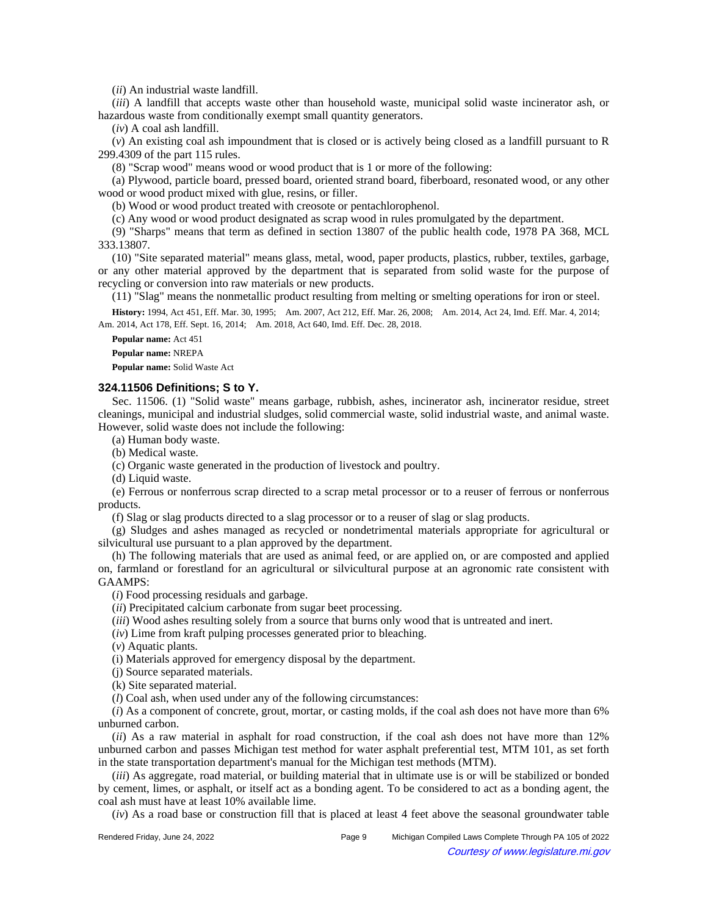(*ii*) An industrial waste landfill.

(*iii*) A landfill that accepts waste other than household waste, municipal solid waste incinerator ash, or hazardous waste from conditionally exempt small quantity generators.

(*iv*) A coal ash landfill.

(*v*) An existing coal ash impoundment that is closed or is actively being closed as a landfill pursuant to R 299.4309 of the part 115 rules.

(8) "Scrap wood" means wood or wood product that is 1 or more of the following:

(a) Plywood, particle board, pressed board, oriented strand board, fiberboard, resonated wood, or any other wood or wood product mixed with glue, resins, or filler.

(b) Wood or wood product treated with creosote or pentachlorophenol.

(c) Any wood or wood product designated as scrap wood in rules promulgated by the department.

(9) "Sharps" means that term as defined in section 13807 of the public health code, 1978 PA 368, MCL 333.13807.

(10) "Site separated material" means glass, metal, wood, paper products, plastics, rubber, textiles, garbage, or any other material approved by the department that is separated from solid waste for the purpose of recycling or conversion into raw materials or new products.

(11) "Slag" means the nonmetallic product resulting from melting or smelting operations for iron or steel.

History: 1994, Act 451, Eff. Mar. 30, 1995;--Am. 2007, Act 212, Eff. Mar. 26, 2008;--Am. 2014, Act 24, Imd. Eff. Mar. 4, 2014;--Am. 2014, Act 178, Eff. Sept. 16, 2014;-- Am. 2018, Act 640, Imd. Eff. Dec. 28, 2018.

**Popular name:** Act 451

**Popular name:** NREPA

**Popular name:** Solid Waste Act

## **324.11506 Definitions; S to Y.**

Sec. 11506. (1) "Solid waste" means garbage, rubbish, ashes, incinerator ash, incinerator residue, street cleanings, municipal and industrial sludges, solid commercial waste, solid industrial waste, and animal waste. However, solid waste does not include the following:

(a) Human body waste.

(b) Medical waste.

(c) Organic waste generated in the production of livestock and poultry.

(d) Liquid waste.

(e) Ferrous or nonferrous scrap directed to a scrap metal processor or to a reuser of ferrous or nonferrous products.

(f) Slag or slag products directed to a slag processor or to a reuser of slag or slag products.

(g) Sludges and ashes managed as recycled or nondetrimental materials appropriate for agricultural or silvicultural use pursuant to a plan approved by the department.

(h) The following materials that are used as animal feed, or are applied on, or are composted and applied on, farmland or forestland for an agricultural or silvicultural purpose at an agronomic rate consistent with GAAMPS:

(*i*) Food processing residuals and garbage.

(*ii*) Precipitated calcium carbonate from sugar beet processing.

(*iii*) Wood ashes resulting solely from a source that burns only wood that is untreated and inert.

(*iv*) Lime from kraft pulping processes generated prior to bleaching.

(*v*) Aquatic plants.

(i) Materials approved for emergency disposal by the department.

(j) Source separated materials.

(k) Site separated material.

(*l*) Coal ash, when used under any of the following circumstances:

(*i*) As a component of concrete, grout, mortar, or casting molds, if the coal ash does not have more than 6% unburned carbon.

(*ii*) As a raw material in asphalt for road construction, if the coal ash does not have more than 12% unburned carbon and passes Michigan test method for water asphalt preferential test, MTM 101, as set forth in the state transportation department's manual for the Michigan test methods (MTM).

(*iii*) As aggregate, road material, or building material that in ultimate use is or will be stabilized or bonded by cement, limes, or asphalt, or itself act as a bonding agent. To be considered to act as a bonding agent, the coal ash must have at least 10% available lime.

(*iv*) As a road base or construction fill that is placed at least 4 feet above the seasonal groundwater table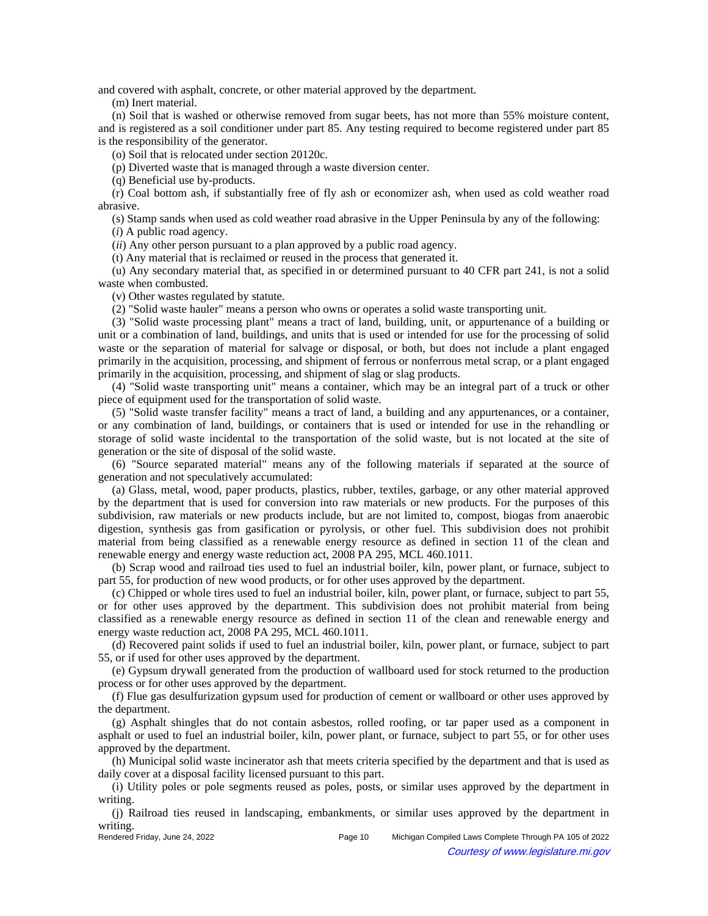and covered with asphalt, concrete, or other material approved by the department.

(m) Inert material.

(n) Soil that is washed or otherwise removed from sugar beets, has not more than 55% moisture content, and is registered as a soil conditioner under part 85. Any testing required to become registered under part 85 is the responsibility of the generator.

(o) Soil that is relocated under section 20120c.

(p) Diverted waste that is managed through a waste diversion center.

(q) Beneficial use by-products.

(r) Coal bottom ash, if substantially free of fly ash or economizer ash, when used as cold weather road abrasive.

(s) Stamp sands when used as cold weather road abrasive in the Upper Peninsula by any of the following:

(*i*) A public road agency.

(*ii*) Any other person pursuant to a plan approved by a public road agency.

(t) Any material that is reclaimed or reused in the process that generated it.

(u) Any secondary material that, as specified in or determined pursuant to 40 CFR part 241, is not a solid waste when combusted.

(v) Other wastes regulated by statute.

(2) "Solid waste hauler" means a person who owns or operates a solid waste transporting unit.

(3) "Solid waste processing plant" means a tract of land, building, unit, or appurtenance of a building or unit or a combination of land, buildings, and units that is used or intended for use for the processing of solid waste or the separation of material for salvage or disposal, or both, but does not include a plant engaged primarily in the acquisition, processing, and shipment of ferrous or nonferrous metal scrap, or a plant engaged primarily in the acquisition, processing, and shipment of slag or slag products.

(4) "Solid waste transporting unit" means a container, which may be an integral part of a truck or other piece of equipment used for the transportation of solid waste.

(5) "Solid waste transfer facility" means a tract of land, a building and any appurtenances, or a container, or any combination of land, buildings, or containers that is used or intended for use in the rehandling or storage of solid waste incidental to the transportation of the solid waste, but is not located at the site of generation or the site of disposal of the solid waste.

(6) "Source separated material" means any of the following materials if separated at the source of generation and not speculatively accumulated:

(a) Glass, metal, wood, paper products, plastics, rubber, textiles, garbage, or any other material approved by the department that is used for conversion into raw materials or new products. For the purposes of this subdivision, raw materials or new products include, but are not limited to, compost, biogas from anaerobic digestion, synthesis gas from gasification or pyrolysis, or other fuel. This subdivision does not prohibit material from being classified as a renewable energy resource as defined in section 11 of the clean and renewable energy and energy waste reduction act, 2008 PA 295, MCL 460.1011.

(b) Scrap wood and railroad ties used to fuel an industrial boiler, kiln, power plant, or furnace, subject to part 55, for production of new wood products, or for other uses approved by the department.

(c) Chipped or whole tires used to fuel an industrial boiler, kiln, power plant, or furnace, subject to part 55, or for other uses approved by the department. This subdivision does not prohibit material from being classified as a renewable energy resource as defined in section 11 of the clean and renewable energy and energy waste reduction act, 2008 PA 295, MCL 460.1011.

(d) Recovered paint solids if used to fuel an industrial boiler, kiln, power plant, or furnace, subject to part 55, or if used for other uses approved by the department.

(e) Gypsum drywall generated from the production of wallboard used for stock returned to the production process or for other uses approved by the department.

(f) Flue gas desulfurization gypsum used for production of cement or wallboard or other uses approved by the department.

(g) Asphalt shingles that do not contain asbestos, rolled roofing, or tar paper used as a component in asphalt or used to fuel an industrial boiler, kiln, power plant, or furnace, subject to part 55, or for other uses approved by the department.

(h) Municipal solid waste incinerator ash that meets criteria specified by the department and that is used as daily cover at a disposal facility licensed pursuant to this part.

(i) Utility poles or pole segments reused as poles, posts, or similar uses approved by the department in writing.

(j) Railroad ties reused in landscaping, embankments, or similar uses approved by the department in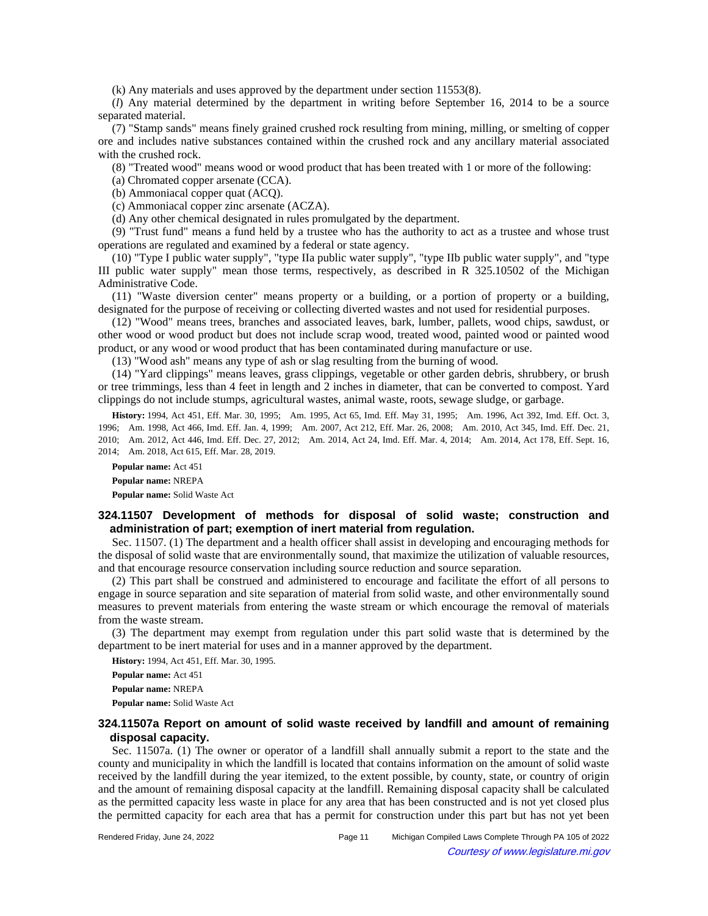(k) Any materials and uses approved by the department under section 11553(8).

(*l*) Any material determined by the department in writing before September 16, 2014 to be a source separated material.

(7) "Stamp sands" means finely grained crushed rock resulting from mining, milling, or smelting of copper ore and includes native substances contained within the crushed rock and any ancillary material associated with the crushed rock.

(8) "Treated wood" means wood or wood product that has been treated with 1 or more of the following:

(a) Chromated copper arsenate (CCA).

(b) Ammoniacal copper quat (ACQ).

(c) Ammoniacal copper zinc arsenate (ACZA).

(d) Any other chemical designated in rules promulgated by the department.

(9) "Trust fund" means a fund held by a trustee who has the authority to act as a trustee and whose trust operations are regulated and examined by a federal or state agency.

(10) "Type I public water supply", "type IIa public water supply", "type IIb public water supply", and "type III public water supply" mean those terms, respectively, as described in R 325.10502 of the Michigan Administrative Code.

(11) "Waste diversion center" means property or a building, or a portion of property or a building, designated for the purpose of receiving or collecting diverted wastes and not used for residential purposes.

(12) "Wood" means trees, branches and associated leaves, bark, lumber, pallets, wood chips, sawdust, or other wood or wood product but does not include scrap wood, treated wood, painted wood or painted wood product, or any wood or wood product that has been contaminated during manufacture or use.

(13) "Wood ash" means any type of ash or slag resulting from the burning of wood.

(14) "Yard clippings" means leaves, grass clippings, vegetable or other garden debris, shrubbery, or brush or tree trimmings, less than 4 feet in length and 2 inches in diameter, that can be converted to compost. Yard clippings do not include stumps, agricultural wastes, animal waste, roots, sewage sludge, or garbage.

History: 1994, Act 451, Eff. Mar. 30, 1995;—Am. 1995, Act 65, Imd. Eff. May 31, 1995;—Am. 1996, Act 392, Imd. Eff. Oct. 3, 1996;--Am. 1998, Act 466, Imd. Eff. Jan. 4, 1999;--Am. 2007, Act 212, Eff. Mar. 26, 2008;--Am. 2010, Act 345, Imd. Eff. Dec. 21, 2010;-Am. 2012, Act 446, Imd. Eff. Dec. 27, 2012;-Am. 2014, Act 24, Imd. Eff. Mar. 4, 2014;-Am. 2014, Act 178, Eff. Sept. 16, 2014; Am. 2018, Act 615, Eff. Mar. 28, 2019.

**Popular name:** Act 451 **Popular name:** NREPA **Popular name:** Solid Waste Act

## **324.11507 Development of methods for disposal of solid waste; construction and administration of part; exemption of inert material from regulation.**

Sec. 11507. (1) The department and a health officer shall assist in developing and encouraging methods for the disposal of solid waste that are environmentally sound, that maximize the utilization of valuable resources, and that encourage resource conservation including source reduction and source separation.

(2) This part shall be construed and administered to encourage and facilitate the effort of all persons to engage in source separation and site separation of material from solid waste, and other environmentally sound measures to prevent materials from entering the waste stream or which encourage the removal of materials from the waste stream.

(3) The department may exempt from regulation under this part solid waste that is determined by the department to be inert material for uses and in a manner approved by the department.

**History:** 1994, Act 451, Eff. Mar. 30, 1995.

**Popular name:** Act 451 **Popular name:** NREPA **Popular name:** Solid Waste Act

## **324.11507a Report on amount of solid waste received by landfill and amount of remaining disposal capacity.**

Sec. 11507a. (1) The owner or operator of a landfill shall annually submit a report to the state and the county and municipality in which the landfill is located that contains information on the amount of solid waste received by the landfill during the year itemized, to the extent possible, by county, state, or country of origin and the amount of remaining disposal capacity at the landfill. Remaining disposal capacity shall be calculated as the permitted capacity less waste in place for any area that has been constructed and is not yet closed plus the permitted capacity for each area that has a permit for construction under this part but has not yet been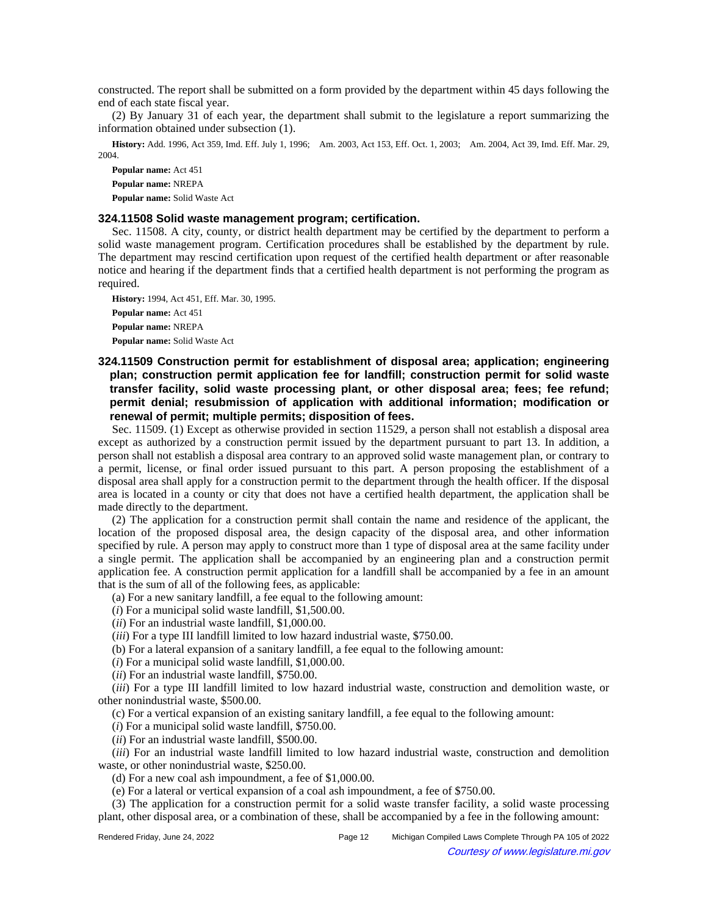constructed. The report shall be submitted on a form provided by the department within 45 days following the end of each state fiscal year.

(2) By January 31 of each year, the department shall submit to the legislature a report summarizing the information obtained under subsection (1).

History: Add. 1996, Act 359, Imd. Eff. July 1, 1996;—Am. 2003, Act 153, Eff. Oct. 1, 2003;—Am. 2004, Act 39, Imd. Eff. Mar. 29, 2004.

**Popular name:** Act 451 **Popular name:** NREPA **Popular name:** Solid Waste Act

#### **324.11508 Solid waste management program; certification.**

Sec. 11508. A city, county, or district health department may be certified by the department to perform a solid waste management program. Certification procedures shall be established by the department by rule. The department may rescind certification upon request of the certified health department or after reasonable notice and hearing if the department finds that a certified health department is not performing the program as required.

**History:** 1994, Act 451, Eff. Mar. 30, 1995. **Popular name:** Act 451 **Popular name:** NREPA **Popular name:** Solid Waste Act

# **324.11509 Construction permit for establishment of disposal area; application; engineering plan; construction permit application fee for landfill; construction permit for solid waste transfer facility, solid waste processing plant, or other disposal area; fees; fee refund; permit denial; resubmission of application with additional information; modification or renewal of permit; multiple permits; disposition of fees.**

Sec. 11509. (1) Except as otherwise provided in section 11529, a person shall not establish a disposal area except as authorized by a construction permit issued by the department pursuant to part 13. In addition, a person shall not establish a disposal area contrary to an approved solid waste management plan, or contrary to a permit, license, or final order issued pursuant to this part. A person proposing the establishment of a disposal area shall apply for a construction permit to the department through the health officer. If the disposal area is located in a county or city that does not have a certified health department, the application shall be made directly to the department.

(2) The application for a construction permit shall contain the name and residence of the applicant, the location of the proposed disposal area, the design capacity of the disposal area, and other information specified by rule. A person may apply to construct more than 1 type of disposal area at the same facility under a single permit. The application shall be accompanied by an engineering plan and a construction permit application fee. A construction permit application for a landfill shall be accompanied by a fee in an amount that is the sum of all of the following fees, as applicable:

(a) For a new sanitary landfill, a fee equal to the following amount:

(*i*) For a municipal solid waste landfill, \$1,500.00.

(*ii*) For an industrial waste landfill, \$1,000.00.

(*iii*) For a type III landfill limited to low hazard industrial waste, \$750.00.

(b) For a lateral expansion of a sanitary landfill, a fee equal to the following amount:

(*i*) For a municipal solid waste landfill, \$1,000.00.

(*ii*) For an industrial waste landfill, \$750.00.

(*iii*) For a type III landfill limited to low hazard industrial waste, construction and demolition waste, or other nonindustrial waste, \$500.00.

(c) For a vertical expansion of an existing sanitary landfill, a fee equal to the following amount:

(*i*) For a municipal solid waste landfill, \$750.00.

(*ii*) For an industrial waste landfill, \$500.00.

(*iii*) For an industrial waste landfill limited to low hazard industrial waste, construction and demolition waste, or other nonindustrial waste, \$250.00.

(d) For a new coal ash impoundment, a fee of \$1,000.00.

(e) For a lateral or vertical expansion of a coal ash impoundment, a fee of \$750.00.

(3) The application for a construction permit for a solid waste transfer facility, a solid waste processing plant, other disposal area, or a combination of these, shall be accompanied by a fee in the following amount: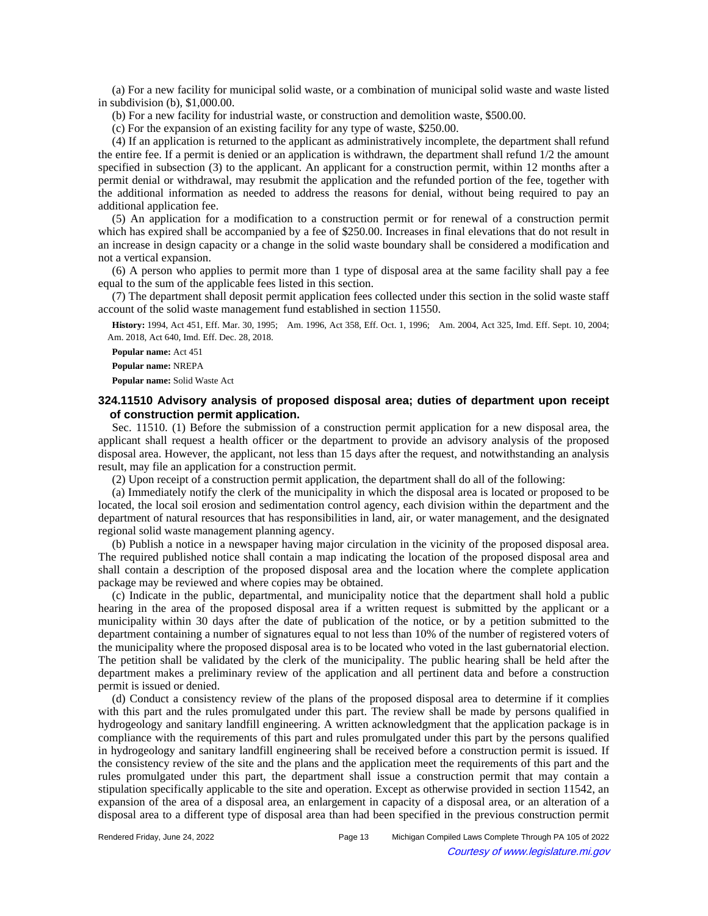(a) For a new facility for municipal solid waste, or a combination of municipal solid waste and waste listed in subdivision (b), \$1,000.00.

(b) For a new facility for industrial waste, or construction and demolition waste, \$500.00.

(c) For the expansion of an existing facility for any type of waste, \$250.00.

(4) If an application is returned to the applicant as administratively incomplete, the department shall refund the entire fee. If a permit is denied or an application is withdrawn, the department shall refund 1/2 the amount specified in subsection (3) to the applicant. An applicant for a construction permit, within 12 months after a permit denial or withdrawal, may resubmit the application and the refunded portion of the fee, together with the additional information as needed to address the reasons for denial, without being required to pay an additional application fee.

(5) An application for a modification to a construction permit or for renewal of a construction permit which has expired shall be accompanied by a fee of \$250.00. Increases in final elevations that do not result in an increase in design capacity or a change in the solid waste boundary shall be considered a modification and not a vertical expansion.

(6) A person who applies to permit more than 1 type of disposal area at the same facility shall pay a fee equal to the sum of the applicable fees listed in this section.

(7) The department shall deposit permit application fees collected under this section in the solid waste staff account of the solid waste management fund established in section 11550.

History: 1994, Act 451, Eff. Mar. 30, 1995;
-- Am. 1996, Act 358, Eff. Oct. 1, 1996;
--- Am. 2004, Act 325, Imd. Eff. Sept. 10, 2004; Am. 2018, Act 640, Imd. Eff. Dec. 28, 2018.

**Popular name:** Act 451

**Popular name:** NREPA

**Popular name:** Solid Waste Act

# **324.11510 Advisory analysis of proposed disposal area; duties of department upon receipt of construction permit application.**

Sec. 11510. (1) Before the submission of a construction permit application for a new disposal area, the applicant shall request a health officer or the department to provide an advisory analysis of the proposed disposal area. However, the applicant, not less than 15 days after the request, and notwithstanding an analysis result, may file an application for a construction permit.

(2) Upon receipt of a construction permit application, the department shall do all of the following:

(a) Immediately notify the clerk of the municipality in which the disposal area is located or proposed to be located, the local soil erosion and sedimentation control agency, each division within the department and the department of natural resources that has responsibilities in land, air, or water management, and the designated regional solid waste management planning agency.

(b) Publish a notice in a newspaper having major circulation in the vicinity of the proposed disposal area. The required published notice shall contain a map indicating the location of the proposed disposal area and shall contain a description of the proposed disposal area and the location where the complete application package may be reviewed and where copies may be obtained.

(c) Indicate in the public, departmental, and municipality notice that the department shall hold a public hearing in the area of the proposed disposal area if a written request is submitted by the applicant or a municipality within 30 days after the date of publication of the notice, or by a petition submitted to the department containing a number of signatures equal to not less than 10% of the number of registered voters of the municipality where the proposed disposal area is to be located who voted in the last gubernatorial election. The petition shall be validated by the clerk of the municipality. The public hearing shall be held after the department makes a preliminary review of the application and all pertinent data and before a construction permit is issued or denied.

(d) Conduct a consistency review of the plans of the proposed disposal area to determine if it complies with this part and the rules promulgated under this part. The review shall be made by persons qualified in hydrogeology and sanitary landfill engineering. A written acknowledgment that the application package is in compliance with the requirements of this part and rules promulgated under this part by the persons qualified in hydrogeology and sanitary landfill engineering shall be received before a construction permit is issued. If the consistency review of the site and the plans and the application meet the requirements of this part and the rules promulgated under this part, the department shall issue a construction permit that may contain a stipulation specifically applicable to the site and operation. Except as otherwise provided in section 11542, an expansion of the area of a disposal area, an enlargement in capacity of a disposal area, or an alteration of a disposal area to a different type of disposal area than had been specified in the previous construction permit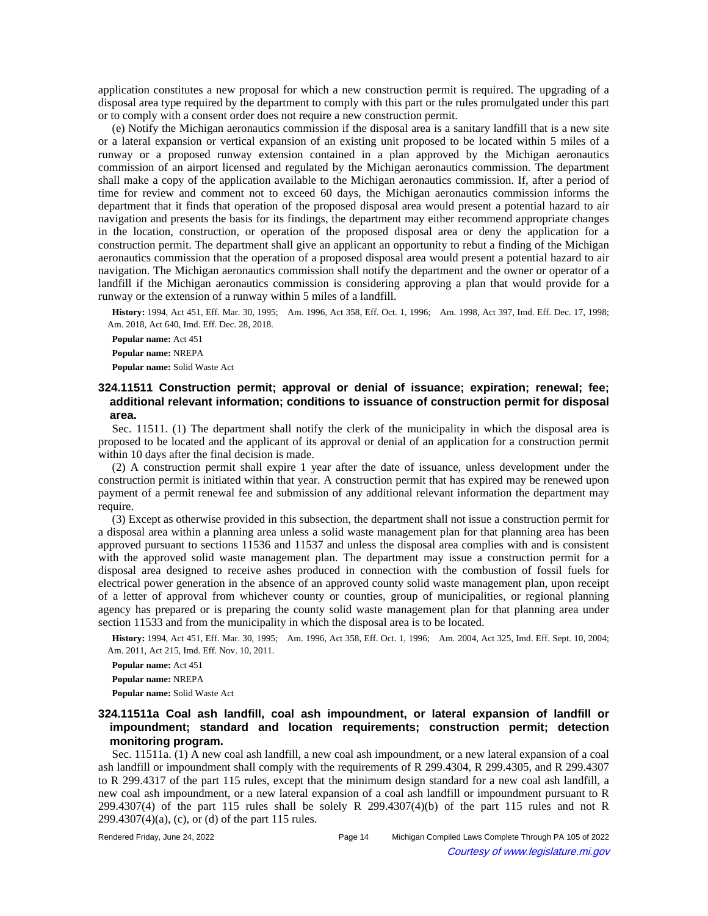application constitutes a new proposal for which a new construction permit is required. The upgrading of a disposal area type required by the department to comply with this part or the rules promulgated under this part or to comply with a consent order does not require a new construction permit.

(e) Notify the Michigan aeronautics commission if the disposal area is a sanitary landfill that is a new site or a lateral expansion or vertical expansion of an existing unit proposed to be located within 5 miles of a runway or a proposed runway extension contained in a plan approved by the Michigan aeronautics commission of an airport licensed and regulated by the Michigan aeronautics commission. The department shall make a copy of the application available to the Michigan aeronautics commission. If, after a period of time for review and comment not to exceed 60 days, the Michigan aeronautics commission informs the department that it finds that operation of the proposed disposal area would present a potential hazard to air navigation and presents the basis for its findings, the department may either recommend appropriate changes in the location, construction, or operation of the proposed disposal area or deny the application for a construction permit. The department shall give an applicant an opportunity to rebut a finding of the Michigan aeronautics commission that the operation of a proposed disposal area would present a potential hazard to air navigation. The Michigan aeronautics commission shall notify the department and the owner or operator of a landfill if the Michigan aeronautics commission is considering approving a plan that would provide for a runway or the extension of a runway within 5 miles of a landfill.

History: 1994, Act 451, Eff. Mar. 30, 1995;-Am. 1996, Act 358, Eff. Oct. 1, 1996;--Am. 1998, Act 397, Imd. Eff. Dec. 17, 1998; Am. 2018, Act 640, Imd. Eff. Dec. 28, 2018.

**Popular name:** Act 451 **Popular name:** NREPA **Popular name:** Solid Waste Act

# **324.11511 Construction permit; approval or denial of issuance; expiration; renewal; fee; additional relevant information; conditions to issuance of construction permit for disposal area.**

Sec. 11511. (1) The department shall notify the clerk of the municipality in which the disposal area is proposed to be located and the applicant of its approval or denial of an application for a construction permit within 10 days after the final decision is made.

(2) A construction permit shall expire 1 year after the date of issuance, unless development under the construction permit is initiated within that year. A construction permit that has expired may be renewed upon payment of a permit renewal fee and submission of any additional relevant information the department may require.

(3) Except as otherwise provided in this subsection, the department shall not issue a construction permit for a disposal area within a planning area unless a solid waste management plan for that planning area has been approved pursuant to sections 11536 and 11537 and unless the disposal area complies with and is consistent with the approved solid waste management plan. The department may issue a construction permit for a disposal area designed to receive ashes produced in connection with the combustion of fossil fuels for electrical power generation in the absence of an approved county solid waste management plan, upon receipt of a letter of approval from whichever county or counties, group of municipalities, or regional planning agency has prepared or is preparing the county solid waste management plan for that planning area under section 11533 and from the municipality in which the disposal area is to be located.

History: 1994, Act 451, Eff. Mar. 30, 1995;--Am. 1996, Act 358, Eff. Oct. 1, 1996;--Am. 2004, Act 325, Imd. Eff. Sept. 10, 2004; Am. 2011, Act 215, Imd. Eff. Nov. 10, 2011.

**Popular name:** Act 451

**Popular name:** NREPA

**Popular name:** Solid Waste Act

## **324.11511a Coal ash landfill, coal ash impoundment, or lateral expansion of landfill or impoundment; standard and location requirements; construction permit; detection monitoring program.**

Sec. 11511a. (1) A new coal ash landfill, a new coal ash impoundment, or a new lateral expansion of a coal ash landfill or impoundment shall comply with the requirements of R 299.4304, R 299.4305, and R 299.4307 to R 299.4317 of the part 115 rules, except that the minimum design standard for a new coal ash landfill, a new coal ash impoundment, or a new lateral expansion of a coal ash landfill or impoundment pursuant to R 299.4307(4) of the part 115 rules shall be solely R 299.4307(4)(b) of the part 115 rules and not R 299.4307(4)(a), (c), or (d) of the part 115 rules.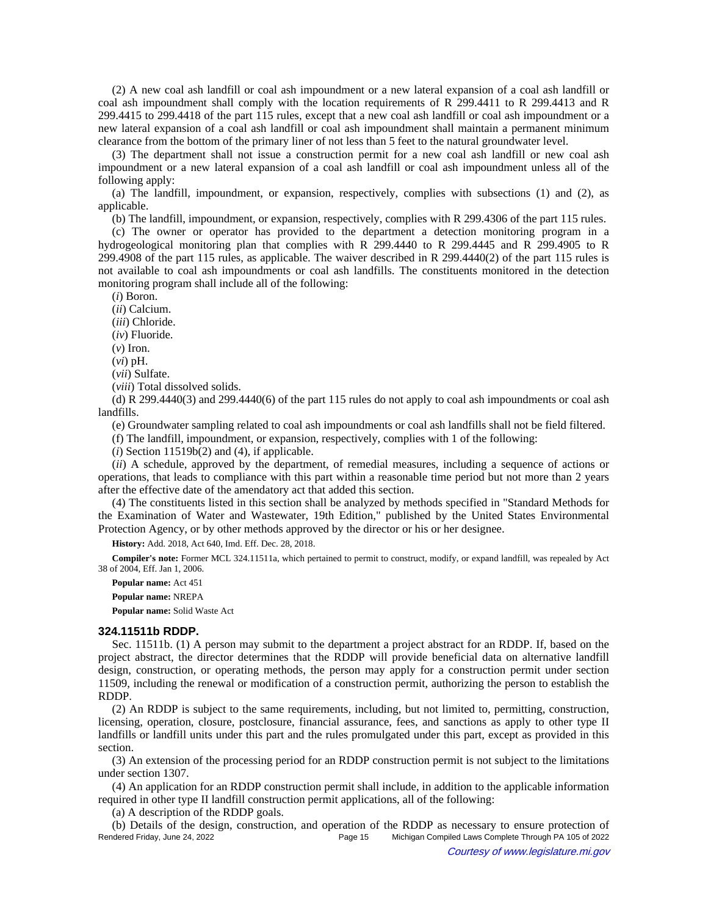(2) A new coal ash landfill or coal ash impoundment or a new lateral expansion of a coal ash landfill or coal ash impoundment shall comply with the location requirements of R 299.4411 to R 299.4413 and R 299.4415 to 299.4418 of the part 115 rules, except that a new coal ash landfill or coal ash impoundment or a new lateral expansion of a coal ash landfill or coal ash impoundment shall maintain a permanent minimum clearance from the bottom of the primary liner of not less than 5 feet to the natural groundwater level.

(3) The department shall not issue a construction permit for a new coal ash landfill or new coal ash impoundment or a new lateral expansion of a coal ash landfill or coal ash impoundment unless all of the following apply:

(a) The landfill, impoundment, or expansion, respectively, complies with subsections (1) and (2), as applicable.

(b) The landfill, impoundment, or expansion, respectively, complies with R 299.4306 of the part 115 rules.

(c) The owner or operator has provided to the department a detection monitoring program in a hydrogeological monitoring plan that complies with R 299.4440 to R 299.4445 and R 299.4905 to R 299.4908 of the part 115 rules, as applicable. The waiver described in R 299.4440(2) of the part 115 rules is not available to coal ash impoundments or coal ash landfills. The constituents monitored in the detection monitoring program shall include all of the following:

(*i*) Boron.

(*ii*) Calcium.

(*iii*) Chloride.

(*iv*) Fluoride.

(*v*) Iron.

(*vi*) pH.

(*vii*) Sulfate.

(*viii*) Total dissolved solids.

(d) R  $299.4440(3)$  and  $299.4440(6)$  of the part 115 rules do not apply to coal ash impoundments or coal ash landfills.

(e) Groundwater sampling related to coal ash impoundments or coal ash landfills shall not be field filtered.

(f) The landfill, impoundment, or expansion, respectively, complies with 1 of the following:

 $(i)$  Section 11519 $b(2)$  and  $(4)$ , if applicable.

(*ii*) A schedule, approved by the department, of remedial measures, including a sequence of actions or operations, that leads to compliance with this part within a reasonable time period but not more than 2 years after the effective date of the amendatory act that added this section.

(4) The constituents listed in this section shall be analyzed by methods specified in "Standard Methods for the Examination of Water and Wastewater, 19th Edition," published by the United States Environmental Protection Agency, or by other methods approved by the director or his or her designee.

**History:** Add. 2018, Act 640, Imd. Eff. Dec. 28, 2018.

**Compiler's note:** Former MCL 324.11511a, which pertained to permit to construct, modify, or expand landfill, was repealed by Act 38 of 2004, Eff. Jan 1, 2006.

**Popular name:** Act 451

**Popular name:** NREPA

**Popular name:** Solid Waste Act

#### **324.11511b RDDP.**

Sec. 11511b. (1) A person may submit to the department a project abstract for an RDDP. If, based on the project abstract, the director determines that the RDDP will provide beneficial data on alternative landfill design, construction, or operating methods, the person may apply for a construction permit under section 11509, including the renewal or modification of a construction permit, authorizing the person to establish the RDDP.

(2) An RDDP is subject to the same requirements, including, but not limited to, permitting, construction, licensing, operation, closure, postclosure, financial assurance, fees, and sanctions as apply to other type II landfills or landfill units under this part and the rules promulgated under this part, except as provided in this section.

(3) An extension of the processing period for an RDDP construction permit is not subject to the limitations under section 1307.

(4) An application for an RDDP construction permit shall include, in addition to the applicable information required in other type II landfill construction permit applications, all of the following:

(a) A description of the RDDP goals.

(b) Details of the design, construction, and operation of the RDDP as necessary to ensure protection of Rendered Friday, June 24, 2022 Page 15 Michigan Compiled Laws Complete Through PA 105 of 2022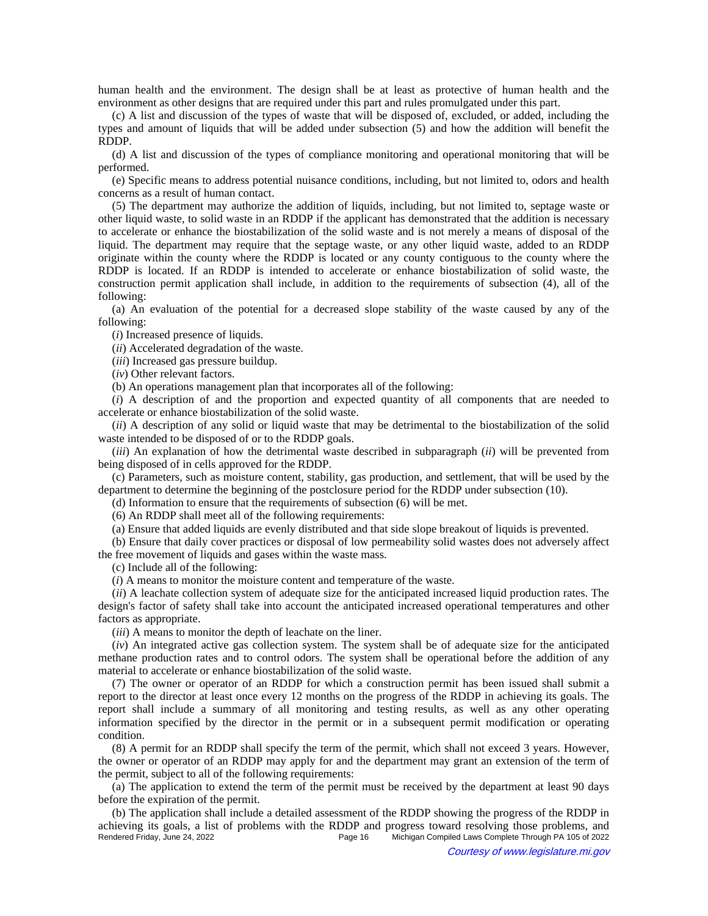human health and the environment. The design shall be at least as protective of human health and the environment as other designs that are required under this part and rules promulgated under this part.

(c) A list and discussion of the types of waste that will be disposed of, excluded, or added, including the types and amount of liquids that will be added under subsection (5) and how the addition will benefit the RDDP.

(d) A list and discussion of the types of compliance monitoring and operational monitoring that will be performed.

(e) Specific means to address potential nuisance conditions, including, but not limited to, odors and health concerns as a result of human contact.

(5) The department may authorize the addition of liquids, including, but not limited to, septage waste or other liquid waste, to solid waste in an RDDP if the applicant has demonstrated that the addition is necessary to accelerate or enhance the biostabilization of the solid waste and is not merely a means of disposal of the liquid. The department may require that the septage waste, or any other liquid waste, added to an RDDP originate within the county where the RDDP is located or any county contiguous to the county where the RDDP is located. If an RDDP is intended to accelerate or enhance biostabilization of solid waste, the construction permit application shall include, in addition to the requirements of subsection (4), all of the following:

(a) An evaluation of the potential for a decreased slope stability of the waste caused by any of the following:

(*i*) Increased presence of liquids.

(*ii*) Accelerated degradation of the waste.

(*iii*) Increased gas pressure buildup.

(*iv*) Other relevant factors.

(b) An operations management plan that incorporates all of the following:

(*i*) A description of and the proportion and expected quantity of all components that are needed to accelerate or enhance biostabilization of the solid waste.

(*ii*) A description of any solid or liquid waste that may be detrimental to the biostabilization of the solid waste intended to be disposed of or to the RDDP goals.

(*iii*) An explanation of how the detrimental waste described in subparagraph (*ii*) will be prevented from being disposed of in cells approved for the RDDP.

(c) Parameters, such as moisture content, stability, gas production, and settlement, that will be used by the department to determine the beginning of the postclosure period for the RDDP under subsection (10).

(d) Information to ensure that the requirements of subsection (6) will be met.

(6) An RDDP shall meet all of the following requirements:

(a) Ensure that added liquids are evenly distributed and that side slope breakout of liquids is prevented.

(b) Ensure that daily cover practices or disposal of low permeability solid wastes does not adversely affect the free movement of liquids and gases within the waste mass.

(c) Include all of the following:

(*i*) A means to monitor the moisture content and temperature of the waste.

(*ii*) A leachate collection system of adequate size for the anticipated increased liquid production rates. The design's factor of safety shall take into account the anticipated increased operational temperatures and other factors as appropriate.

(*iii*) A means to monitor the depth of leachate on the liner.

(*iv*) An integrated active gas collection system. The system shall be of adequate size for the anticipated methane production rates and to control odors. The system shall be operational before the addition of any material to accelerate or enhance biostabilization of the solid waste.

(7) The owner or operator of an RDDP for which a construction permit has been issued shall submit a report to the director at least once every 12 months on the progress of the RDDP in achieving its goals. The report shall include a summary of all monitoring and testing results, as well as any other operating information specified by the director in the permit or in a subsequent permit modification or operating condition.

(8) A permit for an RDDP shall specify the term of the permit, which shall not exceed 3 years. However, the owner or operator of an RDDP may apply for and the department may grant an extension of the term of the permit, subject to all of the following requirements:

(a) The application to extend the term of the permit must be received by the department at least 90 days before the expiration of the permit.

(b) The application shall include a detailed assessment of the RDDP showing the progress of the RDDP in achieving its goals, a list of problems with the RDDP and progress toward resolving those problems, and<br>Page 16 Michigan Compiled Laws Complete Through PA 105 of 2022 Michigan Compiled Laws Complete Through PA 105 of 2022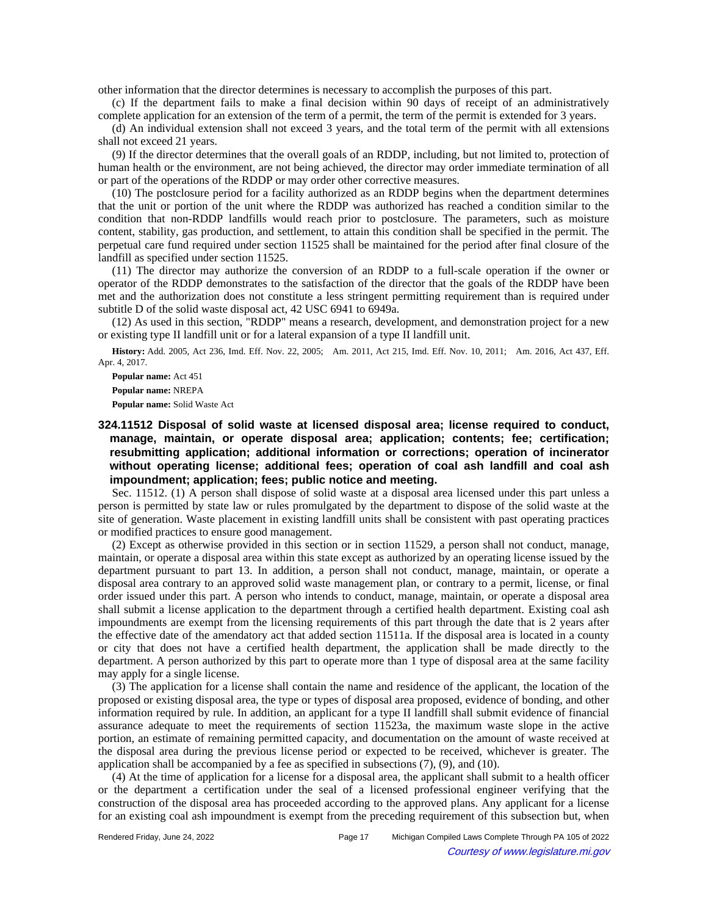other information that the director determines is necessary to accomplish the purposes of this part.

(c) If the department fails to make a final decision within 90 days of receipt of an administratively complete application for an extension of the term of a permit, the term of the permit is extended for 3 years.

(d) An individual extension shall not exceed 3 years, and the total term of the permit with all extensions shall not exceed 21 years.

(9) If the director determines that the overall goals of an RDDP, including, but not limited to, protection of human health or the environment, are not being achieved, the director may order immediate termination of all or part of the operations of the RDDP or may order other corrective measures.

(10) The postclosure period for a facility authorized as an RDDP begins when the department determines that the unit or portion of the unit where the RDDP was authorized has reached a condition similar to the condition that non-RDDP landfills would reach prior to postclosure. The parameters, such as moisture content, stability, gas production, and settlement, to attain this condition shall be specified in the permit. The perpetual care fund required under section 11525 shall be maintained for the period after final closure of the landfill as specified under section 11525.

(11) The director may authorize the conversion of an RDDP to a full-scale operation if the owner or operator of the RDDP demonstrates to the satisfaction of the director that the goals of the RDDP have been met and the authorization does not constitute a less stringent permitting requirement than is required under subtitle D of the solid waste disposal act, 42 USC 6941 to 6949a.

(12) As used in this section, "RDDP" means a research, development, and demonstration project for a new or existing type II landfill unit or for a lateral expansion of a type II landfill unit.

History: Add. 2005, Act 236, Imd. Eff. Nov. 22, 2005;-- Am. 2011, Act 215, Imd. Eff. Nov. 10, 2011;- Am. 2016, Act 437, Eff. Apr. 4, 2017.

**Popular name:** Act 451

**Popular name:** NREPA

**Popular name:** Solid Waste Act

**324.11512 Disposal of solid waste at licensed disposal area; license required to conduct, manage, maintain, or operate disposal area; application; contents; fee; certification; resubmitting application; additional information or corrections; operation of incinerator without operating license; additional fees; operation of coal ash landfill and coal ash impoundment; application; fees; public notice and meeting.**

Sec. 11512. (1) A person shall dispose of solid waste at a disposal area licensed under this part unless a person is permitted by state law or rules promulgated by the department to dispose of the solid waste at the site of generation. Waste placement in existing landfill units shall be consistent with past operating practices or modified practices to ensure good management.

(2) Except as otherwise provided in this section or in section 11529, a person shall not conduct, manage, maintain, or operate a disposal area within this state except as authorized by an operating license issued by the department pursuant to part 13. In addition, a person shall not conduct, manage, maintain, or operate a disposal area contrary to an approved solid waste management plan, or contrary to a permit, license, or final order issued under this part. A person who intends to conduct, manage, maintain, or operate a disposal area shall submit a license application to the department through a certified health department. Existing coal ash impoundments are exempt from the licensing requirements of this part through the date that is 2 years after the effective date of the amendatory act that added section 11511a. If the disposal area is located in a county or city that does not have a certified health department, the application shall be made directly to the department. A person authorized by this part to operate more than 1 type of disposal area at the same facility may apply for a single license.

(3) The application for a license shall contain the name and residence of the applicant, the location of the proposed or existing disposal area, the type or types of disposal area proposed, evidence of bonding, and other information required by rule. In addition, an applicant for a type II landfill shall submit evidence of financial assurance adequate to meet the requirements of section 11523a, the maximum waste slope in the active portion, an estimate of remaining permitted capacity, and documentation on the amount of waste received at the disposal area during the previous license period or expected to be received, whichever is greater. The application shall be accompanied by a fee as specified in subsections (7), (9), and (10).

(4) At the time of application for a license for a disposal area, the applicant shall submit to a health officer or the department a certification under the seal of a licensed professional engineer verifying that the construction of the disposal area has proceeded according to the approved plans. Any applicant for a license for an existing coal ash impoundment is exempt from the preceding requirement of this subsection but, when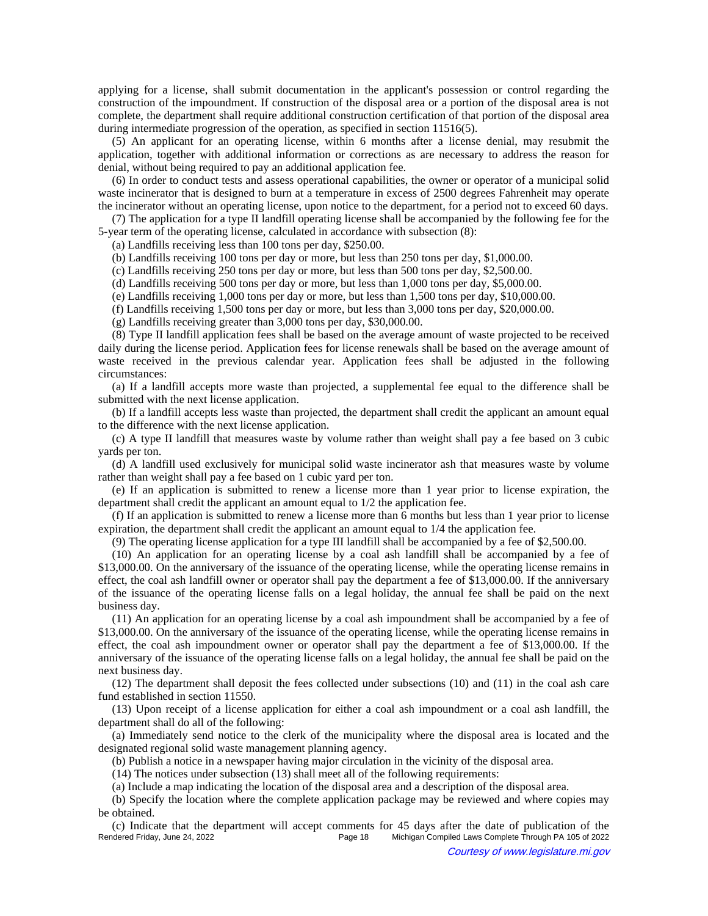applying for a license, shall submit documentation in the applicant's possession or control regarding the construction of the impoundment. If construction of the disposal area or a portion of the disposal area is not complete, the department shall require additional construction certification of that portion of the disposal area during intermediate progression of the operation, as specified in section 11516(5).

(5) An applicant for an operating license, within 6 months after a license denial, may resubmit the application, together with additional information or corrections as are necessary to address the reason for denial, without being required to pay an additional application fee.

(6) In order to conduct tests and assess operational capabilities, the owner or operator of a municipal solid waste incinerator that is designed to burn at a temperature in excess of 2500 degrees Fahrenheit may operate the incinerator without an operating license, upon notice to the department, for a period not to exceed 60 days.

(7) The application for a type II landfill operating license shall be accompanied by the following fee for the 5-year term of the operating license, calculated in accordance with subsection (8):

(a) Landfills receiving less than 100 tons per day, \$250.00.

(b) Landfills receiving 100 tons per day or more, but less than 250 tons per day, \$1,000.00.

(c) Landfills receiving 250 tons per day or more, but less than 500 tons per day, \$2,500.00.

(d) Landfills receiving 500 tons per day or more, but less than 1,000 tons per day, \$5,000.00.

(e) Landfills receiving 1,000 tons per day or more, but less than 1,500 tons per day, \$10,000.00.

(f) Landfills receiving 1,500 tons per day or more, but less than 3,000 tons per day, \$20,000.00.

(g) Landfills receiving greater than 3,000 tons per day, \$30,000.00.

(8) Type II landfill application fees shall be based on the average amount of waste projected to be received daily during the license period. Application fees for license renewals shall be based on the average amount of waste received in the previous calendar year. Application fees shall be adjusted in the following circumstances:

(a) If a landfill accepts more waste than projected, a supplemental fee equal to the difference shall be submitted with the next license application.

(b) If a landfill accepts less waste than projected, the department shall credit the applicant an amount equal to the difference with the next license application.

(c) A type II landfill that measures waste by volume rather than weight shall pay a fee based on 3 cubic yards per ton.

(d) A landfill used exclusively for municipal solid waste incinerator ash that measures waste by volume rather than weight shall pay a fee based on 1 cubic yard per ton.

(e) If an application is submitted to renew a license more than 1 year prior to license expiration, the department shall credit the applicant an amount equal to 1/2 the application fee.

(f) If an application is submitted to renew a license more than 6 months but less than 1 year prior to license expiration, the department shall credit the applicant an amount equal to 1/4 the application fee.

(9) The operating license application for a type III landfill shall be accompanied by a fee of \$2,500.00.

(10) An application for an operating license by a coal ash landfill shall be accompanied by a fee of \$13,000.00. On the anniversary of the issuance of the operating license, while the operating license remains in effect, the coal ash landfill owner or operator shall pay the department a fee of \$13,000.00. If the anniversary of the issuance of the operating license falls on a legal holiday, the annual fee shall be paid on the next business day.

(11) An application for an operating license by a coal ash impoundment shall be accompanied by a fee of \$13,000.00. On the anniversary of the issuance of the operating license, while the operating license remains in effect, the coal ash impoundment owner or operator shall pay the department a fee of \$13,000.00. If the anniversary of the issuance of the operating license falls on a legal holiday, the annual fee shall be paid on the next business day.

(12) The department shall deposit the fees collected under subsections (10) and (11) in the coal ash care fund established in section 11550.

(13) Upon receipt of a license application for either a coal ash impoundment or a coal ash landfill, the department shall do all of the following:

(a) Immediately send notice to the clerk of the municipality where the disposal area is located and the designated regional solid waste management planning agency.

(b) Publish a notice in a newspaper having major circulation in the vicinity of the disposal area.

(14) The notices under subsection (13) shall meet all of the following requirements:

(a) Include a map indicating the location of the disposal area and a description of the disposal area.

(b) Specify the location where the complete application package may be reviewed and where copies may be obtained.

(c) Indicate that the department will accept comments for 45 days after the date of publication of the Michigan Compiled Laws Complete Through PA 105 of 2022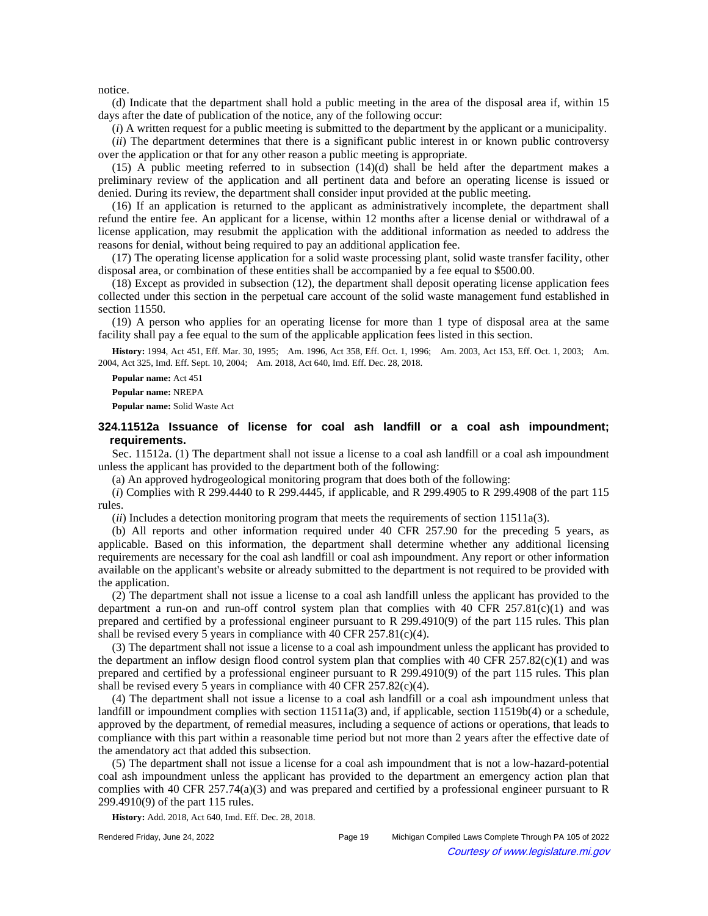notice.

(d) Indicate that the department shall hold a public meeting in the area of the disposal area if, within 15 days after the date of publication of the notice, any of the following occur:

(*i*) A written request for a public meeting is submitted to the department by the applicant or a municipality.

(*ii*) The department determines that there is a significant public interest in or known public controversy over the application or that for any other reason a public meeting is appropriate.

(15) A public meeting referred to in subsection (14)(d) shall be held after the department makes a preliminary review of the application and all pertinent data and before an operating license is issued or denied. During its review, the department shall consider input provided at the public meeting.

(16) If an application is returned to the applicant as administratively incomplete, the department shall refund the entire fee. An applicant for a license, within 12 months after a license denial or withdrawal of a license application, may resubmit the application with the additional information as needed to address the reasons for denial, without being required to pay an additional application fee.

(17) The operating license application for a solid waste processing plant, solid waste transfer facility, other disposal area, or combination of these entities shall be accompanied by a fee equal to \$500.00.

(18) Except as provided in subsection (12), the department shall deposit operating license application fees collected under this section in the perpetual care account of the solid waste management fund established in section 11550.

(19) A person who applies for an operating license for more than 1 type of disposal area at the same facility shall pay a fee equal to the sum of the applicable application fees listed in this section.

History: 1994, Act 451, Eff. Mar. 30, 1995;—Am. 1996, Act 358, Eff. Oct. 1, 1996;—Am. 2003, Act 153, Eff. Oct. 1, 2003;—Am. 2004, Act 325, Imd. Eff. Sept. 10, 2004;-- Am. 2018, Act 640, Imd. Eff. Dec. 28, 2018.

**Popular name:** Act 451

**Popular name:** NREPA

**Popular name:** Solid Waste Act

## **324.11512a Issuance of license for coal ash landfill or a coal ash impoundment; requirements.**

Sec. 11512a. (1) The department shall not issue a license to a coal ash landfill or a coal ash impoundment unless the applicant has provided to the department both of the following:

(a) An approved hydrogeological monitoring program that does both of the following:

(*i*) Complies with R 299.4440 to R 299.4445, if applicable, and R 299.4905 to R 299.4908 of the part 115 rules.

(*ii*) Includes a detection monitoring program that meets the requirements of section 11511a(3).

(b) All reports and other information required under 40 CFR 257.90 for the preceding 5 years, as applicable. Based on this information, the department shall determine whether any additional licensing requirements are necessary for the coal ash landfill or coal ash impoundment. Any report or other information available on the applicant's website or already submitted to the department is not required to be provided with the application.

(2) The department shall not issue a license to a coal ash landfill unless the applicant has provided to the department a run-on and run-off control system plan that complies with 40 CFR  $257.81(c)(1)$  and was prepared and certified by a professional engineer pursuant to R 299.4910(9) of the part 115 rules. This plan shall be revised every 5 years in compliance with 40 CFR  $257.81(c)(4)$ .

(3) The department shall not issue a license to a coal ash impoundment unless the applicant has provided to the department an inflow design flood control system plan that complies with 40 CFR 257.82(c)(1) and was prepared and certified by a professional engineer pursuant to R 299.4910(9) of the part 115 rules. This plan shall be revised every 5 years in compliance with 40 CFR 257.82(c)(4).

(4) The department shall not issue a license to a coal ash landfill or a coal ash impoundment unless that landfill or impoundment complies with section 11511a(3) and, if applicable, section 11519b(4) or a schedule, approved by the department, of remedial measures, including a sequence of actions or operations, that leads to compliance with this part within a reasonable time period but not more than 2 years after the effective date of the amendatory act that added this subsection.

(5) The department shall not issue a license for a coal ash impoundment that is not a low-hazard-potential coal ash impoundment unless the applicant has provided to the department an emergency action plan that complies with 40 CFR 257.74(a)(3) and was prepared and certified by a professional engineer pursuant to R 299.4910(9) of the part 115 rules.

**History:** Add. 2018, Act 640, Imd. Eff. Dec. 28, 2018.

Rendered Friday, June 24, 2022 Page 19 Michigan Compiled Laws Complete Through PA 105 of 2022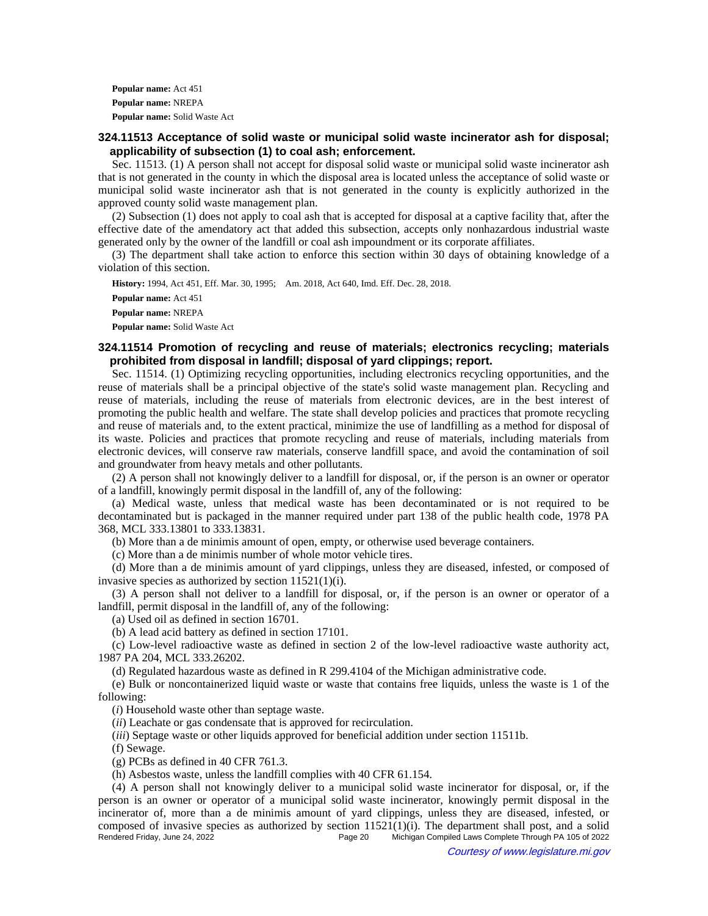**Popular name:** Act 451 **Popular name:** NREPA **Popular name:** Solid Waste Act

## **324.11513 Acceptance of solid waste or municipal solid waste incinerator ash for disposal; applicability of subsection (1) to coal ash; enforcement.**

Sec. 11513. (1) A person shall not accept for disposal solid waste or municipal solid waste incinerator ash that is not generated in the county in which the disposal area is located unless the acceptance of solid waste or municipal solid waste incinerator ash that is not generated in the county is explicitly authorized in the approved county solid waste management plan.

(2) Subsection (1) does not apply to coal ash that is accepted for disposal at a captive facility that, after the effective date of the amendatory act that added this subsection, accepts only nonhazardous industrial waste generated only by the owner of the landfill or coal ash impoundment or its corporate affiliates.

(3) The department shall take action to enforce this section within 30 days of obtaining knowledge of a violation of this section.

History: 1994, Act 451, Eff. Mar. 30, 1995;-- Am. 2018, Act 640, Imd. Eff. Dec. 28, 2018.

**Popular name:** Act 451 **Popular name:** NREPA **Popular name:** Solid Waste Act

# **324.11514 Promotion of recycling and reuse of materials; electronics recycling; materials prohibited from disposal in landfill; disposal of yard clippings; report.**

Sec. 11514. (1) Optimizing recycling opportunities, including electronics recycling opportunities, and the reuse of materials shall be a principal objective of the state's solid waste management plan. Recycling and reuse of materials, including the reuse of materials from electronic devices, are in the best interest of promoting the public health and welfare. The state shall develop policies and practices that promote recycling and reuse of materials and, to the extent practical, minimize the use of landfilling as a method for disposal of its waste. Policies and practices that promote recycling and reuse of materials, including materials from electronic devices, will conserve raw materials, conserve landfill space, and avoid the contamination of soil and groundwater from heavy metals and other pollutants.

(2) A person shall not knowingly deliver to a landfill for disposal, or, if the person is an owner or operator of a landfill, knowingly permit disposal in the landfill of, any of the following:

(a) Medical waste, unless that medical waste has been decontaminated or is not required to be decontaminated but is packaged in the manner required under part 138 of the public health code, 1978 PA 368, MCL 333.13801 to 333.13831.

(b) More than a de minimis amount of open, empty, or otherwise used beverage containers.

(c) More than a de minimis number of whole motor vehicle tires.

(d) More than a de minimis amount of yard clippings, unless they are diseased, infested, or composed of invasive species as authorized by section 11521(1)(i).

(3) A person shall not deliver to a landfill for disposal, or, if the person is an owner or operator of a landfill, permit disposal in the landfill of, any of the following:

(a) Used oil as defined in section 16701.

(b) A lead acid battery as defined in section 17101.

(c) Low-level radioactive waste as defined in section 2 of the low-level radioactive waste authority act, 1987 PA 204, MCL 333.26202.

(d) Regulated hazardous waste as defined in R 299.4104 of the Michigan administrative code.

(e) Bulk or noncontainerized liquid waste or waste that contains free liquids, unless the waste is 1 of the following:

(*i*) Household waste other than septage waste.

(*ii*) Leachate or gas condensate that is approved for recirculation.

(*iii*) Septage waste or other liquids approved for beneficial addition under section 11511b.

(f) Sewage.

(g) PCBs as defined in 40 CFR 761.3.

(h) Asbestos waste, unless the landfill complies with 40 CFR 61.154.

(4) A person shall not knowingly deliver to a municipal solid waste incinerator for disposal, or, if the person is an owner or operator of a municipal solid waste incinerator, knowingly permit disposal in the incinerator of, more than a de minimis amount of yard clippings, unless they are diseased, infested, or composed of invasive species as authorized by section 11521(1)(i). The department shall post, and a solid<br>Page 20 Michigan Compiled Laws Complete Through PA 105 of 2022 Michigan Compiled Laws Complete Through PA 105 of 2022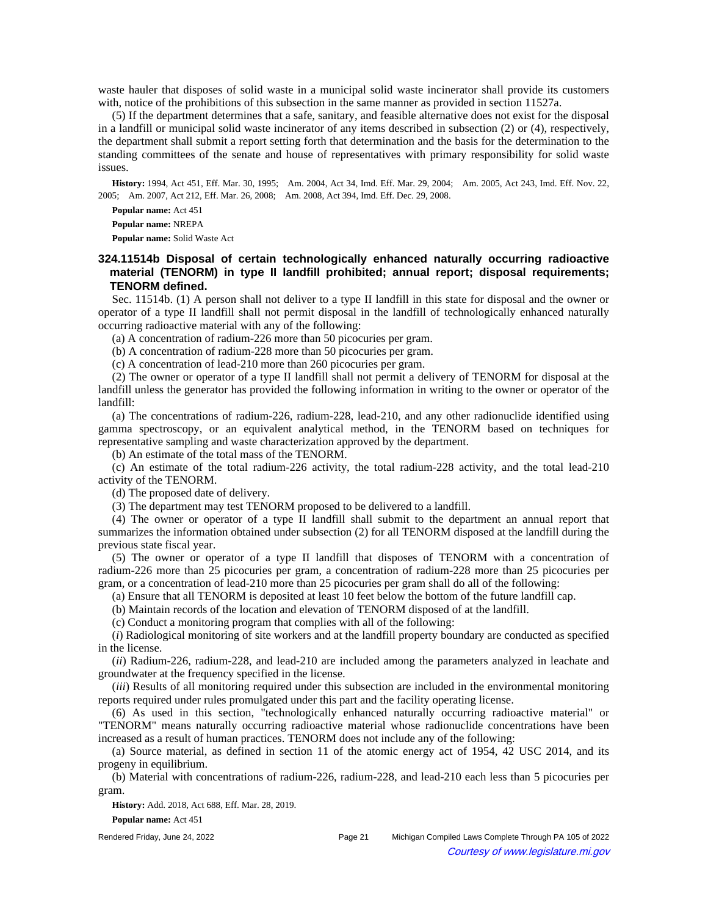waste hauler that disposes of solid waste in a municipal solid waste incinerator shall provide its customers with, notice of the prohibitions of this subsection in the same manner as provided in section 11527a.

(5) If the department determines that a safe, sanitary, and feasible alternative does not exist for the disposal in a landfill or municipal solid waste incinerator of any items described in subsection (2) or (4), respectively, the department shall submit a report setting forth that determination and the basis for the determination to the standing committees of the senate and house of representatives with primary responsibility for solid waste issues.

History: 1994, Act 451, Eff. Mar. 30, 1995;-Am. 2004, Act 34, Imd. Eff. Mar. 29, 2004;--Am. 2005, Act 243, Imd. Eff. Nov. 22, 2005;—Am. 2007, Act 212, Eff. Mar. 26, 2008;—Am. 2008, Act 394, Imd. Eff. Dec. 29, 2008.

**Popular name:** Act 451 **Popular name:** NREPA **Popular name:** Solid Waste Act

# **324.11514b Disposal of certain technologically enhanced naturally occurring radioactive material (TENORM) in type II landfill prohibited; annual report; disposal requirements; TENORM defined.**

Sec. 11514b. (1) A person shall not deliver to a type II landfill in this state for disposal and the owner or operator of a type II landfill shall not permit disposal in the landfill of technologically enhanced naturally occurring radioactive material with any of the following:

(a) A concentration of radium-226 more than 50 picocuries per gram.

(b) A concentration of radium-228 more than 50 picocuries per gram.

(c) A concentration of lead-210 more than 260 picocuries per gram.

(2) The owner or operator of a type II landfill shall not permit a delivery of TENORM for disposal at the landfill unless the generator has provided the following information in writing to the owner or operator of the landfill:

(a) The concentrations of radium-226, radium-228, lead-210, and any other radionuclide identified using gamma spectroscopy, or an equivalent analytical method, in the TENORM based on techniques for representative sampling and waste characterization approved by the department.

(b) An estimate of the total mass of the TENORM.

(c) An estimate of the total radium-226 activity, the total radium-228 activity, and the total lead-210 activity of the TENORM.

(d) The proposed date of delivery.

(3) The department may test TENORM proposed to be delivered to a landfill.

(4) The owner or operator of a type II landfill shall submit to the department an annual report that summarizes the information obtained under subsection (2) for all TENORM disposed at the landfill during the previous state fiscal year.

(5) The owner or operator of a type II landfill that disposes of TENORM with a concentration of radium-226 more than 25 picocuries per gram, a concentration of radium-228 more than 25 picocuries per gram, or a concentration of lead-210 more than 25 picocuries per gram shall do all of the following:

(a) Ensure that all TENORM is deposited at least 10 feet below the bottom of the future landfill cap.

(b) Maintain records of the location and elevation of TENORM disposed of at the landfill.

(c) Conduct a monitoring program that complies with all of the following:

(*i*) Radiological monitoring of site workers and at the landfill property boundary are conducted as specified in the license.

(*ii*) Radium-226, radium-228, and lead-210 are included among the parameters analyzed in leachate and groundwater at the frequency specified in the license.

(*iii*) Results of all monitoring required under this subsection are included in the environmental monitoring reports required under rules promulgated under this part and the facility operating license.

(6) As used in this section, "technologically enhanced naturally occurring radioactive material" or "TENORM" means naturally occurring radioactive material whose radionuclide concentrations have been increased as a result of human practices. TENORM does not include any of the following:

(a) Source material, as defined in section 11 of the atomic energy act of 1954, 42 USC 2014, and its progeny in equilibrium.

(b) Material with concentrations of radium-226, radium-228, and lead-210 each less than 5 picocuries per gram.

**History:** Add. 2018, Act 688, Eff. Mar. 28, 2019. **Popular name:** Act 451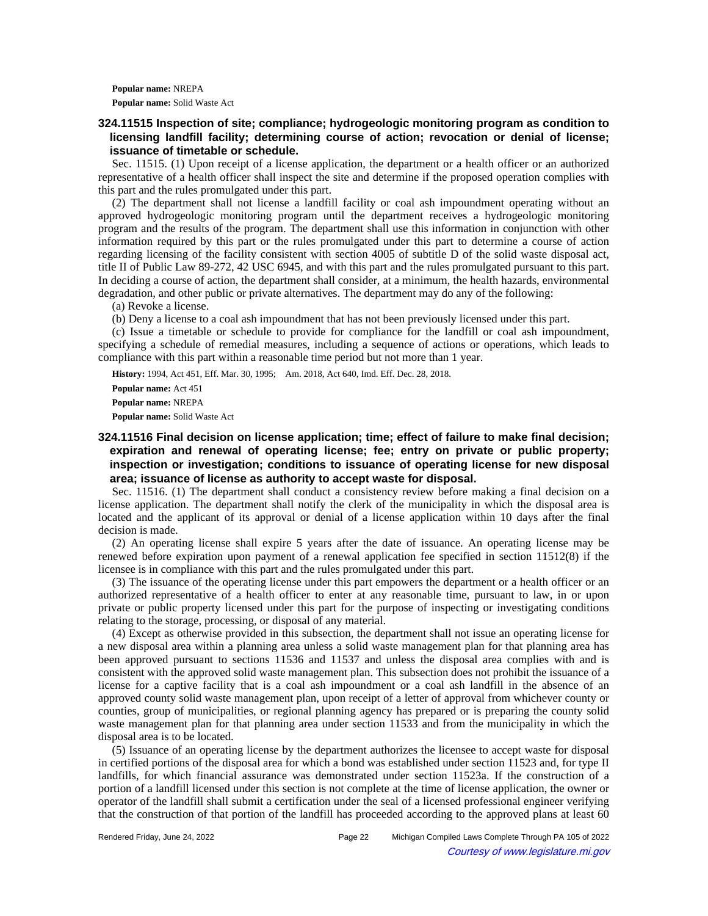**Popular name:** NREPA **Popular name:** Solid Waste Act

# **324.11515 Inspection of site; compliance; hydrogeologic monitoring program as condition to licensing landfill facility; determining course of action; revocation or denial of license; issuance of timetable or schedule.**

Sec. 11515. (1) Upon receipt of a license application, the department or a health officer or an authorized representative of a health officer shall inspect the site and determine if the proposed operation complies with this part and the rules promulgated under this part.

(2) The department shall not license a landfill facility or coal ash impoundment operating without an approved hydrogeologic monitoring program until the department receives a hydrogeologic monitoring program and the results of the program. The department shall use this information in conjunction with other information required by this part or the rules promulgated under this part to determine a course of action regarding licensing of the facility consistent with section 4005 of subtitle D of the solid waste disposal act, title II of Public Law 89-272, 42 USC 6945, and with this part and the rules promulgated pursuant to this part. In deciding a course of action, the department shall consider, at a minimum, the health hazards, environmental degradation, and other public or private alternatives. The department may do any of the following:

(a) Revoke a license.

(b) Deny a license to a coal ash impoundment that has not been previously licensed under this part.

(c) Issue a timetable or schedule to provide for compliance for the landfill or coal ash impoundment, specifying a schedule of remedial measures, including a sequence of actions or operations, which leads to compliance with this part within a reasonable time period but not more than 1 year.

**History:** 1994, Act 451, Eff. Mar. 30, 1995;-- Am. 2018, Act 640, Imd. Eff. Dec. 28, 2018.

**Popular name:** Act 451

**Popular name:** NREPA

**Popular name:** Solid Waste Act

**324.11516 Final decision on license application; time; effect of failure to make final decision; expiration and renewal of operating license; fee; entry on private or public property; inspection or investigation; conditions to issuance of operating license for new disposal area; issuance of license as authority to accept waste for disposal.**

Sec. 11516. (1) The department shall conduct a consistency review before making a final decision on a license application. The department shall notify the clerk of the municipality in which the disposal area is located and the applicant of its approval or denial of a license application within 10 days after the final decision is made.

(2) An operating license shall expire 5 years after the date of issuance. An operating license may be renewed before expiration upon payment of a renewal application fee specified in section 11512(8) if the licensee is in compliance with this part and the rules promulgated under this part.

(3) The issuance of the operating license under this part empowers the department or a health officer or an authorized representative of a health officer to enter at any reasonable time, pursuant to law, in or upon private or public property licensed under this part for the purpose of inspecting or investigating conditions relating to the storage, processing, or disposal of any material.

(4) Except as otherwise provided in this subsection, the department shall not issue an operating license for a new disposal area within a planning area unless a solid waste management plan for that planning area has been approved pursuant to sections 11536 and 11537 and unless the disposal area complies with and is consistent with the approved solid waste management plan. This subsection does not prohibit the issuance of a license for a captive facility that is a coal ash impoundment or a coal ash landfill in the absence of an approved county solid waste management plan, upon receipt of a letter of approval from whichever county or counties, group of municipalities, or regional planning agency has prepared or is preparing the county solid waste management plan for that planning area under section 11533 and from the municipality in which the disposal area is to be located.

(5) Issuance of an operating license by the department authorizes the licensee to accept waste for disposal in certified portions of the disposal area for which a bond was established under section 11523 and, for type II landfills, for which financial assurance was demonstrated under section 11523a. If the construction of a portion of a landfill licensed under this section is not complete at the time of license application, the owner or operator of the landfill shall submit a certification under the seal of a licensed professional engineer verifying that the construction of that portion of the landfill has proceeded according to the approved plans at least 60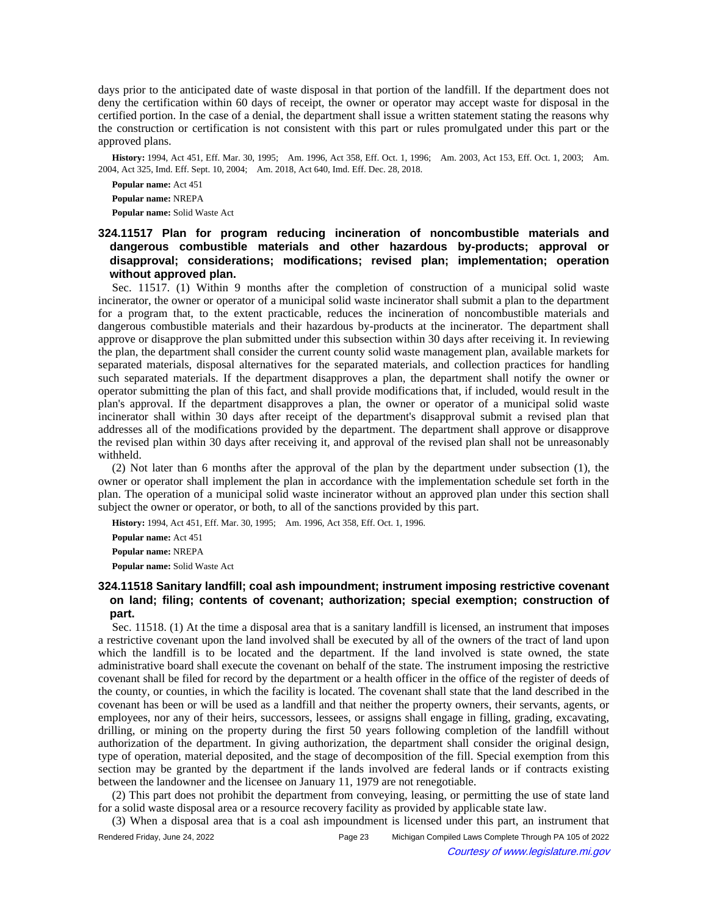days prior to the anticipated date of waste disposal in that portion of the landfill. If the department does not deny the certification within 60 days of receipt, the owner or operator may accept waste for disposal in the certified portion. In the case of a denial, the department shall issue a written statement stating the reasons why the construction or certification is not consistent with this part or rules promulgated under this part or the approved plans.

History: 1994, Act 451, Eff. Mar. 30, 1995;-Am. 1996, Act 358, Eff. Oct. 1, 1996;--Am. 2003, Act 153, Eff. Oct. 1, 2003;--Am. 2004, Act 325, Imd. Eff. Sept. 10, 2004;-- Am. 2018, Act 640, Imd. Eff. Dec. 28, 2018.

**Popular name:** Act 451 **Popular name:** NREPA **Popular name:** Solid Waste Act

# **324.11517 Plan for program reducing incineration of noncombustible materials and dangerous combustible materials and other hazardous by-products; approval or disapproval; considerations; modifications; revised plan; implementation; operation without approved plan.**

Sec. 11517. (1) Within 9 months after the completion of construction of a municipal solid waste incinerator, the owner or operator of a municipal solid waste incinerator shall submit a plan to the department for a program that, to the extent practicable, reduces the incineration of noncombustible materials and dangerous combustible materials and their hazardous by-products at the incinerator. The department shall approve or disapprove the plan submitted under this subsection within 30 days after receiving it. In reviewing the plan, the department shall consider the current county solid waste management plan, available markets for separated materials, disposal alternatives for the separated materials, and collection practices for handling such separated materials. If the department disapproves a plan, the department shall notify the owner or operator submitting the plan of this fact, and shall provide modifications that, if included, would result in the plan's approval. If the department disapproves a plan, the owner or operator of a municipal solid waste incinerator shall within 30 days after receipt of the department's disapproval submit a revised plan that addresses all of the modifications provided by the department. The department shall approve or disapprove the revised plan within 30 days after receiving it, and approval of the revised plan shall not be unreasonably withheld.

(2) Not later than 6 months after the approval of the plan by the department under subsection (1), the owner or operator shall implement the plan in accordance with the implementation schedule set forth in the plan. The operation of a municipal solid waste incinerator without an approved plan under this section shall subject the owner or operator, or both, to all of the sanctions provided by this part.

History: 1994, Act 451, Eff. Mar. 30, 1995;-- Am. 1996, Act 358, Eff. Oct. 1, 1996.

**Popular name:** Act 451 **Popular name:** NREPA **Popular name:** Solid Waste Act

## **324.11518 Sanitary landfill; coal ash impoundment; instrument imposing restrictive covenant on land; filing; contents of covenant; authorization; special exemption; construction of part.**

Sec. 11518. (1) At the time a disposal area that is a sanitary landfill is licensed, an instrument that imposes a restrictive covenant upon the land involved shall be executed by all of the owners of the tract of land upon which the landfill is to be located and the department. If the land involved is state owned, the state administrative board shall execute the covenant on behalf of the state. The instrument imposing the restrictive covenant shall be filed for record by the department or a health officer in the office of the register of deeds of the county, or counties, in which the facility is located. The covenant shall state that the land described in the covenant has been or will be used as a landfill and that neither the property owners, their servants, agents, or employees, nor any of their heirs, successors, lessees, or assigns shall engage in filling, grading, excavating, drilling, or mining on the property during the first 50 years following completion of the landfill without authorization of the department. In giving authorization, the department shall consider the original design, type of operation, material deposited, and the stage of decomposition of the fill. Special exemption from this section may be granted by the department if the lands involved are federal lands or if contracts existing between the landowner and the licensee on January 11, 1979 are not renegotiable.

(2) This part does not prohibit the department from conveying, leasing, or permitting the use of state land for a solid waste disposal area or a resource recovery facility as provided by applicable state law.

(3) When a disposal area that is a coal ash impoundment is licensed under this part, an instrument that

Rendered Friday, June 24, 2022 Page 23 Michigan Compiled Laws Complete Through PA 105 of 2022 Courtesy of www.legislature.mi.gov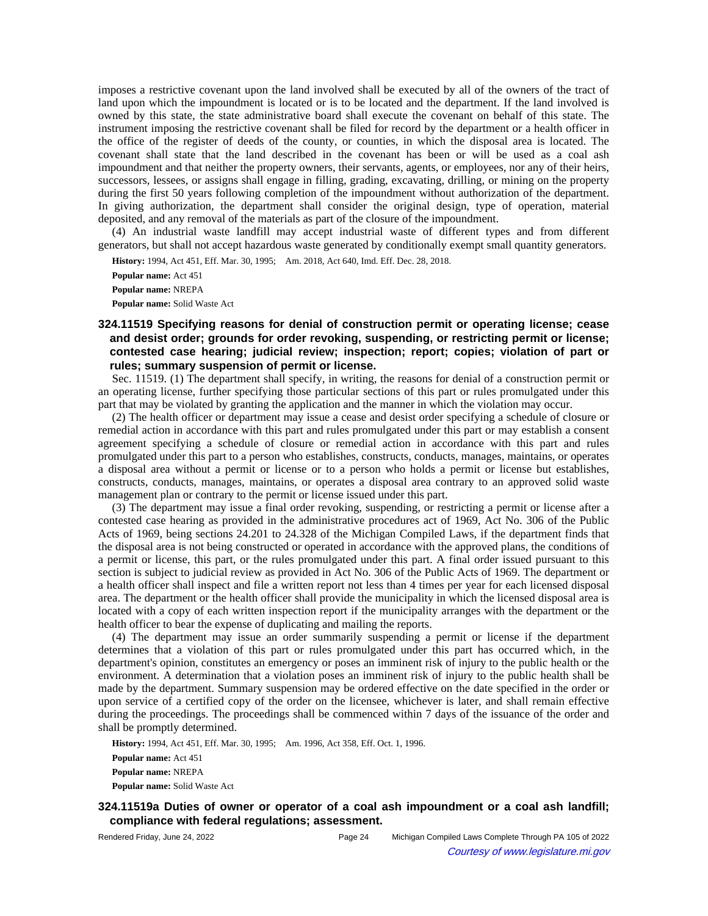imposes a restrictive covenant upon the land involved shall be executed by all of the owners of the tract of land upon which the impoundment is located or is to be located and the department. If the land involved is owned by this state, the state administrative board shall execute the covenant on behalf of this state. The instrument imposing the restrictive covenant shall be filed for record by the department or a health officer in the office of the register of deeds of the county, or counties, in which the disposal area is located. The covenant shall state that the land described in the covenant has been or will be used as a coal ash impoundment and that neither the property owners, their servants, agents, or employees, nor any of their heirs, successors, lessees, or assigns shall engage in filling, grading, excavating, drilling, or mining on the property during the first 50 years following completion of the impoundment without authorization of the department. In giving authorization, the department shall consider the original design, type of operation, material deposited, and any removal of the materials as part of the closure of the impoundment.

(4) An industrial waste landfill may accept industrial waste of different types and from different generators, but shall not accept hazardous waste generated by conditionally exempt small quantity generators.

History: 1994, Act 451, Eff. Mar. 30, 1995;-Am. 2018, Act 640, Imd. Eff. Dec. 28, 2018.

**Popular name:** Act 451 **Popular name:** NREPA **Popular name:** Solid Waste Act

# **324.11519 Specifying reasons for denial of construction permit or operating license; cease and desist order; grounds for order revoking, suspending, or restricting permit or license; contested case hearing; judicial review; inspection; report; copies; violation of part or rules; summary suspension of permit or license.**

Sec. 11519. (1) The department shall specify, in writing, the reasons for denial of a construction permit or an operating license, further specifying those particular sections of this part or rules promulgated under this part that may be violated by granting the application and the manner in which the violation may occur.

(2) The health officer or department may issue a cease and desist order specifying a schedule of closure or remedial action in accordance with this part and rules promulgated under this part or may establish a consent agreement specifying a schedule of closure or remedial action in accordance with this part and rules promulgated under this part to a person who establishes, constructs, conducts, manages, maintains, or operates a disposal area without a permit or license or to a person who holds a permit or license but establishes, constructs, conducts, manages, maintains, or operates a disposal area contrary to an approved solid waste management plan or contrary to the permit or license issued under this part.

(3) The department may issue a final order revoking, suspending, or restricting a permit or license after a contested case hearing as provided in the administrative procedures act of 1969, Act No. 306 of the Public Acts of 1969, being sections 24.201 to 24.328 of the Michigan Compiled Laws, if the department finds that the disposal area is not being constructed or operated in accordance with the approved plans, the conditions of a permit or license, this part, or the rules promulgated under this part. A final order issued pursuant to this section is subject to judicial review as provided in Act No. 306 of the Public Acts of 1969. The department or a health officer shall inspect and file a written report not less than 4 times per year for each licensed disposal area. The department or the health officer shall provide the municipality in which the licensed disposal area is located with a copy of each written inspection report if the municipality arranges with the department or the health officer to bear the expense of duplicating and mailing the reports.

(4) The department may issue an order summarily suspending a permit or license if the department determines that a violation of this part or rules promulgated under this part has occurred which, in the department's opinion, constitutes an emergency or poses an imminent risk of injury to the public health or the environment. A determination that a violation poses an imminent risk of injury to the public health shall be made by the department. Summary suspension may be ordered effective on the date specified in the order or upon service of a certified copy of the order on the licensee, whichever is later, and shall remain effective during the proceedings. The proceedings shall be commenced within 7 days of the issuance of the order and shall be promptly determined.

History: 1994, Act 451, Eff. Mar. 30, 1995;-- Am. 1996, Act 358, Eff. Oct. 1, 1996.

**Popular name:** Act 451 **Popular name:** NREPA **Popular name:** Solid Waste Act

# **324.11519a Duties of owner or operator of a coal ash impoundment or a coal ash landfill; compliance with federal regulations; assessment.**

Rendered Friday, June 24, 2022 Page 24 Michigan Compiled Laws Complete Through PA 105 of 2022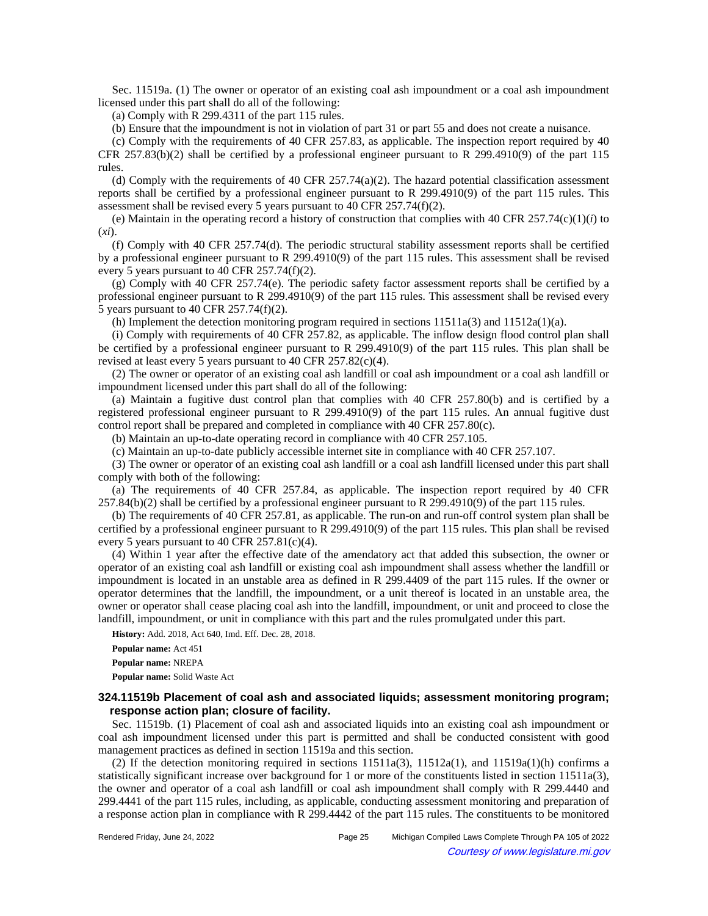Sec. 11519a. (1) The owner or operator of an existing coal ash impoundment or a coal ash impoundment licensed under this part shall do all of the following:

(a) Comply with R 299.4311 of the part 115 rules.

(b) Ensure that the impoundment is not in violation of part 31 or part 55 and does not create a nuisance.

(c) Comply with the requirements of 40 CFR 257.83, as applicable. The inspection report required by 40 CFR 257.83(b)(2) shall be certified by a professional engineer pursuant to R 299.4910(9) of the part 115 rules.

(d) Comply with the requirements of 40 CFR 257.74(a)(2). The hazard potential classification assessment reports shall be certified by a professional engineer pursuant to R 299.4910(9) of the part 115 rules. This assessment shall be revised every 5 years pursuant to 40 CFR 257.74(f)(2).

(e) Maintain in the operating record a history of construction that complies with 40 CFR  $257.74(c)(1)(i)$  to (*xi*).

(f) Comply with 40 CFR 257.74(d). The periodic structural stability assessment reports shall be certified by a professional engineer pursuant to R 299.4910(9) of the part 115 rules. This assessment shall be revised every 5 years pursuant to 40 CFR 257.74(f)(2).

(g) Comply with 40 CFR 257.74(e). The periodic safety factor assessment reports shall be certified by a professional engineer pursuant to R 299.4910(9) of the part 115 rules. This assessment shall be revised every 5 years pursuant to 40 CFR 257.74(f)(2).

(h) Implement the detection monitoring program required in sections  $11511a(3)$  and  $11512a(1)(a)$ .

(i) Comply with requirements of 40 CFR 257.82, as applicable. The inflow design flood control plan shall be certified by a professional engineer pursuant to R 299.4910(9) of the part 115 rules. This plan shall be revised at least every 5 years pursuant to 40 CFR 257.82(c)(4).

(2) The owner or operator of an existing coal ash landfill or coal ash impoundment or a coal ash landfill or impoundment licensed under this part shall do all of the following:

(a) Maintain a fugitive dust control plan that complies with 40 CFR 257.80(b) and is certified by a registered professional engineer pursuant to R 299.4910(9) of the part 115 rules. An annual fugitive dust control report shall be prepared and completed in compliance with 40 CFR 257.80(c).

(b) Maintain an up-to-date operating record in compliance with 40 CFR 257.105.

(c) Maintain an up-to-date publicly accessible internet site in compliance with 40 CFR 257.107.

(3) The owner or operator of an existing coal ash landfill or a coal ash landfill licensed under this part shall comply with both of the following:

(a) The requirements of 40 CFR 257.84, as applicable. The inspection report required by 40 CFR 257.84(b)(2) shall be certified by a professional engineer pursuant to R 299.4910(9) of the part 115 rules.

(b) The requirements of 40 CFR 257.81, as applicable. The run-on and run-off control system plan shall be certified by a professional engineer pursuant to R 299.4910(9) of the part 115 rules. This plan shall be revised every 5 years pursuant to 40 CFR 257.81(c)(4).

(4) Within 1 year after the effective date of the amendatory act that added this subsection, the owner or operator of an existing coal ash landfill or existing coal ash impoundment shall assess whether the landfill or impoundment is located in an unstable area as defined in R 299.4409 of the part 115 rules. If the owner or operator determines that the landfill, the impoundment, or a unit thereof is located in an unstable area, the owner or operator shall cease placing coal ash into the landfill, impoundment, or unit and proceed to close the landfill, impoundment, or unit in compliance with this part and the rules promulgated under this part.

**History:** Add. 2018, Act 640, Imd. Eff. Dec. 28, 2018.

**Popular name:** Act 451

**Popular name:** NREPA **Popular name:** Solid Waste Act

**324.11519b Placement of coal ash and associated liquids; assessment monitoring program; response action plan; closure of facility.**

Sec. 11519b. (1) Placement of coal ash and associated liquids into an existing coal ash impoundment or coal ash impoundment licensed under this part is permitted and shall be conducted consistent with good management practices as defined in section 11519a and this section.

(2) If the detection monitoring required in sections  $11511a(3)$ ,  $11512a(1)$ , and  $11519a(1)(h)$  confirms a statistically significant increase over background for 1 or more of the constituents listed in section 11511a(3), the owner and operator of a coal ash landfill or coal ash impoundment shall comply with R 299.4440 and 299.4441 of the part 115 rules, including, as applicable, conducting assessment monitoring and preparation of a response action plan in compliance with R 299.4442 of the part 115 rules. The constituents to be monitored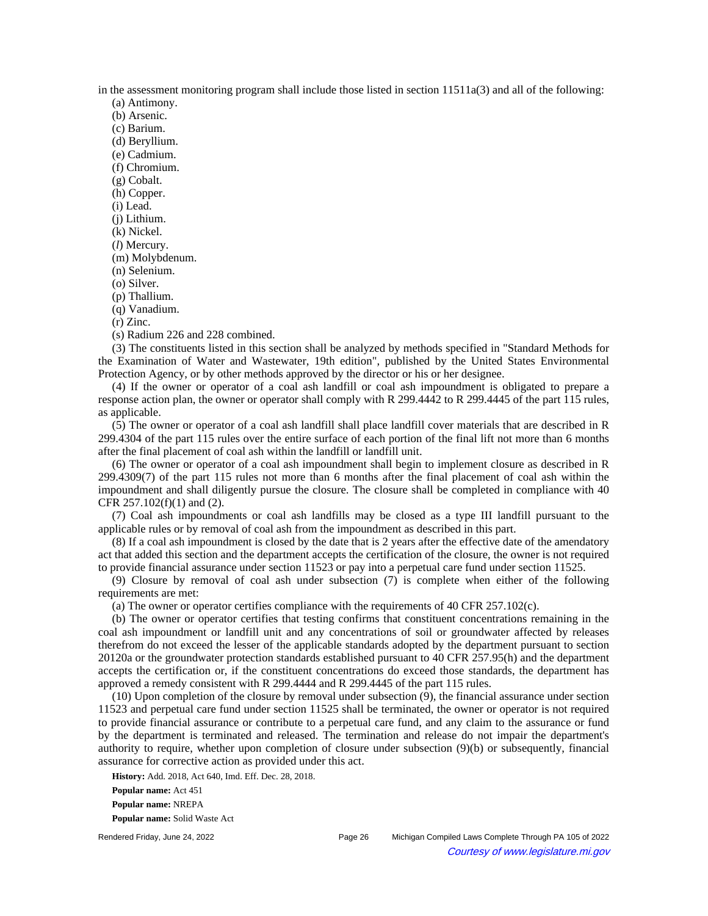in the assessment monitoring program shall include those listed in section 11511a(3) and all of the following:

(a) Antimony.

(b) Arsenic.

(c) Barium.

(d) Beryllium. (e) Cadmium.

(f) Chromium.

(g) Cobalt.

(h) Copper.

(i) Lead.

(j) Lithium.

(k) Nickel.

(*l*) Mercury.

(m) Molybdenum.

(n) Selenium.

(o) Silver.

(p) Thallium.

(q) Vanadium.

(r) Zinc.

(s) Radium 226 and 228 combined.

(3) The constituents listed in this section shall be analyzed by methods specified in "Standard Methods for the Examination of Water and Wastewater, 19th edition", published by the United States Environmental Protection Agency, or by other methods approved by the director or his or her designee.

(4) If the owner or operator of a coal ash landfill or coal ash impoundment is obligated to prepare a response action plan, the owner or operator shall comply with R 299.4442 to R 299.4445 of the part 115 rules, as applicable.

(5) The owner or operator of a coal ash landfill shall place landfill cover materials that are described in R 299.4304 of the part 115 rules over the entire surface of each portion of the final lift not more than 6 months after the final placement of coal ash within the landfill or landfill unit.

(6) The owner or operator of a coal ash impoundment shall begin to implement closure as described in R 299.4309(7) of the part 115 rules not more than 6 months after the final placement of coal ash within the impoundment and shall diligently pursue the closure. The closure shall be completed in compliance with 40 CFR 257.102(f)(1) and (2).

(7) Coal ash impoundments or coal ash landfills may be closed as a type III landfill pursuant to the applicable rules or by removal of coal ash from the impoundment as described in this part.

(8) If a coal ash impoundment is closed by the date that is 2 years after the effective date of the amendatory act that added this section and the department accepts the certification of the closure, the owner is not required to provide financial assurance under section 11523 or pay into a perpetual care fund under section 11525.

(9) Closure by removal of coal ash under subsection (7) is complete when either of the following requirements are met:

(a) The owner or operator certifies compliance with the requirements of 40 CFR 257.102(c).

(b) The owner or operator certifies that testing confirms that constituent concentrations remaining in the coal ash impoundment or landfill unit and any concentrations of soil or groundwater affected by releases therefrom do not exceed the lesser of the applicable standards adopted by the department pursuant to section 20120a or the groundwater protection standards established pursuant to 40 CFR 257.95(h) and the department accepts the certification or, if the constituent concentrations do exceed those standards, the department has approved a remedy consistent with R 299.4444 and R 299.4445 of the part 115 rules.

(10) Upon completion of the closure by removal under subsection (9), the financial assurance under section 11523 and perpetual care fund under section 11525 shall be terminated, the owner or operator is not required to provide financial assurance or contribute to a perpetual care fund, and any claim to the assurance or fund by the department is terminated and released. The termination and release do not impair the department's authority to require, whether upon completion of closure under subsection (9)(b) or subsequently, financial assurance for corrective action as provided under this act.

**History:** Add. 2018, Act 640, Imd. Eff. Dec. 28, 2018. **Popular name:** Act 451

**Popular name:** NREPA

**Popular name:** Solid Waste Act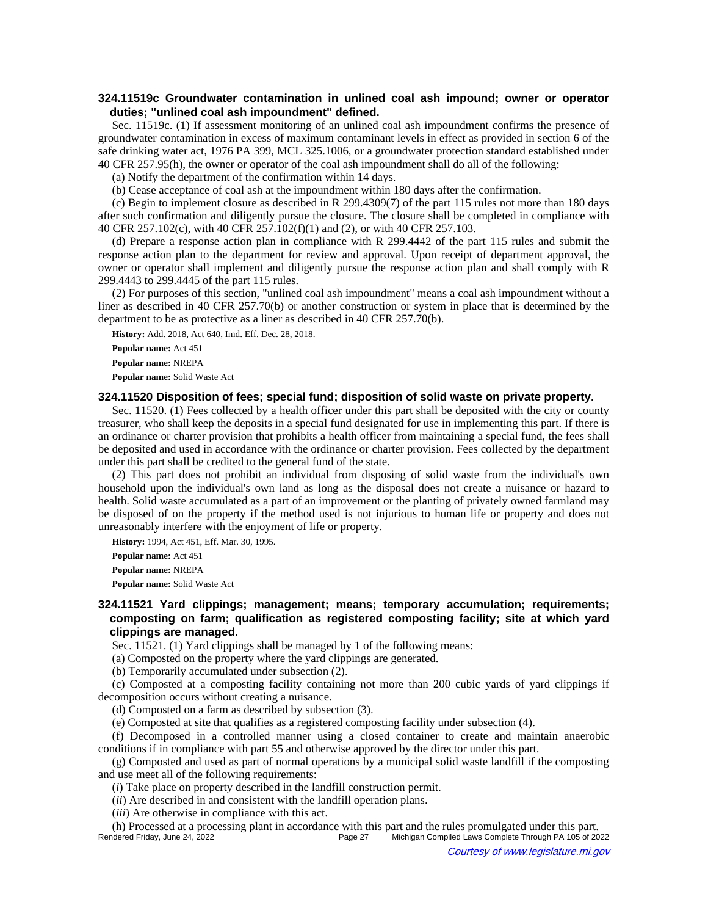## **324.11519c Groundwater contamination in unlined coal ash impound; owner or operator duties; "unlined coal ash impoundment" defined.**

Sec. 11519c. (1) If assessment monitoring of an unlined coal ash impoundment confirms the presence of groundwater contamination in excess of maximum contaminant levels in effect as provided in section 6 of the safe drinking water act, 1976 PA 399, MCL 325.1006, or a groundwater protection standard established under 40 CFR 257.95(h), the owner or operator of the coal ash impoundment shall do all of the following:

(a) Notify the department of the confirmation within 14 days.

(b) Cease acceptance of coal ash at the impoundment within 180 days after the confirmation.

(c) Begin to implement closure as described in R 299.4309(7) of the part 115 rules not more than 180 days after such confirmation and diligently pursue the closure. The closure shall be completed in compliance with 40 CFR 257.102(c), with 40 CFR 257.102(f)(1) and (2), or with 40 CFR 257.103.

(d) Prepare a response action plan in compliance with R 299.4442 of the part 115 rules and submit the response action plan to the department for review and approval. Upon receipt of department approval, the owner or operator shall implement and diligently pursue the response action plan and shall comply with R 299.4443 to 299.4445 of the part 115 rules.

(2) For purposes of this section, "unlined coal ash impoundment" means a coal ash impoundment without a liner as described in 40 CFR 257.70(b) or another construction or system in place that is determined by the department to be as protective as a liner as described in 40 CFR 257.70(b).

**History:** Add. 2018, Act 640, Imd. Eff. Dec. 28, 2018.

**Popular name:** Act 451

**Popular name:** NREPA

**Popular name:** Solid Waste Act

## **324.11520 Disposition of fees; special fund; disposition of solid waste on private property.**

Sec. 11520. (1) Fees collected by a health officer under this part shall be deposited with the city or county treasurer, who shall keep the deposits in a special fund designated for use in implementing this part. If there is an ordinance or charter provision that prohibits a health officer from maintaining a special fund, the fees shall be deposited and used in accordance with the ordinance or charter provision. Fees collected by the department under this part shall be credited to the general fund of the state.

(2) This part does not prohibit an individual from disposing of solid waste from the individual's own household upon the individual's own land as long as the disposal does not create a nuisance or hazard to health. Solid waste accumulated as a part of an improvement or the planting of privately owned farmland may be disposed of on the property if the method used is not injurious to human life or property and does not unreasonably interfere with the enjoyment of life or property.

**History:** 1994, Act 451, Eff. Mar. 30, 1995.

**Popular name:** Act 451 **Popular name:** NREPA **Popular name:** Solid Waste Act

**324.11521 Yard clippings; management; means; temporary accumulation; requirements; composting on farm; qualification as registered composting facility; site at which yard clippings are managed.**

Sec. 11521. (1) Yard clippings shall be managed by 1 of the following means:

(a) Composted on the property where the yard clippings are generated.

(b) Temporarily accumulated under subsection (2).

(c) Composted at a composting facility containing not more than 200 cubic yards of yard clippings if decomposition occurs without creating a nuisance.

(d) Composted on a farm as described by subsection (3).

(e) Composted at site that qualifies as a registered composting facility under subsection (4).

(f) Decomposed in a controlled manner using a closed container to create and maintain anaerobic conditions if in compliance with part 55 and otherwise approved by the director under this part.

(g) Composted and used as part of normal operations by a municipal solid waste landfill if the composting and use meet all of the following requirements:

(*i*) Take place on property described in the landfill construction permit.

(*ii*) Are described in and consistent with the landfill operation plans.

(*iii*) Are otherwise in compliance with this act.

(h) Processed at a processing plant in accordance with this part and the rules promulgated under this part. Michigan Compiled Laws Complete Through PA 105 of 2022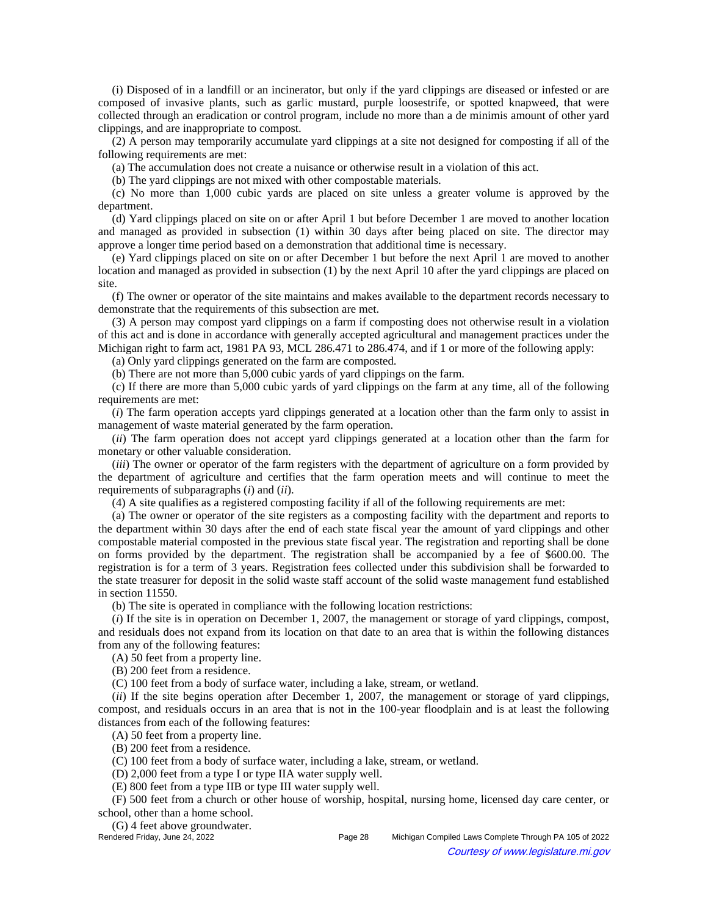(i) Disposed of in a landfill or an incinerator, but only if the yard clippings are diseased or infested or are composed of invasive plants, such as garlic mustard, purple loosestrife, or spotted knapweed, that were collected through an eradication or control program, include no more than a de minimis amount of other yard clippings, and are inappropriate to compost.

(2) A person may temporarily accumulate yard clippings at a site not designed for composting if all of the following requirements are met:

(a) The accumulation does not create a nuisance or otherwise result in a violation of this act.

(b) The yard clippings are not mixed with other compostable materials.

(c) No more than 1,000 cubic yards are placed on site unless a greater volume is approved by the department.

(d) Yard clippings placed on site on or after April 1 but before December 1 are moved to another location and managed as provided in subsection (1) within 30 days after being placed on site. The director may approve a longer time period based on a demonstration that additional time is necessary.

(e) Yard clippings placed on site on or after December 1 but before the next April 1 are moved to another location and managed as provided in subsection (1) by the next April 10 after the yard clippings are placed on site.

(f) The owner or operator of the site maintains and makes available to the department records necessary to demonstrate that the requirements of this subsection are met.

(3) A person may compost yard clippings on a farm if composting does not otherwise result in a violation of this act and is done in accordance with generally accepted agricultural and management practices under the Michigan right to farm act, 1981 PA 93, MCL 286.471 to 286.474, and if 1 or more of the following apply:

(a) Only yard clippings generated on the farm are composted.

(b) There are not more than 5,000 cubic yards of yard clippings on the farm.

(c) If there are more than 5,000 cubic yards of yard clippings on the farm at any time, all of the following requirements are met:

(*i*) The farm operation accepts yard clippings generated at a location other than the farm only to assist in management of waste material generated by the farm operation.

(*ii*) The farm operation does not accept yard clippings generated at a location other than the farm for monetary or other valuable consideration.

(*iii*) The owner or operator of the farm registers with the department of agriculture on a form provided by the department of agriculture and certifies that the farm operation meets and will continue to meet the requirements of subparagraphs (*i*) and (*ii*).

(4) A site qualifies as a registered composting facility if all of the following requirements are met:

(a) The owner or operator of the site registers as a composting facility with the department and reports to the department within 30 days after the end of each state fiscal year the amount of yard clippings and other compostable material composted in the previous state fiscal year. The registration and reporting shall be done on forms provided by the department. The registration shall be accompanied by a fee of \$600.00. The registration is for a term of 3 years. Registration fees collected under this subdivision shall be forwarded to the state treasurer for deposit in the solid waste staff account of the solid waste management fund established in section 11550.

(b) The site is operated in compliance with the following location restrictions:

(*i*) If the site is in operation on December 1, 2007, the management or storage of yard clippings, compost, and residuals does not expand from its location on that date to an area that is within the following distances from any of the following features:

(A) 50 feet from a property line.

(B) 200 feet from a residence.

(C) 100 feet from a body of surface water, including a lake, stream, or wetland.

(*ii*) If the site begins operation after December 1, 2007, the management or storage of yard clippings, compost, and residuals occurs in an area that is not in the 100-year floodplain and is at least the following distances from each of the following features:

(A) 50 feet from a property line.

(B) 200 feet from a residence.

(C) 100 feet from a body of surface water, including a lake, stream, or wetland.

(D) 2,000 feet from a type I or type IIA water supply well.

(E) 800 feet from a type IIB or type III water supply well.

(F) 500 feet from a church or other house of worship, hospital, nursing home, licensed day care center, or school, other than a home school.

(G) 4 feet above groundwater.

Page 28 Michigan Compiled Laws Complete Through PA 105 of 2022 Courtesy of www.legislature.mi.gov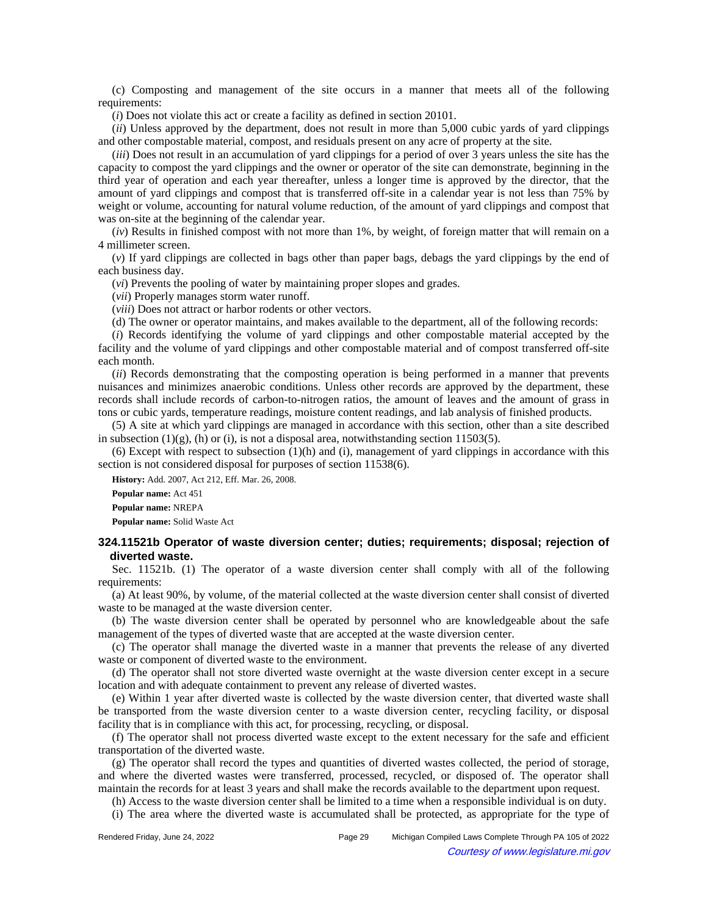(c) Composting and management of the site occurs in a manner that meets all of the following requirements:

(*i*) Does not violate this act or create a facility as defined in section 20101.

(*ii*) Unless approved by the department, does not result in more than 5,000 cubic yards of yard clippings and other compostable material, compost, and residuals present on any acre of property at the site.

(*iii*) Does not result in an accumulation of yard clippings for a period of over 3 years unless the site has the capacity to compost the yard clippings and the owner or operator of the site can demonstrate, beginning in the third year of operation and each year thereafter, unless a longer time is approved by the director, that the amount of yard clippings and compost that is transferred off-site in a calendar year is not less than 75% by weight or volume, accounting for natural volume reduction, of the amount of yard clippings and compost that was on-site at the beginning of the calendar year.

(*iv*) Results in finished compost with not more than 1%, by weight, of foreign matter that will remain on a 4 millimeter screen.

(*v*) If yard clippings are collected in bags other than paper bags, debags the yard clippings by the end of each business day.

(*vi*) Prevents the pooling of water by maintaining proper slopes and grades.

(*vii*) Properly manages storm water runoff.

(*viii*) Does not attract or harbor rodents or other vectors.

(d) The owner or operator maintains, and makes available to the department, all of the following records:

(*i*) Records identifying the volume of yard clippings and other compostable material accepted by the facility and the volume of yard clippings and other compostable material and of compost transferred off-site each month.

(*ii*) Records demonstrating that the composting operation is being performed in a manner that prevents nuisances and minimizes anaerobic conditions. Unless other records are approved by the department, these records shall include records of carbon-to-nitrogen ratios, the amount of leaves and the amount of grass in tons or cubic yards, temperature readings, moisture content readings, and lab analysis of finished products.

(5) A site at which yard clippings are managed in accordance with this section, other than a site described in subsection  $(1)(g)$ ,  $(h)$  or  $(i)$ , is not a disposal area, notwithstanding section 11503(5).

 $(6)$  Except with respect to subsection  $(1)(h)$  and  $(i)$ , management of yard clippings in accordance with this section is not considered disposal for purposes of section 11538(6).

**History:** Add. 2007, Act 212, Eff. Mar. 26, 2008.

**Popular name:** Act 451

**Popular name:** NREPA

**Popular name:** Solid Waste Act

### **324.11521b Operator of waste diversion center; duties; requirements; disposal; rejection of diverted waste.**

Sec. 11521b. (1) The operator of a waste diversion center shall comply with all of the following requirements:

(a) At least 90%, by volume, of the material collected at the waste diversion center shall consist of diverted waste to be managed at the waste diversion center.

(b) The waste diversion center shall be operated by personnel who are knowledgeable about the safe management of the types of diverted waste that are accepted at the waste diversion center.

(c) The operator shall manage the diverted waste in a manner that prevents the release of any diverted waste or component of diverted waste to the environment.

(d) The operator shall not store diverted waste overnight at the waste diversion center except in a secure location and with adequate containment to prevent any release of diverted wastes.

(e) Within 1 year after diverted waste is collected by the waste diversion center, that diverted waste shall be transported from the waste diversion center to a waste diversion center, recycling facility, or disposal facility that is in compliance with this act, for processing, recycling, or disposal.

(f) The operator shall not process diverted waste except to the extent necessary for the safe and efficient transportation of the diverted waste.

(g) The operator shall record the types and quantities of diverted wastes collected, the period of storage, and where the diverted wastes were transferred, processed, recycled, or disposed of. The operator shall maintain the records for at least 3 years and shall make the records available to the department upon request.

(h) Access to the waste diversion center shall be limited to a time when a responsible individual is on duty. (i) The area where the diverted waste is accumulated shall be protected, as appropriate for the type of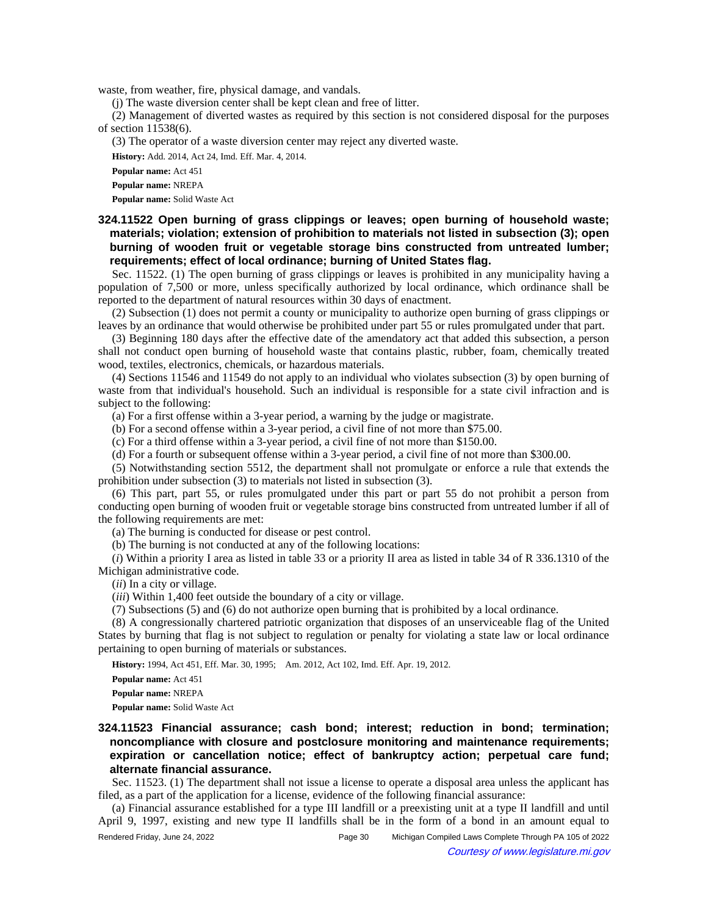waste, from weather, fire, physical damage, and vandals.

(j) The waste diversion center shall be kept clean and free of litter.

(2) Management of diverted wastes as required by this section is not considered disposal for the purposes of section 11538(6).

(3) The operator of a waste diversion center may reject any diverted waste.

**History:** Add. 2014, Act 24, Imd. Eff. Mar. 4, 2014.

**Popular name:** Act 451

**Popular name:** NREPA

**Popular name:** Solid Waste Act

## **324.11522 Open burning of grass clippings or leaves; open burning of household waste; materials; violation; extension of prohibition to materials not listed in subsection (3); open burning of wooden fruit or vegetable storage bins constructed from untreated lumber; requirements; effect of local ordinance; burning of United States flag.**

Sec. 11522. (1) The open burning of grass clippings or leaves is prohibited in any municipality having a population of 7,500 or more, unless specifically authorized by local ordinance, which ordinance shall be reported to the department of natural resources within 30 days of enactment.

(2) Subsection (1) does not permit a county or municipality to authorize open burning of grass clippings or leaves by an ordinance that would otherwise be prohibited under part 55 or rules promulgated under that part.

(3) Beginning 180 days after the effective date of the amendatory act that added this subsection, a person shall not conduct open burning of household waste that contains plastic, rubber, foam, chemically treated wood, textiles, electronics, chemicals, or hazardous materials.

(4) Sections 11546 and 11549 do not apply to an individual who violates subsection (3) by open burning of waste from that individual's household. Such an individual is responsible for a state civil infraction and is subject to the following:

(a) For a first offense within a 3-year period, a warning by the judge or magistrate.

(b) For a second offense within a 3-year period, a civil fine of not more than \$75.00.

(c) For a third offense within a 3-year period, a civil fine of not more than \$150.00.

(d) For a fourth or subsequent offense within a 3-year period, a civil fine of not more than \$300.00.

(5) Notwithstanding section 5512, the department shall not promulgate or enforce a rule that extends the prohibition under subsection (3) to materials not listed in subsection (3).

(6) This part, part 55, or rules promulgated under this part or part 55 do not prohibit a person from conducting open burning of wooden fruit or vegetable storage bins constructed from untreated lumber if all of the following requirements are met:

(a) The burning is conducted for disease or pest control.

(b) The burning is not conducted at any of the following locations:

(*i*) Within a priority I area as listed in table 33 or a priority II area as listed in table 34 of R 336.1310 of the Michigan administrative code.

(*ii*) In a city or village.

(*iii*) Within 1,400 feet outside the boundary of a city or village.

(7) Subsections (5) and (6) do not authorize open burning that is prohibited by a local ordinance.

(8) A congressionally chartered patriotic organization that disposes of an unserviceable flag of the United States by burning that flag is not subject to regulation or penalty for violating a state law or local ordinance pertaining to open burning of materials or substances.

History: 1994, Act 451, Eff. Mar. 30, 1995;-- Am. 2012, Act 102, Imd. Eff. Apr. 19, 2012.

**Popular name:** Act 451

**Popular name:** NREPA

**Popular name:** Solid Waste Act

# **324.11523 Financial assurance; cash bond; interest; reduction in bond; termination; noncompliance with closure and postclosure monitoring and maintenance requirements; expiration or cancellation notice; effect of bankruptcy action; perpetual care fund; alternate financial assurance.**

Sec. 11523. (1) The department shall not issue a license to operate a disposal area unless the applicant has filed, as a part of the application for a license, evidence of the following financial assurance:

(a) Financial assurance established for a type III landfill or a preexisting unit at a type II landfill and until April 9, 1997, existing and new type II landfills shall be in the form of a bond in an amount equal to

Rendered Friday, June 24, 2022 Page 30 Michigan Compiled Laws Complete Through PA 105 of 2022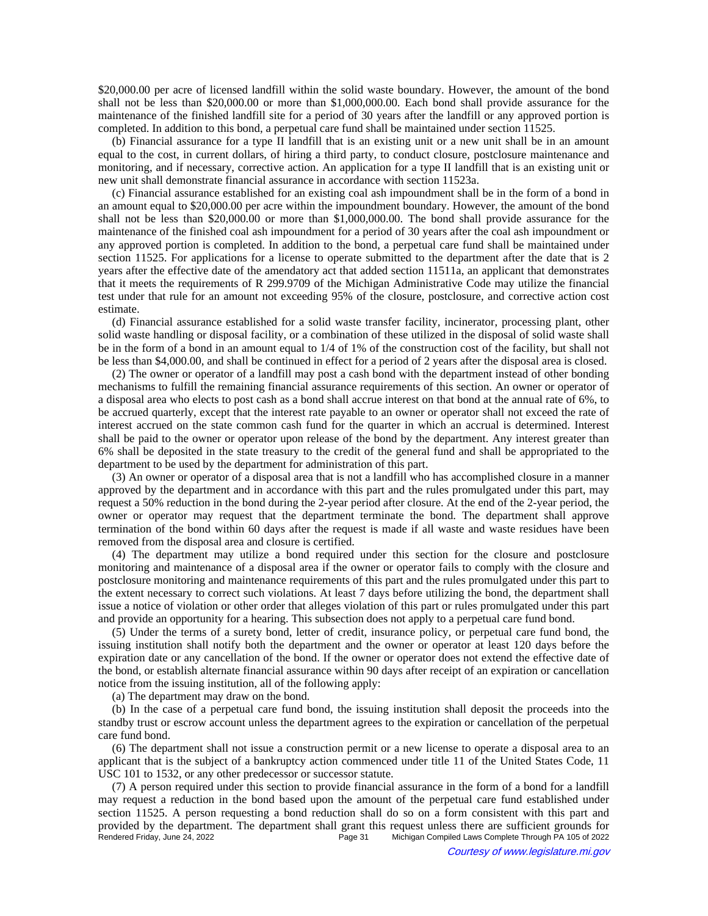\$20,000.00 per acre of licensed landfill within the solid waste boundary. However, the amount of the bond shall not be less than \$20,000.00 or more than \$1,000,000.00. Each bond shall provide assurance for the maintenance of the finished landfill site for a period of 30 years after the landfill or any approved portion is completed. In addition to this bond, a perpetual care fund shall be maintained under section 11525.

(b) Financial assurance for a type II landfill that is an existing unit or a new unit shall be in an amount equal to the cost, in current dollars, of hiring a third party, to conduct closure, postclosure maintenance and monitoring, and if necessary, corrective action. An application for a type II landfill that is an existing unit or new unit shall demonstrate financial assurance in accordance with section 11523a.

(c) Financial assurance established for an existing coal ash impoundment shall be in the form of a bond in an amount equal to \$20,000.00 per acre within the impoundment boundary. However, the amount of the bond shall not be less than \$20,000.00 or more than \$1,000,000.00. The bond shall provide assurance for the maintenance of the finished coal ash impoundment for a period of 30 years after the coal ash impoundment or any approved portion is completed. In addition to the bond, a perpetual care fund shall be maintained under section 11525. For applications for a license to operate submitted to the department after the date that is 2 years after the effective date of the amendatory act that added section 11511a, an applicant that demonstrates that it meets the requirements of R 299.9709 of the Michigan Administrative Code may utilize the financial test under that rule for an amount not exceeding 95% of the closure, postclosure, and corrective action cost estimate.

(d) Financial assurance established for a solid waste transfer facility, incinerator, processing plant, other solid waste handling or disposal facility, or a combination of these utilized in the disposal of solid waste shall be in the form of a bond in an amount equal to 1/4 of 1% of the construction cost of the facility, but shall not be less than \$4,000.00, and shall be continued in effect for a period of 2 years after the disposal area is closed.

(2) The owner or operator of a landfill may post a cash bond with the department instead of other bonding mechanisms to fulfill the remaining financial assurance requirements of this section. An owner or operator of a disposal area who elects to post cash as a bond shall accrue interest on that bond at the annual rate of 6%, to be accrued quarterly, except that the interest rate payable to an owner or operator shall not exceed the rate of interest accrued on the state common cash fund for the quarter in which an accrual is determined. Interest shall be paid to the owner or operator upon release of the bond by the department. Any interest greater than 6% shall be deposited in the state treasury to the credit of the general fund and shall be appropriated to the department to be used by the department for administration of this part.

(3) An owner or operator of a disposal area that is not a landfill who has accomplished closure in a manner approved by the department and in accordance with this part and the rules promulgated under this part, may request a 50% reduction in the bond during the 2-year period after closure. At the end of the 2-year period, the owner or operator may request that the department terminate the bond. The department shall approve termination of the bond within 60 days after the request is made if all waste and waste residues have been removed from the disposal area and closure is certified.

(4) The department may utilize a bond required under this section for the closure and postclosure monitoring and maintenance of a disposal area if the owner or operator fails to comply with the closure and postclosure monitoring and maintenance requirements of this part and the rules promulgated under this part to the extent necessary to correct such violations. At least 7 days before utilizing the bond, the department shall issue a notice of violation or other order that alleges violation of this part or rules promulgated under this part and provide an opportunity for a hearing. This subsection does not apply to a perpetual care fund bond.

(5) Under the terms of a surety bond, letter of credit, insurance policy, or perpetual care fund bond, the issuing institution shall notify both the department and the owner or operator at least 120 days before the expiration date or any cancellation of the bond. If the owner or operator does not extend the effective date of the bond, or establish alternate financial assurance within 90 days after receipt of an expiration or cancellation notice from the issuing institution, all of the following apply:

(a) The department may draw on the bond.

(b) In the case of a perpetual care fund bond, the issuing institution shall deposit the proceeds into the standby trust or escrow account unless the department agrees to the expiration or cancellation of the perpetual care fund bond.

(6) The department shall not issue a construction permit or a new license to operate a disposal area to an applicant that is the subject of a bankruptcy action commenced under title 11 of the United States Code, 11 USC 101 to 1532, or any other predecessor or successor statute.

(7) A person required under this section to provide financial assurance in the form of a bond for a landfill may request a reduction in the bond based upon the amount of the perpetual care fund established under section 11525. A person requesting a bond reduction shall do so on a form consistent with this part and provided by the department. The department shall grant this request unless there are sufficient grounds for<br>Page 31 Michigan Compiled Laws Complete Through PA 105 of 2022 Michigan Compiled Laws Complete Through PA 105 of 2022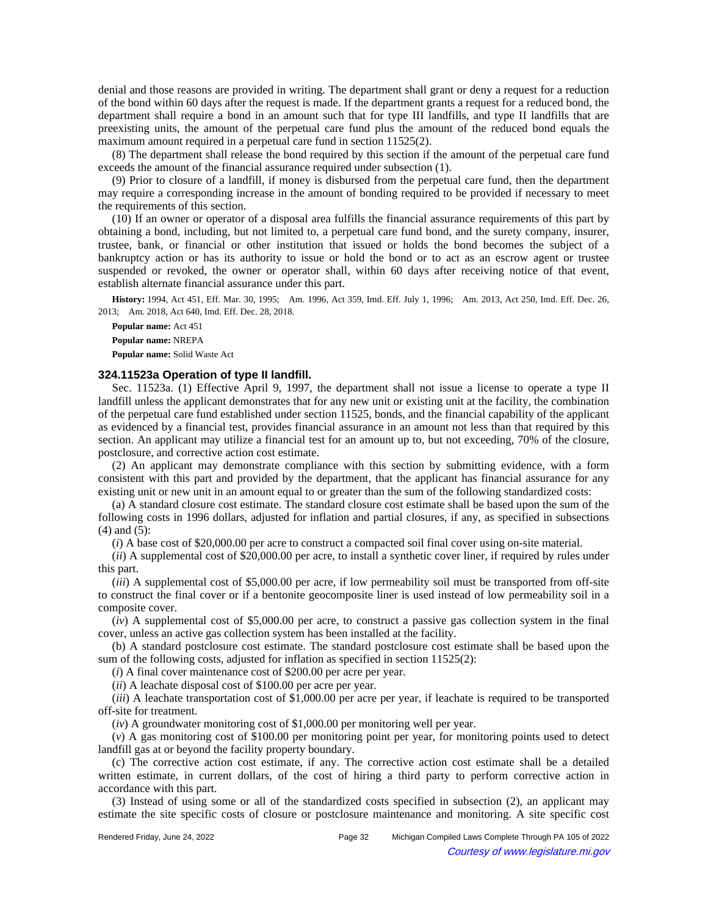denial and those reasons are provided in writing. The department shall grant or deny a request for a reduction of the bond within 60 days after the request is made. If the department grants a request for a reduced bond, the department shall require a bond in an amount such that for type III landfills, and type II landfills that are preexisting units, the amount of the perpetual care fund plus the amount of the reduced bond equals the maximum amount required in a perpetual care fund in section 11525(2).

(8) The department shall release the bond required by this section if the amount of the perpetual care fund exceeds the amount of the financial assurance required under subsection (1).

(9) Prior to closure of a landfill, if money is disbursed from the perpetual care fund, then the department may require a corresponding increase in the amount of bonding required to be provided if necessary to meet the requirements of this section.

(10) If an owner or operator of a disposal area fulfills the financial assurance requirements of this part by obtaining a bond, including, but not limited to, a perpetual care fund bond, and the surety company, insurer, trustee, bank, or financial or other institution that issued or holds the bond becomes the subject of a bankruptcy action or has its authority to issue or hold the bond or to act as an escrow agent or trustee suspended or revoked, the owner or operator shall, within 60 days after receiving notice of that event, establish alternate financial assurance under this part.

History: 1994, Act 451, Eff. Mar. 30, 1995;—Am. 1996, Act 359, Imd. Eff. July 1, 1996;—Am. 2013, Act 250, Imd. Eff. Dec. 26, 2013; Am. 2018, Act 640, Imd. Eff. Dec. 28, 2018.

**Popular name:** Act 451 **Popular name:** NREPA **Popular name:** Solid Waste Act

#### **324.11523a Operation of type II landfill.**

Sec. 11523a. (1) Effective April 9, 1997, the department shall not issue a license to operate a type II landfill unless the applicant demonstrates that for any new unit or existing unit at the facility, the combination of the perpetual care fund established under section 11525, bonds, and the financial capability of the applicant as evidenced by a financial test, provides financial assurance in an amount not less than that required by this section. An applicant may utilize a financial test for an amount up to, but not exceeding, 70% of the closure, postclosure, and corrective action cost estimate.

(2) An applicant may demonstrate compliance with this section by submitting evidence, with a form consistent with this part and provided by the department, that the applicant has financial assurance for any existing unit or new unit in an amount equal to or greater than the sum of the following standardized costs:

(a) A standard closure cost estimate. The standard closure cost estimate shall be based upon the sum of the following costs in 1996 dollars, adjusted for inflation and partial closures, if any, as specified in subsections (4) and (5):

(*i*) A base cost of \$20,000.00 per acre to construct a compacted soil final cover using on-site material.

(*ii*) A supplemental cost of \$20,000.00 per acre, to install a synthetic cover liner, if required by rules under this part.

(*iii*) A supplemental cost of \$5,000.00 per acre, if low permeability soil must be transported from off-site to construct the final cover or if a bentonite geocomposite liner is used instead of low permeability soil in a composite cover.

(*iv*) A supplemental cost of \$5,000.00 per acre, to construct a passive gas collection system in the final cover, unless an active gas collection system has been installed at the facility.

(b) A standard postclosure cost estimate. The standard postclosure cost estimate shall be based upon the sum of the following costs, adjusted for inflation as specified in section 11525(2):

(*i*) A final cover maintenance cost of \$200.00 per acre per year.

(*ii*) A leachate disposal cost of \$100.00 per acre per year.

(*iii*) A leachate transportation cost of \$1,000.00 per acre per year, if leachate is required to be transported off-site for treatment.

(*iv*) A groundwater monitoring cost of \$1,000.00 per monitoring well per year.

(*v*) A gas monitoring cost of \$100.00 per monitoring point per year, for monitoring points used to detect landfill gas at or beyond the facility property boundary.

(c) The corrective action cost estimate, if any. The corrective action cost estimate shall be a detailed written estimate, in current dollars, of the cost of hiring a third party to perform corrective action in accordance with this part.

(3) Instead of using some or all of the standardized costs specified in subsection (2), an applicant may estimate the site specific costs of closure or postclosure maintenance and monitoring. A site specific cost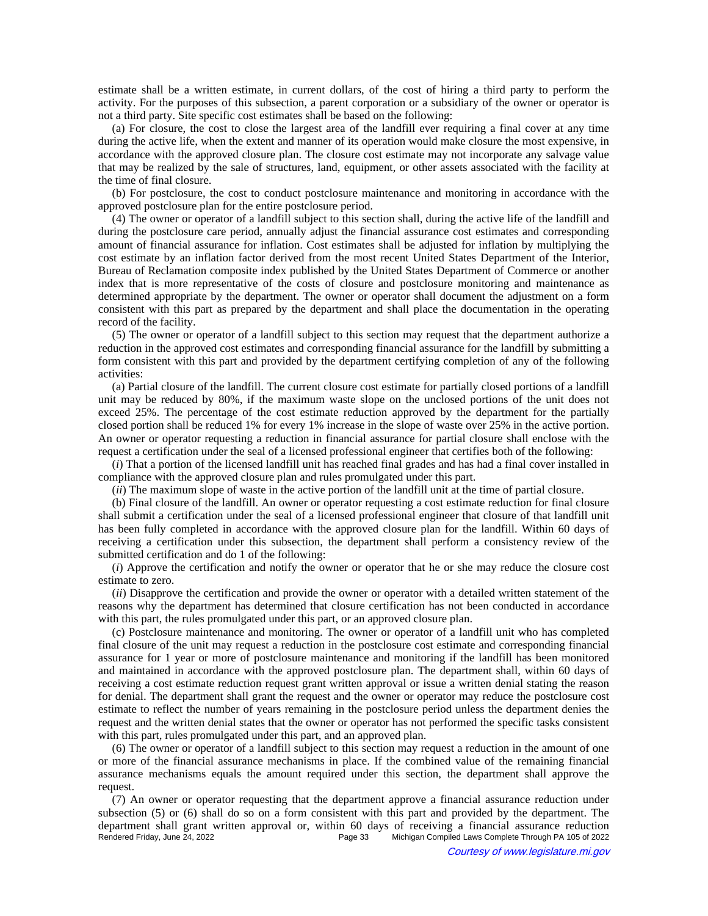estimate shall be a written estimate, in current dollars, of the cost of hiring a third party to perform the activity. For the purposes of this subsection, a parent corporation or a subsidiary of the owner or operator is not a third party. Site specific cost estimates shall be based on the following:

(a) For closure, the cost to close the largest area of the landfill ever requiring a final cover at any time during the active life, when the extent and manner of its operation would make closure the most expensive, in accordance with the approved closure plan. The closure cost estimate may not incorporate any salvage value that may be realized by the sale of structures, land, equipment, or other assets associated with the facility at the time of final closure.

(b) For postclosure, the cost to conduct postclosure maintenance and monitoring in accordance with the approved postclosure plan for the entire postclosure period.

(4) The owner or operator of a landfill subject to this section shall, during the active life of the landfill and during the postclosure care period, annually adjust the financial assurance cost estimates and corresponding amount of financial assurance for inflation. Cost estimates shall be adjusted for inflation by multiplying the cost estimate by an inflation factor derived from the most recent United States Department of the Interior, Bureau of Reclamation composite index published by the United States Department of Commerce or another index that is more representative of the costs of closure and postclosure monitoring and maintenance as determined appropriate by the department. The owner or operator shall document the adjustment on a form consistent with this part as prepared by the department and shall place the documentation in the operating record of the facility.

(5) The owner or operator of a landfill subject to this section may request that the department authorize a reduction in the approved cost estimates and corresponding financial assurance for the landfill by submitting a form consistent with this part and provided by the department certifying completion of any of the following activities:

(a) Partial closure of the landfill. The current closure cost estimate for partially closed portions of a landfill unit may be reduced by 80%, if the maximum waste slope on the unclosed portions of the unit does not exceed 25%. The percentage of the cost estimate reduction approved by the department for the partially closed portion shall be reduced 1% for every 1% increase in the slope of waste over 25% in the active portion. An owner or operator requesting a reduction in financial assurance for partial closure shall enclose with the request a certification under the seal of a licensed professional engineer that certifies both of the following:

(*i*) That a portion of the licensed landfill unit has reached final grades and has had a final cover installed in compliance with the approved closure plan and rules promulgated under this part.

(*ii*) The maximum slope of waste in the active portion of the landfill unit at the time of partial closure.

(b) Final closure of the landfill. An owner or operator requesting a cost estimate reduction for final closure shall submit a certification under the seal of a licensed professional engineer that closure of that landfill unit has been fully completed in accordance with the approved closure plan for the landfill. Within 60 days of receiving a certification under this subsection, the department shall perform a consistency review of the submitted certification and do 1 of the following:

(*i*) Approve the certification and notify the owner or operator that he or she may reduce the closure cost estimate to zero.

(*ii*) Disapprove the certification and provide the owner or operator with a detailed written statement of the reasons why the department has determined that closure certification has not been conducted in accordance with this part, the rules promulgated under this part, or an approved closure plan.

(c) Postclosure maintenance and monitoring. The owner or operator of a landfill unit who has completed final closure of the unit may request a reduction in the postclosure cost estimate and corresponding financial assurance for 1 year or more of postclosure maintenance and monitoring if the landfill has been monitored and maintained in accordance with the approved postclosure plan. The department shall, within 60 days of receiving a cost estimate reduction request grant written approval or issue a written denial stating the reason for denial. The department shall grant the request and the owner or operator may reduce the postclosure cost estimate to reflect the number of years remaining in the postclosure period unless the department denies the request and the written denial states that the owner or operator has not performed the specific tasks consistent with this part, rules promulgated under this part, and an approved plan.

(6) The owner or operator of a landfill subject to this section may request a reduction in the amount of one or more of the financial assurance mechanisms in place. If the combined value of the remaining financial assurance mechanisms equals the amount required under this section, the department shall approve the request.

(7) An owner or operator requesting that the department approve a financial assurance reduction under subsection (5) or (6) shall do so on a form consistent with this part and provided by the department. The department shall grant written approval or, within 60 days of receiving a financial assurance reduction<br>Rendered Friday, June 24, 2022<br>Page 33 Michigan Compiled Laws Complete Through PA 105 of 2022 Michigan Compiled Laws Complete Through PA 105 of 2022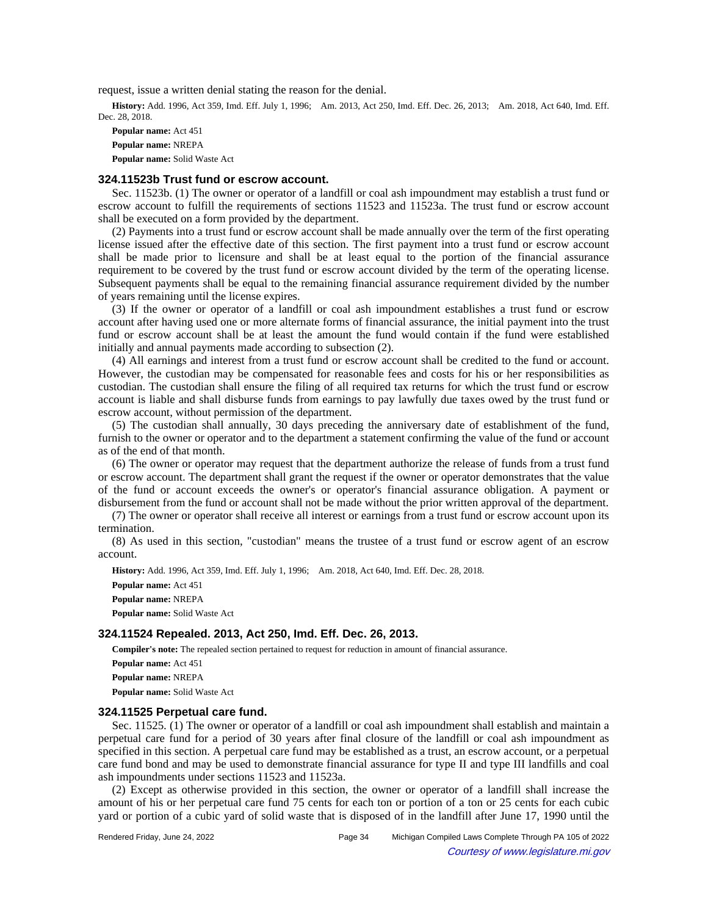request, issue a written denial stating the reason for the denial.

History: Add. 1996, Act 359, Imd. Eff. July 1, 1996;--Am. 2013, Act 250, Imd. Eff. Dec. 26, 2013;--Am. 2018, Act 640, Imd. Eff. Dec. 28, 2018.

**Popular name:** Act 451 **Popular name:** NREPA **Popular name:** Solid Waste Act

#### **324.11523b Trust fund or escrow account.**

Sec. 11523b. (1) The owner or operator of a landfill or coal ash impoundment may establish a trust fund or escrow account to fulfill the requirements of sections 11523 and 11523a. The trust fund or escrow account shall be executed on a form provided by the department.

(2) Payments into a trust fund or escrow account shall be made annually over the term of the first operating license issued after the effective date of this section. The first payment into a trust fund or escrow account shall be made prior to licensure and shall be at least equal to the portion of the financial assurance requirement to be covered by the trust fund or escrow account divided by the term of the operating license. Subsequent payments shall be equal to the remaining financial assurance requirement divided by the number of years remaining until the license expires.

(3) If the owner or operator of a landfill or coal ash impoundment establishes a trust fund or escrow account after having used one or more alternate forms of financial assurance, the initial payment into the trust fund or escrow account shall be at least the amount the fund would contain if the fund were established initially and annual payments made according to subsection (2).

(4) All earnings and interest from a trust fund or escrow account shall be credited to the fund or account. However, the custodian may be compensated for reasonable fees and costs for his or her responsibilities as custodian. The custodian shall ensure the filing of all required tax returns for which the trust fund or escrow account is liable and shall disburse funds from earnings to pay lawfully due taxes owed by the trust fund or escrow account, without permission of the department.

(5) The custodian shall annually, 30 days preceding the anniversary date of establishment of the fund, furnish to the owner or operator and to the department a statement confirming the value of the fund or account as of the end of that month.

(6) The owner or operator may request that the department authorize the release of funds from a trust fund or escrow account. The department shall grant the request if the owner or operator demonstrates that the value of the fund or account exceeds the owner's or operator's financial assurance obligation. A payment or disbursement from the fund or account shall not be made without the prior written approval of the department.

(7) The owner or operator shall receive all interest or earnings from a trust fund or escrow account upon its termination.

(8) As used in this section, "custodian" means the trustee of a trust fund or escrow agent of an escrow account.

History: Add. 1996, Act 359, Imd. Eff. July 1, 1996;—Am. 2018, Act 640, Imd. Eff. Dec. 28, 2018.

**Popular name:** Act 451

**Popular name:** NREPA

**Popular name:** Solid Waste Act

#### **324.11524 Repealed. 2013, Act 250, Imd. Eff. Dec. 26, 2013.**

**Compiler's note:** The repealed section pertained to request for reduction in amount of financial assurance.

**Popular name:** Act 451

**Popular name:** NREPA

**Popular name:** Solid Waste Act

## **324.11525 Perpetual care fund.**

Sec. 11525. (1) The owner or operator of a landfill or coal ash impoundment shall establish and maintain a perpetual care fund for a period of 30 years after final closure of the landfill or coal ash impoundment as specified in this section. A perpetual care fund may be established as a trust, an escrow account, or a perpetual care fund bond and may be used to demonstrate financial assurance for type II and type III landfills and coal ash impoundments under sections 11523 and 11523a.

(2) Except as otherwise provided in this section, the owner or operator of a landfill shall increase the amount of his or her perpetual care fund 75 cents for each ton or portion of a ton or 25 cents for each cubic yard or portion of a cubic yard of solid waste that is disposed of in the landfill after June 17, 1990 until the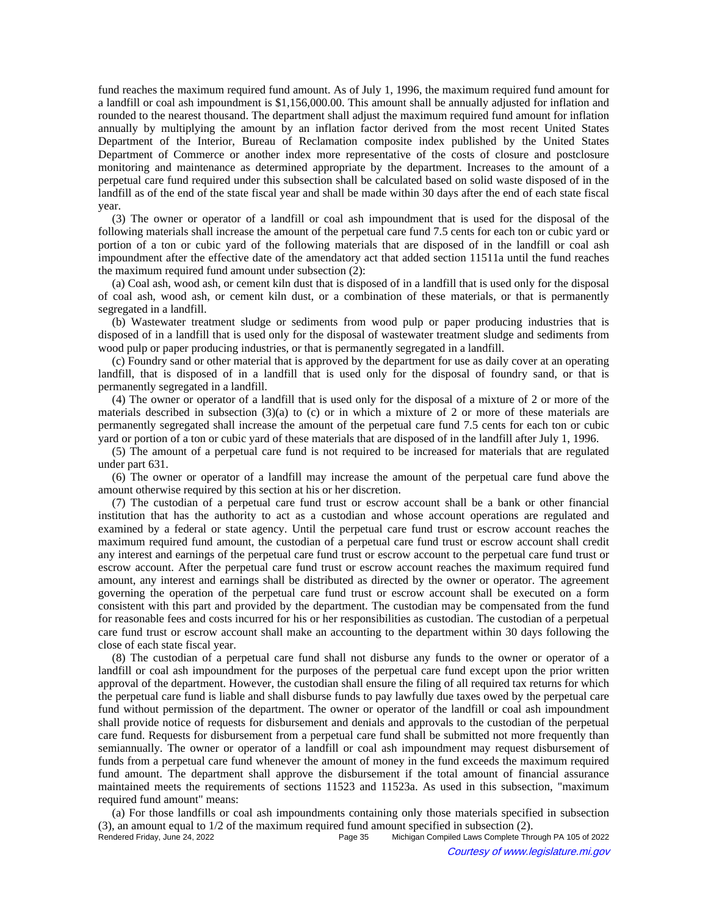fund reaches the maximum required fund amount. As of July 1, 1996, the maximum required fund amount for a landfill or coal ash impoundment is \$1,156,000.00. This amount shall be annually adjusted for inflation and rounded to the nearest thousand. The department shall adjust the maximum required fund amount for inflation annually by multiplying the amount by an inflation factor derived from the most recent United States Department of the Interior, Bureau of Reclamation composite index published by the United States Department of Commerce or another index more representative of the costs of closure and postclosure monitoring and maintenance as determined appropriate by the department. Increases to the amount of a perpetual care fund required under this subsection shall be calculated based on solid waste disposed of in the landfill as of the end of the state fiscal year and shall be made within 30 days after the end of each state fiscal year.

(3) The owner or operator of a landfill or coal ash impoundment that is used for the disposal of the following materials shall increase the amount of the perpetual care fund 7.5 cents for each ton or cubic yard or portion of a ton or cubic yard of the following materials that are disposed of in the landfill or coal ash impoundment after the effective date of the amendatory act that added section 11511a until the fund reaches the maximum required fund amount under subsection (2):

(a) Coal ash, wood ash, or cement kiln dust that is disposed of in a landfill that is used only for the disposal of coal ash, wood ash, or cement kiln dust, or a combination of these materials, or that is permanently segregated in a landfill.

(b) Wastewater treatment sludge or sediments from wood pulp or paper producing industries that is disposed of in a landfill that is used only for the disposal of wastewater treatment sludge and sediments from wood pulp or paper producing industries, or that is permanently segregated in a landfill.

(c) Foundry sand or other material that is approved by the department for use as daily cover at an operating landfill, that is disposed of in a landfill that is used only for the disposal of foundry sand, or that is permanently segregated in a landfill.

(4) The owner or operator of a landfill that is used only for the disposal of a mixture of 2 or more of the materials described in subsection  $(3)(a)$  to  $(c)$  or in which a mixture of 2 or more of these materials are permanently segregated shall increase the amount of the perpetual care fund 7.5 cents for each ton or cubic yard or portion of a ton or cubic yard of these materials that are disposed of in the landfill after July 1, 1996.

(5) The amount of a perpetual care fund is not required to be increased for materials that are regulated under part 631.

(6) The owner or operator of a landfill may increase the amount of the perpetual care fund above the amount otherwise required by this section at his or her discretion.

(7) The custodian of a perpetual care fund trust or escrow account shall be a bank or other financial institution that has the authority to act as a custodian and whose account operations are regulated and examined by a federal or state agency. Until the perpetual care fund trust or escrow account reaches the maximum required fund amount, the custodian of a perpetual care fund trust or escrow account shall credit any interest and earnings of the perpetual care fund trust or escrow account to the perpetual care fund trust or escrow account. After the perpetual care fund trust or escrow account reaches the maximum required fund amount, any interest and earnings shall be distributed as directed by the owner or operator. The agreement governing the operation of the perpetual care fund trust or escrow account shall be executed on a form consistent with this part and provided by the department. The custodian may be compensated from the fund for reasonable fees and costs incurred for his or her responsibilities as custodian. The custodian of a perpetual care fund trust or escrow account shall make an accounting to the department within 30 days following the close of each state fiscal year.

(8) The custodian of a perpetual care fund shall not disburse any funds to the owner or operator of a landfill or coal ash impoundment for the purposes of the perpetual care fund except upon the prior written approval of the department. However, the custodian shall ensure the filing of all required tax returns for which the perpetual care fund is liable and shall disburse funds to pay lawfully due taxes owed by the perpetual care fund without permission of the department. The owner or operator of the landfill or coal ash impoundment shall provide notice of requests for disbursement and denials and approvals to the custodian of the perpetual care fund. Requests for disbursement from a perpetual care fund shall be submitted not more frequently than semiannually. The owner or operator of a landfill or coal ash impoundment may request disbursement of funds from a perpetual care fund whenever the amount of money in the fund exceeds the maximum required fund amount. The department shall approve the disbursement if the total amount of financial assurance maintained meets the requirements of sections 11523 and 11523a. As used in this subsection, "maximum required fund amount" means:

(a) For those landfills or coal ash impoundments containing only those materials specified in subsection (3), an amount equal to  $1/2$  of the maximum required fund amount specified in subsection (2).<br>Rendered Friday, June 24, 2022<br>Page 35 Michigan Compiled Laws Complete Thro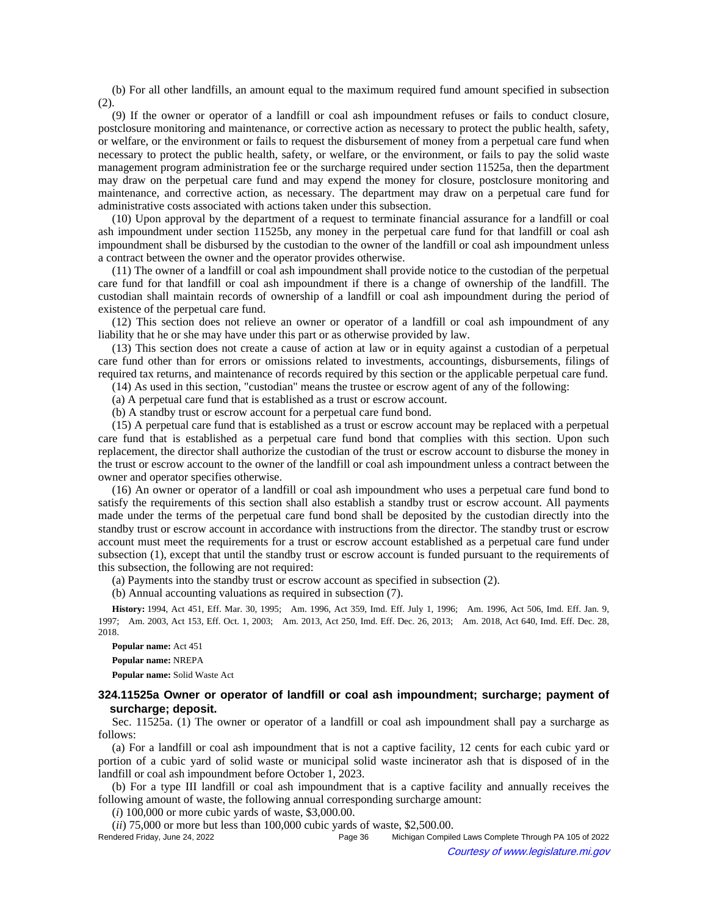(b) For all other landfills, an amount equal to the maximum required fund amount specified in subsection (2).

(9) If the owner or operator of a landfill or coal ash impoundment refuses or fails to conduct closure, postclosure monitoring and maintenance, or corrective action as necessary to protect the public health, safety, or welfare, or the environment or fails to request the disbursement of money from a perpetual care fund when necessary to protect the public health, safety, or welfare, or the environment, or fails to pay the solid waste management program administration fee or the surcharge required under section 11525a, then the department may draw on the perpetual care fund and may expend the money for closure, postclosure monitoring and maintenance, and corrective action, as necessary. The department may draw on a perpetual care fund for administrative costs associated with actions taken under this subsection.

(10) Upon approval by the department of a request to terminate financial assurance for a landfill or coal ash impoundment under section 11525b, any money in the perpetual care fund for that landfill or coal ash impoundment shall be disbursed by the custodian to the owner of the landfill or coal ash impoundment unless a contract between the owner and the operator provides otherwise.

(11) The owner of a landfill or coal ash impoundment shall provide notice to the custodian of the perpetual care fund for that landfill or coal ash impoundment if there is a change of ownership of the landfill. The custodian shall maintain records of ownership of a landfill or coal ash impoundment during the period of existence of the perpetual care fund.

(12) This section does not relieve an owner or operator of a landfill or coal ash impoundment of any liability that he or she may have under this part or as otherwise provided by law.

(13) This section does not create a cause of action at law or in equity against a custodian of a perpetual care fund other than for errors or omissions related to investments, accountings, disbursements, filings of required tax returns, and maintenance of records required by this section or the applicable perpetual care fund.

(14) As used in this section, "custodian" means the trustee or escrow agent of any of the following:

(a) A perpetual care fund that is established as a trust or escrow account.

(b) A standby trust or escrow account for a perpetual care fund bond.

(15) A perpetual care fund that is established as a trust or escrow account may be replaced with a perpetual care fund that is established as a perpetual care fund bond that complies with this section. Upon such replacement, the director shall authorize the custodian of the trust or escrow account to disburse the money in the trust or escrow account to the owner of the landfill or coal ash impoundment unless a contract between the owner and operator specifies otherwise.

(16) An owner or operator of a landfill or coal ash impoundment who uses a perpetual care fund bond to satisfy the requirements of this section shall also establish a standby trust or escrow account. All payments made under the terms of the perpetual care fund bond shall be deposited by the custodian directly into the standby trust or escrow account in accordance with instructions from the director. The standby trust or escrow account must meet the requirements for a trust or escrow account established as a perpetual care fund under subsection (1), except that until the standby trust or escrow account is funded pursuant to the requirements of this subsection, the following are not required:

(a) Payments into the standby trust or escrow account as specified in subsection (2).

(b) Annual accounting valuations as required in subsection (7).

History: 1994, Act 451, Eff. Mar. 30, 1995;--Am. 1996, Act 359, Imd. Eff. July 1, 1996;--Am. 1996, Act 506, Imd. Eff. Jan. 9, 1997;--Am. 2003, Act 153, Eff. Oct. 1, 2003;--Am. 2013, Act 250, Imd. Eff. Dec. 26, 2013;--Am. 2018, Act 640, Imd. Eff. Dec. 28, 2018.

**Popular name:** Act 451 **Popular name:** NREPA

**Popular name:** Solid Waste Act

#### **324.11525a Owner or operator of landfill or coal ash impoundment; surcharge; payment of surcharge; deposit.**

Sec. 11525a. (1) The owner or operator of a landfill or coal ash impoundment shall pay a surcharge as follows:

(a) For a landfill or coal ash impoundment that is not a captive facility, 12 cents for each cubic yard or portion of a cubic yard of solid waste or municipal solid waste incinerator ash that is disposed of in the landfill or coal ash impoundment before October 1, 2023.

(b) For a type III landfill or coal ash impoundment that is a captive facility and annually receives the following amount of waste, the following annual corresponding surcharge amount:

(*i*) 100,000 or more cubic yards of waste, \$3,000.00.

(*ii*) 75,000 or more but less than 100,000 cubic yards of waste, \$2,500.00.

Rendered Friday, June 24, 2022 Page 36 Michigan Compiled Laws Complete Through PA 105 of 2022 Courtesy of www.legislature.mi.gov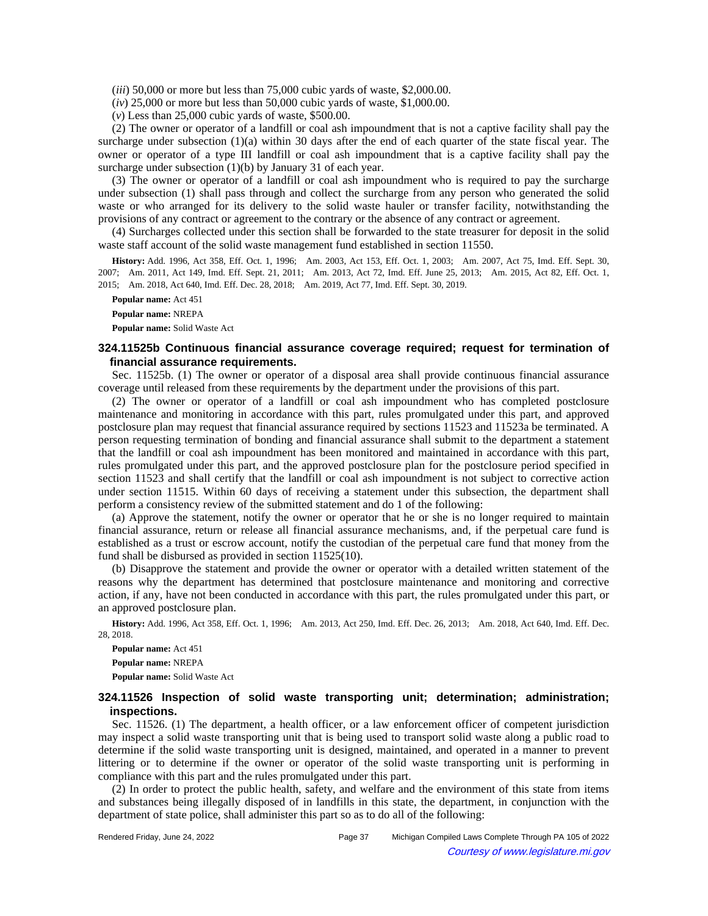(*iii*) 50,000 or more but less than 75,000 cubic yards of waste, \$2,000.00.

(*iv*) 25,000 or more but less than 50,000 cubic yards of waste, \$1,000.00.

(*v*) Less than 25,000 cubic yards of waste, \$500.00.

(2) The owner or operator of a landfill or coal ash impoundment that is not a captive facility shall pay the surcharge under subsection (1)(a) within 30 days after the end of each quarter of the state fiscal year. The owner or operator of a type III landfill or coal ash impoundment that is a captive facility shall pay the surcharge under subsection (1)(b) by January 31 of each year.

(3) The owner or operator of a landfill or coal ash impoundment who is required to pay the surcharge under subsection (1) shall pass through and collect the surcharge from any person who generated the solid waste or who arranged for its delivery to the solid waste hauler or transfer facility, notwithstanding the provisions of any contract or agreement to the contrary or the absence of any contract or agreement.

(4) Surcharges collected under this section shall be forwarded to the state treasurer for deposit in the solid waste staff account of the solid waste management fund established in section 11550.

History: Add. 1996, Act 358, Eff. Oct. 1, 1996;-Am. 2003, Act 153, Eff. Oct. 1, 2003;-Am. 2007, Act 75, Imd. Eff. Sept. 30, 2007;—Am. 2011, Act 149, Imd. Eff. Sept. 21, 2011;—Am. 2013, Act 72, Imd. Eff. June 25, 2013;—Am. 2015, Act 82, Eff. Oct. 1, 2015; Am. 2018, Act 640, Imd. Eff. Dec. 28, 2018; Am. 2019, Act 77, Imd. Eff. Sept. 30, 2019.

**Popular name:** Act 451

**Popular name:** NREPA

**Popular name:** Solid Waste Act

## **324.11525b Continuous financial assurance coverage required; request for termination of financial assurance requirements.**

Sec. 11525b. (1) The owner or operator of a disposal area shall provide continuous financial assurance coverage until released from these requirements by the department under the provisions of this part.

(2) The owner or operator of a landfill or coal ash impoundment who has completed postclosure maintenance and monitoring in accordance with this part, rules promulgated under this part, and approved postclosure plan may request that financial assurance required by sections 11523 and 11523a be terminated. A person requesting termination of bonding and financial assurance shall submit to the department a statement that the landfill or coal ash impoundment has been monitored and maintained in accordance with this part, rules promulgated under this part, and the approved postclosure plan for the postclosure period specified in section 11523 and shall certify that the landfill or coal ash impoundment is not subject to corrective action under section 11515. Within 60 days of receiving a statement under this subsection, the department shall perform a consistency review of the submitted statement and do 1 of the following:

(a) Approve the statement, notify the owner or operator that he or she is no longer required to maintain financial assurance, return or release all financial assurance mechanisms, and, if the perpetual care fund is established as a trust or escrow account, notify the custodian of the perpetual care fund that money from the fund shall be disbursed as provided in section 11525(10).

(b) Disapprove the statement and provide the owner or operator with a detailed written statement of the reasons why the department has determined that postclosure maintenance and monitoring and corrective action, if any, have not been conducted in accordance with this part, the rules promulgated under this part, or an approved postclosure plan.

History: Add. 1996, Act 358, Eff. Oct. 1, 1996;—Am. 2013, Act 250, Imd. Eff. Dec. 26, 2013;—Am. 2018, Act 640, Imd. Eff. Dec. 28, 2018.

**Popular name:** Act 451 **Popular name:** NREPA **Popular name:** Solid Waste Act

### **324.11526 Inspection of solid waste transporting unit; determination; administration; inspections.**

Sec. 11526. (1) The department, a health officer, or a law enforcement officer of competent jurisdiction may inspect a solid waste transporting unit that is being used to transport solid waste along a public road to determine if the solid waste transporting unit is designed, maintained, and operated in a manner to prevent littering or to determine if the owner or operator of the solid waste transporting unit is performing in compliance with this part and the rules promulgated under this part.

(2) In order to protect the public health, safety, and welfare and the environment of this state from items and substances being illegally disposed of in landfills in this state, the department, in conjunction with the department of state police, shall administer this part so as to do all of the following: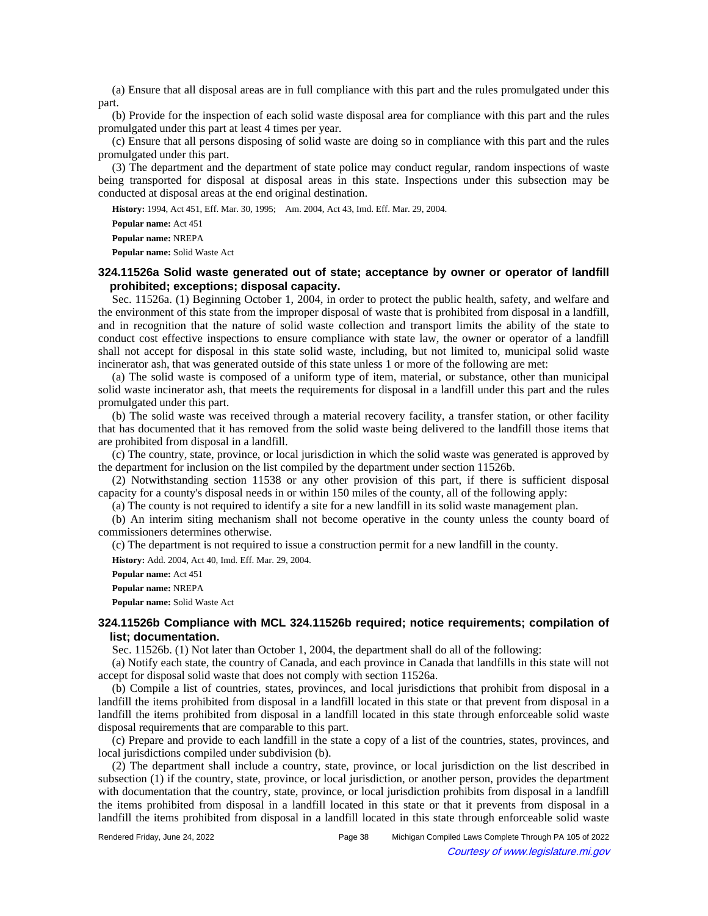(a) Ensure that all disposal areas are in full compliance with this part and the rules promulgated under this part.

(b) Provide for the inspection of each solid waste disposal area for compliance with this part and the rules promulgated under this part at least 4 times per year.

(c) Ensure that all persons disposing of solid waste are doing so in compliance with this part and the rules promulgated under this part.

(3) The department and the department of state police may conduct regular, random inspections of waste being transported for disposal at disposal areas in this state. Inspections under this subsection may be conducted at disposal areas at the end original destination.

History: 1994, Act 451, Eff. Mar. 30, 1995;-- Am. 2004, Act 43, Imd. Eff. Mar. 29, 2004.

**Popular name:** Act 451

**Popular name:** NREPA

**Popular name:** Solid Waste Act

## **324.11526a Solid waste generated out of state; acceptance by owner or operator of landfill prohibited; exceptions; disposal capacity.**

Sec. 11526a. (1) Beginning October 1, 2004, in order to protect the public health, safety, and welfare and the environment of this state from the improper disposal of waste that is prohibited from disposal in a landfill, and in recognition that the nature of solid waste collection and transport limits the ability of the state to conduct cost effective inspections to ensure compliance with state law, the owner or operator of a landfill shall not accept for disposal in this state solid waste, including, but not limited to, municipal solid waste incinerator ash, that was generated outside of this state unless 1 or more of the following are met:

(a) The solid waste is composed of a uniform type of item, material, or substance, other than municipal solid waste incinerator ash, that meets the requirements for disposal in a landfill under this part and the rules promulgated under this part.

(b) The solid waste was received through a material recovery facility, a transfer station, or other facility that has documented that it has removed from the solid waste being delivered to the landfill those items that are prohibited from disposal in a landfill.

(c) The country, state, province, or local jurisdiction in which the solid waste was generated is approved by the department for inclusion on the list compiled by the department under section 11526b.

(2) Notwithstanding section 11538 or any other provision of this part, if there is sufficient disposal capacity for a county's disposal needs in or within 150 miles of the county, all of the following apply:

(a) The county is not required to identify a site for a new landfill in its solid waste management plan.

(b) An interim siting mechanism shall not become operative in the county unless the county board of commissioners determines otherwise.

(c) The department is not required to issue a construction permit for a new landfill in the county.

**History:** Add. 2004, Act 40, Imd. Eff. Mar. 29, 2004.

**Popular name:** Act 451

**Popular name:** NREPA

**Popular name:** Solid Waste Act

# **324.11526b Compliance with MCL 324.11526b required; notice requirements; compilation of list; documentation.**

Sec. 11526b. (1) Not later than October 1, 2004, the department shall do all of the following:

(a) Notify each state, the country of Canada, and each province in Canada that landfills in this state will not accept for disposal solid waste that does not comply with section 11526a.

(b) Compile a list of countries, states, provinces, and local jurisdictions that prohibit from disposal in a landfill the items prohibited from disposal in a landfill located in this state or that prevent from disposal in a landfill the items prohibited from disposal in a landfill located in this state through enforceable solid waste disposal requirements that are comparable to this part.

(c) Prepare and provide to each landfill in the state a copy of a list of the countries, states, provinces, and local jurisdictions compiled under subdivision (b).

(2) The department shall include a country, state, province, or local jurisdiction on the list described in subsection (1) if the country, state, province, or local jurisdiction, or another person, provides the department with documentation that the country, state, province, or local jurisdiction prohibits from disposal in a landfill the items prohibited from disposal in a landfill located in this state or that it prevents from disposal in a landfill the items prohibited from disposal in a landfill located in this state through enforceable solid waste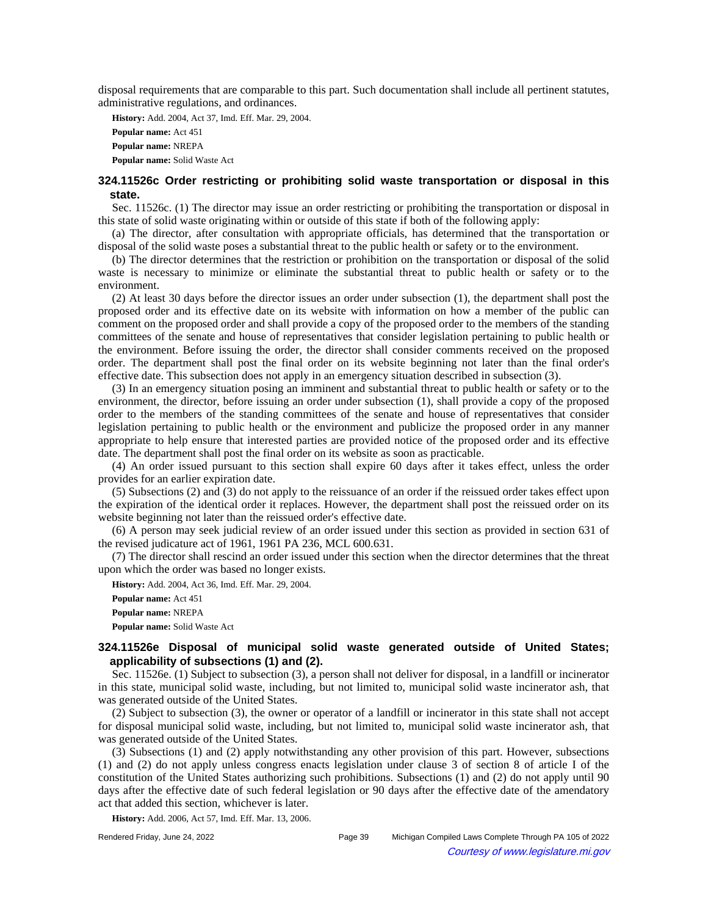disposal requirements that are comparable to this part. Such documentation shall include all pertinent statutes, administrative regulations, and ordinances.

**History:** Add. 2004, Act 37, Imd. Eff. Mar. 29, 2004. **Popular name:** Act 451 **Popular name:** NREPA **Popular name:** Solid Waste Act

# **324.11526c Order restricting or prohibiting solid waste transportation or disposal in this state.**

Sec. 11526c. (1) The director may issue an order restricting or prohibiting the transportation or disposal in this state of solid waste originating within or outside of this state if both of the following apply:

(a) The director, after consultation with appropriate officials, has determined that the transportation or disposal of the solid waste poses a substantial threat to the public health or safety or to the environment.

(b) The director determines that the restriction or prohibition on the transportation or disposal of the solid waste is necessary to minimize or eliminate the substantial threat to public health or safety or to the environment.

(2) At least 30 days before the director issues an order under subsection (1), the department shall post the proposed order and its effective date on its website with information on how a member of the public can comment on the proposed order and shall provide a copy of the proposed order to the members of the standing committees of the senate and house of representatives that consider legislation pertaining to public health or the environment. Before issuing the order, the director shall consider comments received on the proposed order. The department shall post the final order on its website beginning not later than the final order's effective date. This subsection does not apply in an emergency situation described in subsection (3).

(3) In an emergency situation posing an imminent and substantial threat to public health or safety or to the environment, the director, before issuing an order under subsection (1), shall provide a copy of the proposed order to the members of the standing committees of the senate and house of representatives that consider legislation pertaining to public health or the environment and publicize the proposed order in any manner appropriate to help ensure that interested parties are provided notice of the proposed order and its effective date. The department shall post the final order on its website as soon as practicable.

(4) An order issued pursuant to this section shall expire 60 days after it takes effect, unless the order provides for an earlier expiration date.

(5) Subsections (2) and (3) do not apply to the reissuance of an order if the reissued order takes effect upon the expiration of the identical order it replaces. However, the department shall post the reissued order on its website beginning not later than the reissued order's effective date.

(6) A person may seek judicial review of an order issued under this section as provided in section 631 of the revised judicature act of 1961, 1961 PA 236, MCL 600.631.

(7) The director shall rescind an order issued under this section when the director determines that the threat upon which the order was based no longer exists.

**History:** Add. 2004, Act 36, Imd. Eff. Mar. 29, 2004.

**Popular name:** Act 451 **Popular name:** NREPA **Popular name:** Solid Waste Act

# **324.11526e Disposal of municipal solid waste generated outside of United States; applicability of subsections (1) and (2).**

Sec. 11526e. (1) Subject to subsection (3), a person shall not deliver for disposal, in a landfill or incinerator in this state, municipal solid waste, including, but not limited to, municipal solid waste incinerator ash, that was generated outside of the United States.

(2) Subject to subsection (3), the owner or operator of a landfill or incinerator in this state shall not accept for disposal municipal solid waste, including, but not limited to, municipal solid waste incinerator ash, that was generated outside of the United States.

(3) Subsections (1) and (2) apply notwithstanding any other provision of this part. However, subsections (1) and (2) do not apply unless congress enacts legislation under clause 3 of section 8 of article I of the constitution of the United States authorizing such prohibitions. Subsections (1) and (2) do not apply until 90 days after the effective date of such federal legislation or 90 days after the effective date of the amendatory act that added this section, whichever is later.

**History:** Add. 2006, Act 57, Imd. Eff. Mar. 13, 2006.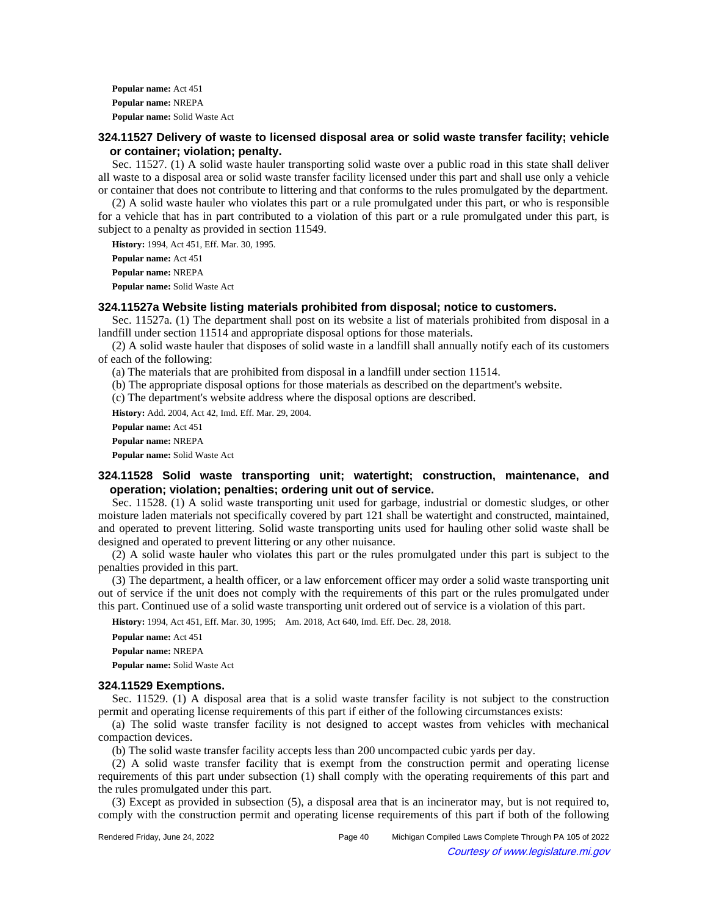**Popular name:** Act 451 **Popular name:** NREPA **Popular name:** Solid Waste Act

## **324.11527 Delivery of waste to licensed disposal area or solid waste transfer facility; vehicle or container; violation; penalty.**

Sec. 11527. (1) A solid waste hauler transporting solid waste over a public road in this state shall deliver all waste to a disposal area or solid waste transfer facility licensed under this part and shall use only a vehicle or container that does not contribute to littering and that conforms to the rules promulgated by the department.

(2) A solid waste hauler who violates this part or a rule promulgated under this part, or who is responsible for a vehicle that has in part contributed to a violation of this part or a rule promulgated under this part, is subject to a penalty as provided in section 11549.

**History:** 1994, Act 451, Eff. Mar. 30, 1995.

**Popular name:** Act 451

**Popular name:** NREPA

**Popular name:** Solid Waste Act

## **324.11527a Website listing materials prohibited from disposal; notice to customers.**

Sec. 11527a. (1) The department shall post on its website a list of materials prohibited from disposal in a landfill under section 11514 and appropriate disposal options for those materials.

(2) A solid waste hauler that disposes of solid waste in a landfill shall annually notify each of its customers of each of the following:

(a) The materials that are prohibited from disposal in a landfill under section 11514.

(b) The appropriate disposal options for those materials as described on the department's website.

(c) The department's website address where the disposal options are described.

**History:** Add. 2004, Act 42, Imd. Eff. Mar. 29, 2004.

**Popular name:** Act 451

**Popular name:** NREPA

**Popular name:** Solid Waste Act

# **324.11528 Solid waste transporting unit; watertight; construction, maintenance, and operation; violation; penalties; ordering unit out of service.**

Sec. 11528. (1) A solid waste transporting unit used for garbage, industrial or domestic sludges, or other moisture laden materials not specifically covered by part 121 shall be watertight and constructed, maintained, and operated to prevent littering. Solid waste transporting units used for hauling other solid waste shall be designed and operated to prevent littering or any other nuisance.

(2) A solid waste hauler who violates this part or the rules promulgated under this part is subject to the penalties provided in this part.

(3) The department, a health officer, or a law enforcement officer may order a solid waste transporting unit out of service if the unit does not comply with the requirements of this part or the rules promulgated under this part. Continued use of a solid waste transporting unit ordered out of service is a violation of this part.

History: 1994, Act 451, Eff. Mar. 30, 1995;-- Am. 2018, Act 640, Imd. Eff. Dec. 28, 2018.

**Popular name:** Act 451 **Popular name:** NREPA **Popular name:** Solid Waste Act

#### **324.11529 Exemptions.**

Sec. 11529. (1) A disposal area that is a solid waste transfer facility is not subject to the construction permit and operating license requirements of this part if either of the following circumstances exists:

(a) The solid waste transfer facility is not designed to accept wastes from vehicles with mechanical compaction devices.

(b) The solid waste transfer facility accepts less than 200 uncompacted cubic yards per day.

(2) A solid waste transfer facility that is exempt from the construction permit and operating license requirements of this part under subsection (1) shall comply with the operating requirements of this part and the rules promulgated under this part.

(3) Except as provided in subsection (5), a disposal area that is an incinerator may, but is not required to, comply with the construction permit and operating license requirements of this part if both of the following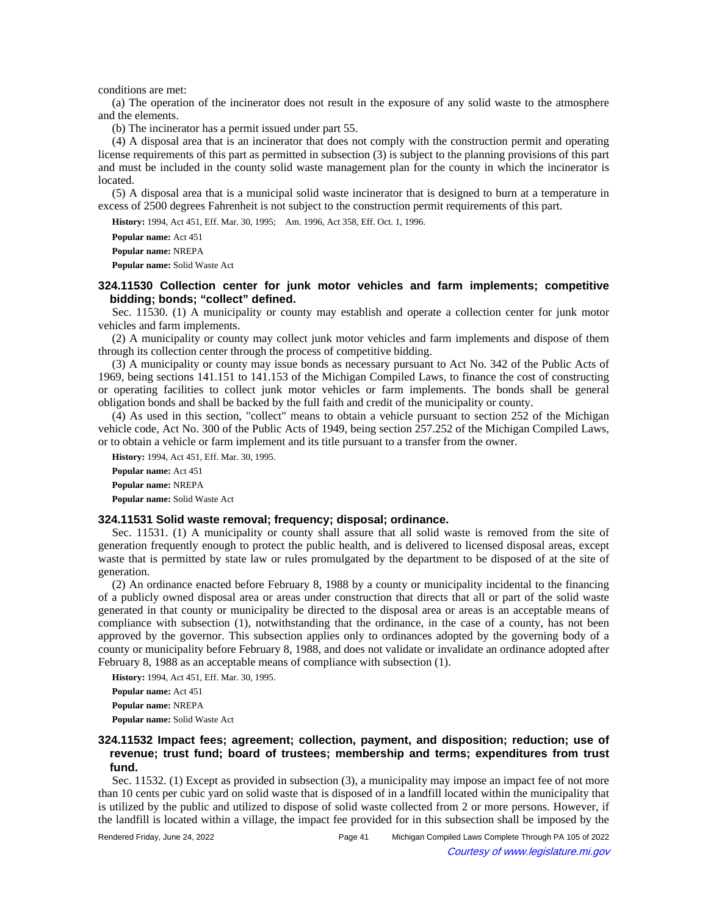conditions are met:

(a) The operation of the incinerator does not result in the exposure of any solid waste to the atmosphere and the elements.

(b) The incinerator has a permit issued under part 55.

(4) A disposal area that is an incinerator that does not comply with the construction permit and operating license requirements of this part as permitted in subsection (3) is subject to the planning provisions of this part and must be included in the county solid waste management plan for the county in which the incinerator is located.

(5) A disposal area that is a municipal solid waste incinerator that is designed to burn at a temperature in excess of 2500 degrees Fahrenheit is not subject to the construction permit requirements of this part.

History: 1994, Act 451, Eff. Mar. 30, 1995;-- Am. 1996, Act 358, Eff. Oct. 1, 1996.

**Popular name:** Act 451 **Popular name:** NREPA

**Popular name:** Solid Waste Act

# **324.11530 Collection center for junk motor vehicles and farm implements; competitive bidding; bonds; "collect" defined.**

Sec. 11530. (1) A municipality or county may establish and operate a collection center for junk motor vehicles and farm implements.

(2) A municipality or county may collect junk motor vehicles and farm implements and dispose of them through its collection center through the process of competitive bidding.

(3) A municipality or county may issue bonds as necessary pursuant to Act No. 342 of the Public Acts of 1969, being sections 141.151 to 141.153 of the Michigan Compiled Laws, to finance the cost of constructing or operating facilities to collect junk motor vehicles or farm implements. The bonds shall be general obligation bonds and shall be backed by the full faith and credit of the municipality or county.

(4) As used in this section, "collect" means to obtain a vehicle pursuant to section 252 of the Michigan vehicle code, Act No. 300 of the Public Acts of 1949, being section 257.252 of the Michigan Compiled Laws, or to obtain a vehicle or farm implement and its title pursuant to a transfer from the owner.

**History:** 1994, Act 451, Eff. Mar. 30, 1995. **Popular name:** Act 451 **Popular name:** NREPA **Popular name:** Solid Waste Act

#### **324.11531 Solid waste removal; frequency; disposal; ordinance.**

Sec. 11531. (1) A municipality or county shall assure that all solid waste is removed from the site of generation frequently enough to protect the public health, and is delivered to licensed disposal areas, except waste that is permitted by state law or rules promulgated by the department to be disposed of at the site of generation.

(2) An ordinance enacted before February 8, 1988 by a county or municipality incidental to the financing of a publicly owned disposal area or areas under construction that directs that all or part of the solid waste generated in that county or municipality be directed to the disposal area or areas is an acceptable means of compliance with subsection (1), notwithstanding that the ordinance, in the case of a county, has not been approved by the governor. This subsection applies only to ordinances adopted by the governing body of a county or municipality before February 8, 1988, and does not validate or invalidate an ordinance adopted after February 8, 1988 as an acceptable means of compliance with subsection (1).

**History:** 1994, Act 451, Eff. Mar. 30, 1995.

**Popular name:** Act 451 **Popular name:** NREPA **Popular name:** Solid Waste Act

## **324.11532 Impact fees; agreement; collection, payment, and disposition; reduction; use of revenue; trust fund; board of trustees; membership and terms; expenditures from trust fund.**

Sec. 11532. (1) Except as provided in subsection (3), a municipality may impose an impact fee of not more than 10 cents per cubic yard on solid waste that is disposed of in a landfill located within the municipality that is utilized by the public and utilized to dispose of solid waste collected from 2 or more persons. However, if the landfill is located within a village, the impact fee provided for in this subsection shall be imposed by the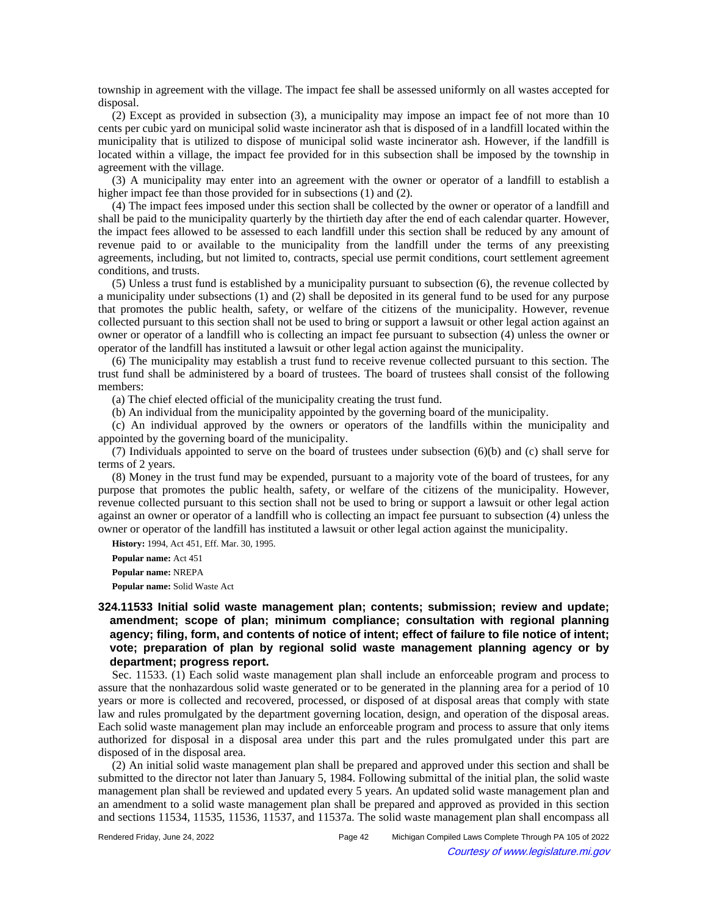township in agreement with the village. The impact fee shall be assessed uniformly on all wastes accepted for disposal.

(2) Except as provided in subsection (3), a municipality may impose an impact fee of not more than 10 cents per cubic yard on municipal solid waste incinerator ash that is disposed of in a landfill located within the municipality that is utilized to dispose of municipal solid waste incinerator ash. However, if the landfill is located within a village, the impact fee provided for in this subsection shall be imposed by the township in agreement with the village.

(3) A municipality may enter into an agreement with the owner or operator of a landfill to establish a higher impact fee than those provided for in subsections (1) and (2).

(4) The impact fees imposed under this section shall be collected by the owner or operator of a landfill and shall be paid to the municipality quarterly by the thirtieth day after the end of each calendar quarter. However, the impact fees allowed to be assessed to each landfill under this section shall be reduced by any amount of revenue paid to or available to the municipality from the landfill under the terms of any preexisting agreements, including, but not limited to, contracts, special use permit conditions, court settlement agreement conditions, and trusts.

(5) Unless a trust fund is established by a municipality pursuant to subsection (6), the revenue collected by a municipality under subsections (1) and (2) shall be deposited in its general fund to be used for any purpose that promotes the public health, safety, or welfare of the citizens of the municipality. However, revenue collected pursuant to this section shall not be used to bring or support a lawsuit or other legal action against an owner or operator of a landfill who is collecting an impact fee pursuant to subsection (4) unless the owner or operator of the landfill has instituted a lawsuit or other legal action against the municipality.

(6) The municipality may establish a trust fund to receive revenue collected pursuant to this section. The trust fund shall be administered by a board of trustees. The board of trustees shall consist of the following members:

(a) The chief elected official of the municipality creating the trust fund.

(b) An individual from the municipality appointed by the governing board of the municipality.

(c) An individual approved by the owners or operators of the landfills within the municipality and appointed by the governing board of the municipality.

(7) Individuals appointed to serve on the board of trustees under subsection (6)(b) and (c) shall serve for terms of 2 years.

(8) Money in the trust fund may be expended, pursuant to a majority vote of the board of trustees, for any purpose that promotes the public health, safety, or welfare of the citizens of the municipality. However, revenue collected pursuant to this section shall not be used to bring or support a lawsuit or other legal action against an owner or operator of a landfill who is collecting an impact fee pursuant to subsection (4) unless the owner or operator of the landfill has instituted a lawsuit or other legal action against the municipality.

**History:** 1994, Act 451, Eff. Mar. 30, 1995.

**Popular name:** Act 451 **Popular name:** NREPA **Popular name:** Solid Waste Act

# **324.11533 Initial solid waste management plan; contents; submission; review and update; amendment; scope of plan; minimum compliance; consultation with regional planning agency; filing, form, and contents of notice of intent; effect of failure to file notice of intent; vote; preparation of plan by regional solid waste management planning agency or by department; progress report.**

Sec. 11533. (1) Each solid waste management plan shall include an enforceable program and process to assure that the nonhazardous solid waste generated or to be generated in the planning area for a period of 10 years or more is collected and recovered, processed, or disposed of at disposal areas that comply with state law and rules promulgated by the department governing location, design, and operation of the disposal areas. Each solid waste management plan may include an enforceable program and process to assure that only items authorized for disposal in a disposal area under this part and the rules promulgated under this part are disposed of in the disposal area.

(2) An initial solid waste management plan shall be prepared and approved under this section and shall be submitted to the director not later than January 5, 1984. Following submittal of the initial plan, the solid waste management plan shall be reviewed and updated every 5 years. An updated solid waste management plan and an amendment to a solid waste management plan shall be prepared and approved as provided in this section and sections 11534, 11535, 11536, 11537, and 11537a. The solid waste management plan shall encompass all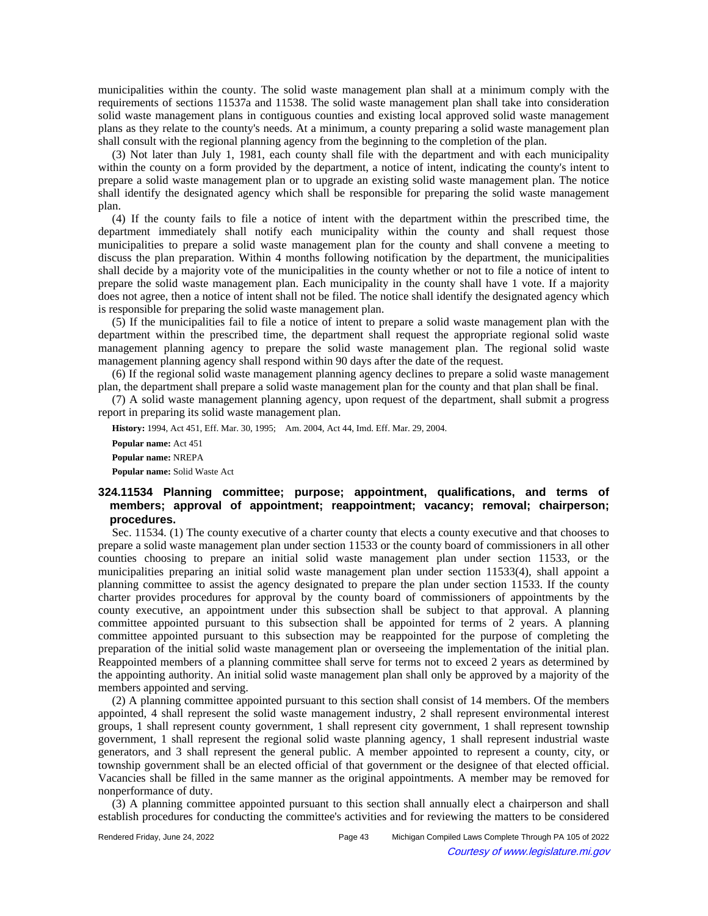municipalities within the county. The solid waste management plan shall at a minimum comply with the requirements of sections 11537a and 11538. The solid waste management plan shall take into consideration solid waste management plans in contiguous counties and existing local approved solid waste management plans as they relate to the county's needs. At a minimum, a county preparing a solid waste management plan shall consult with the regional planning agency from the beginning to the completion of the plan.

(3) Not later than July 1, 1981, each county shall file with the department and with each municipality within the county on a form provided by the department, a notice of intent, indicating the county's intent to prepare a solid waste management plan or to upgrade an existing solid waste management plan. The notice shall identify the designated agency which shall be responsible for preparing the solid waste management plan.

(4) If the county fails to file a notice of intent with the department within the prescribed time, the department immediately shall notify each municipality within the county and shall request those municipalities to prepare a solid waste management plan for the county and shall convene a meeting to discuss the plan preparation. Within 4 months following notification by the department, the municipalities shall decide by a majority vote of the municipalities in the county whether or not to file a notice of intent to prepare the solid waste management plan. Each municipality in the county shall have 1 vote. If a majority does not agree, then a notice of intent shall not be filed. The notice shall identify the designated agency which is responsible for preparing the solid waste management plan.

(5) If the municipalities fail to file a notice of intent to prepare a solid waste management plan with the department within the prescribed time, the department shall request the appropriate regional solid waste management planning agency to prepare the solid waste management plan. The regional solid waste management planning agency shall respond within 90 days after the date of the request.

(6) If the regional solid waste management planning agency declines to prepare a solid waste management plan, the department shall prepare a solid waste management plan for the county and that plan shall be final.

(7) A solid waste management planning agency, upon request of the department, shall submit a progress report in preparing its solid waste management plan.

History: 1994, Act 451, Eff. Mar. 30, 1995;-- Am. 2004, Act 44, Imd. Eff. Mar. 29, 2004.

**Popular name:** Act 451 **Popular name:** NREPA **Popular name:** Solid Waste Act

# **324.11534 Planning committee; purpose; appointment, qualifications, and terms of members; approval of appointment; reappointment; vacancy; removal; chairperson; procedures.**

Sec. 11534. (1) The county executive of a charter county that elects a county executive and that chooses to prepare a solid waste management plan under section 11533 or the county board of commissioners in all other counties choosing to prepare an initial solid waste management plan under section 11533, or the municipalities preparing an initial solid waste management plan under section 11533(4), shall appoint a planning committee to assist the agency designated to prepare the plan under section 11533. If the county charter provides procedures for approval by the county board of commissioners of appointments by the county executive, an appointment under this subsection shall be subject to that approval. A planning committee appointed pursuant to this subsection shall be appointed for terms of 2 years. A planning committee appointed pursuant to this subsection may be reappointed for the purpose of completing the preparation of the initial solid waste management plan or overseeing the implementation of the initial plan. Reappointed members of a planning committee shall serve for terms not to exceed 2 years as determined by the appointing authority. An initial solid waste management plan shall only be approved by a majority of the members appointed and serving.

(2) A planning committee appointed pursuant to this section shall consist of 14 members. Of the members appointed, 4 shall represent the solid waste management industry, 2 shall represent environmental interest groups, 1 shall represent county government, 1 shall represent city government, 1 shall represent township government, 1 shall represent the regional solid waste planning agency, 1 shall represent industrial waste generators, and 3 shall represent the general public. A member appointed to represent a county, city, or township government shall be an elected official of that government or the designee of that elected official. Vacancies shall be filled in the same manner as the original appointments. A member may be removed for nonperformance of duty.

(3) A planning committee appointed pursuant to this section shall annually elect a chairperson and shall establish procedures for conducting the committee's activities and for reviewing the matters to be considered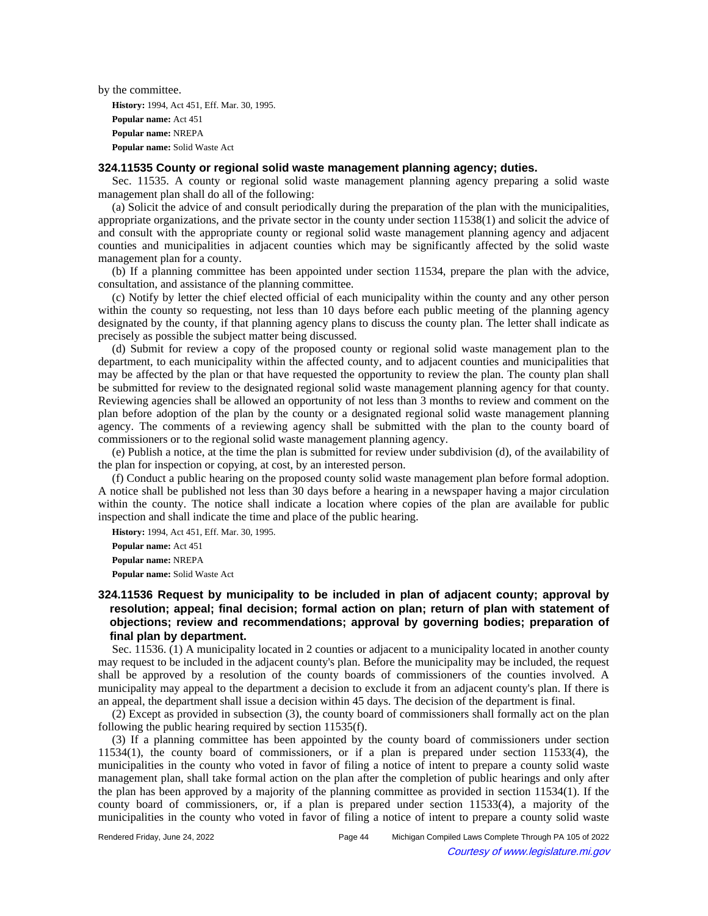by the committee.

**History:** 1994, Act 451, Eff. Mar. 30, 1995. **Popular name:** Act 451 **Popular name:** NREPA **Popular name:** Solid Waste Act

#### **324.11535 County or regional solid waste management planning agency; duties.**

Sec. 11535. A county or regional solid waste management planning agency preparing a solid waste management plan shall do all of the following:

(a) Solicit the advice of and consult periodically during the preparation of the plan with the municipalities, appropriate organizations, and the private sector in the county under section 11538(1) and solicit the advice of and consult with the appropriate county or regional solid waste management planning agency and adjacent counties and municipalities in adjacent counties which may be significantly affected by the solid waste management plan for a county.

(b) If a planning committee has been appointed under section 11534, prepare the plan with the advice, consultation, and assistance of the planning committee.

(c) Notify by letter the chief elected official of each municipality within the county and any other person within the county so requesting, not less than 10 days before each public meeting of the planning agency designated by the county, if that planning agency plans to discuss the county plan. The letter shall indicate as precisely as possible the subject matter being discussed.

(d) Submit for review a copy of the proposed county or regional solid waste management plan to the department, to each municipality within the affected county, and to adjacent counties and municipalities that may be affected by the plan or that have requested the opportunity to review the plan. The county plan shall be submitted for review to the designated regional solid waste management planning agency for that county. Reviewing agencies shall be allowed an opportunity of not less than 3 months to review and comment on the plan before adoption of the plan by the county or a designated regional solid waste management planning agency. The comments of a reviewing agency shall be submitted with the plan to the county board of commissioners or to the regional solid waste management planning agency.

(e) Publish a notice, at the time the plan is submitted for review under subdivision (d), of the availability of the plan for inspection or copying, at cost, by an interested person.

(f) Conduct a public hearing on the proposed county solid waste management plan before formal adoption. A notice shall be published not less than 30 days before a hearing in a newspaper having a major circulation within the county. The notice shall indicate a location where copies of the plan are available for public inspection and shall indicate the time and place of the public hearing.

**History:** 1994, Act 451, Eff. Mar. 30, 1995. **Popular name:** Act 451 **Popular name:** NREPA **Popular name:** Solid Waste Act

# **324.11536 Request by municipality to be included in plan of adjacent county; approval by resolution; appeal; final decision; formal action on plan; return of plan with statement of objections; review and recommendations; approval by governing bodies; preparation of final plan by department.**

Sec. 11536. (1) A municipality located in 2 counties or adjacent to a municipality located in another county may request to be included in the adjacent county's plan. Before the municipality may be included, the request shall be approved by a resolution of the county boards of commissioners of the counties involved. A municipality may appeal to the department a decision to exclude it from an adjacent county's plan. If there is an appeal, the department shall issue a decision within 45 days. The decision of the department is final.

(2) Except as provided in subsection (3), the county board of commissioners shall formally act on the plan following the public hearing required by section 11535(f).

(3) If a planning committee has been appointed by the county board of commissioners under section 11534(1), the county board of commissioners, or if a plan is prepared under section 11533(4), the municipalities in the county who voted in favor of filing a notice of intent to prepare a county solid waste management plan, shall take formal action on the plan after the completion of public hearings and only after the plan has been approved by a majority of the planning committee as provided in section 11534(1). If the county board of commissioners, or, if a plan is prepared under section 11533(4), a majority of the municipalities in the county who voted in favor of filing a notice of intent to prepare a county solid waste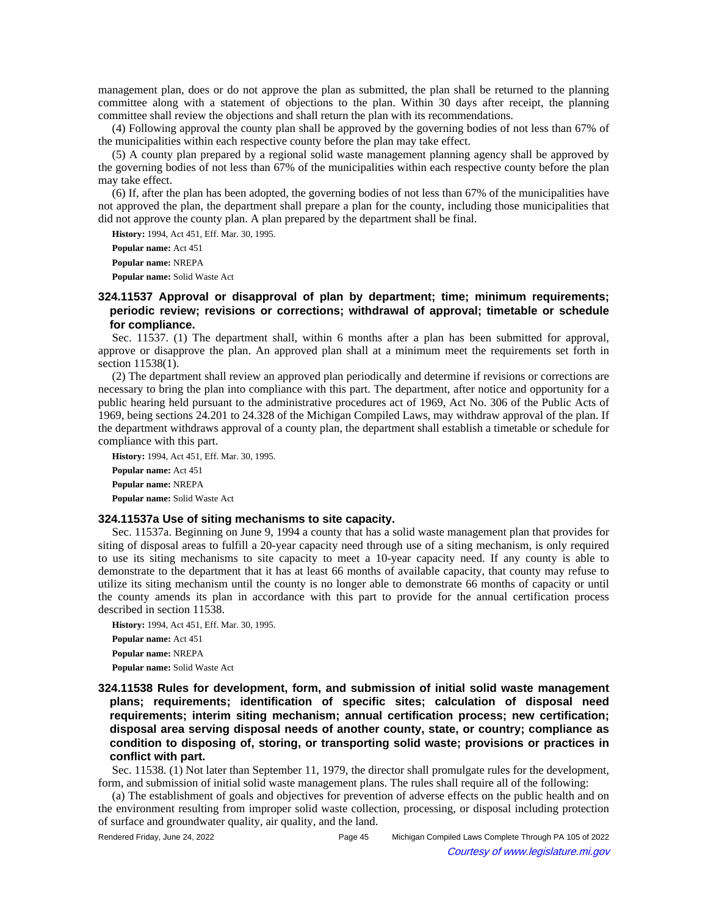management plan, does or do not approve the plan as submitted, the plan shall be returned to the planning committee along with a statement of objections to the plan. Within 30 days after receipt, the planning committee shall review the objections and shall return the plan with its recommendations.

(4) Following approval the county plan shall be approved by the governing bodies of not less than 67% of the municipalities within each respective county before the plan may take effect.

(5) A county plan prepared by a regional solid waste management planning agency shall be approved by the governing bodies of not less than 67% of the municipalities within each respective county before the plan may take effect.

(6) If, after the plan has been adopted, the governing bodies of not less than 67% of the municipalities have not approved the plan, the department shall prepare a plan for the county, including those municipalities that did not approve the county plan. A plan prepared by the department shall be final.

**History:** 1994, Act 451, Eff. Mar. 30, 1995.

**Popular name:** Act 451

**Popular name:** NREPA

**Popular name:** Solid Waste Act

# **324.11537 Approval or disapproval of plan by department; time; minimum requirements; periodic review; revisions or corrections; withdrawal of approval; timetable or schedule for compliance.**

Sec. 11537. (1) The department shall, within 6 months after a plan has been submitted for approval, approve or disapprove the plan. An approved plan shall at a minimum meet the requirements set forth in section 11538(1).

(2) The department shall review an approved plan periodically and determine if revisions or corrections are necessary to bring the plan into compliance with this part. The department, after notice and opportunity for a public hearing held pursuant to the administrative procedures act of 1969, Act No. 306 of the Public Acts of 1969, being sections 24.201 to 24.328 of the Michigan Compiled Laws, may withdraw approval of the plan. If the department withdraws approval of a county plan, the department shall establish a timetable or schedule for compliance with this part.

**History:** 1994, Act 451, Eff. Mar. 30, 1995. **Popular name:** Act 451 **Popular name:** NREPA **Popular name:** Solid Waste Act

#### **324.11537a Use of siting mechanisms to site capacity.**

Sec. 11537a. Beginning on June 9, 1994 a county that has a solid waste management plan that provides for siting of disposal areas to fulfill a 20-year capacity need through use of a siting mechanism, is only required to use its siting mechanisms to site capacity to meet a 10-year capacity need. If any county is able to demonstrate to the department that it has at least 66 months of available capacity, that county may refuse to utilize its siting mechanism until the county is no longer able to demonstrate 66 months of capacity or until the county amends its plan in accordance with this part to provide for the annual certification process described in section 11538.

**History:** 1994, Act 451, Eff. Mar. 30, 1995.

**Popular name:** Act 451 **Popular name:** NREPA **Popular name:** Solid Waste Act

# **324.11538 Rules for development, form, and submission of initial solid waste management plans; requirements; identification of specific sites; calculation of disposal need requirements; interim siting mechanism; annual certification process; new certification; disposal area serving disposal needs of another county, state, or country; compliance as condition to disposing of, storing, or transporting solid waste; provisions or practices in conflict with part.**

Sec. 11538. (1) Not later than September 11, 1979, the director shall promulgate rules for the development, form, and submission of initial solid waste management plans. The rules shall require all of the following:

(a) The establishment of goals and objectives for prevention of adverse effects on the public health and on the environment resulting from improper solid waste collection, processing, or disposal including protection of surface and groundwater quality, air quality, and the land.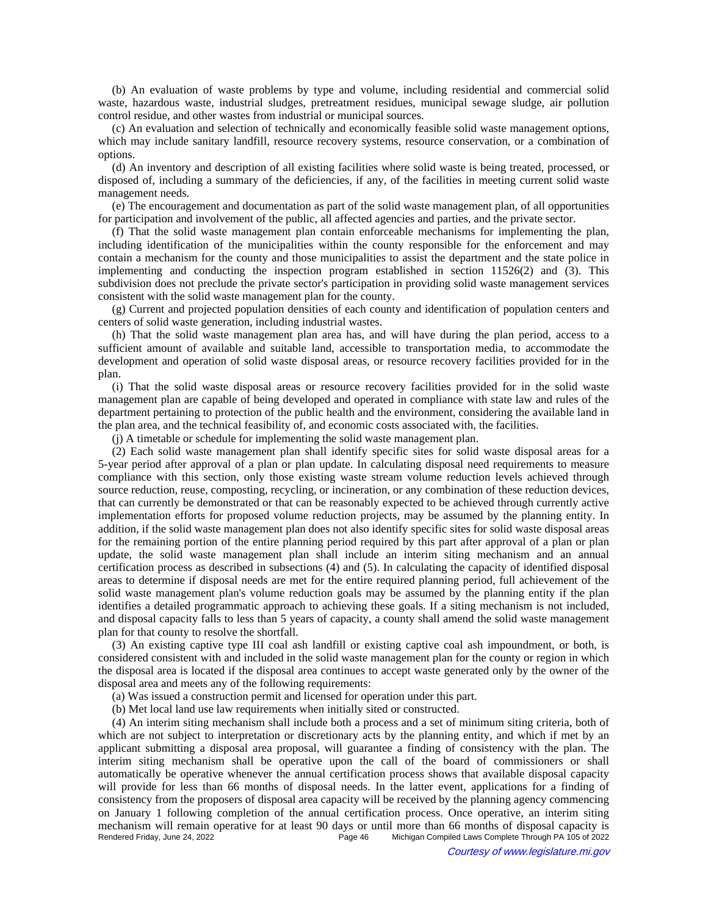(b) An evaluation of waste problems by type and volume, including residential and commercial solid waste, hazardous waste, industrial sludges, pretreatment residues, municipal sewage sludge, air pollution control residue, and other wastes from industrial or municipal sources.

(c) An evaluation and selection of technically and economically feasible solid waste management options, which may include sanitary landfill, resource recovery systems, resource conservation, or a combination of options.

(d) An inventory and description of all existing facilities where solid waste is being treated, processed, or disposed of, including a summary of the deficiencies, if any, of the facilities in meeting current solid waste management needs.

(e) The encouragement and documentation as part of the solid waste management plan, of all opportunities for participation and involvement of the public, all affected agencies and parties, and the private sector.

(f) That the solid waste management plan contain enforceable mechanisms for implementing the plan, including identification of the municipalities within the county responsible for the enforcement and may contain a mechanism for the county and those municipalities to assist the department and the state police in implementing and conducting the inspection program established in section 11526(2) and (3). This subdivision does not preclude the private sector's participation in providing solid waste management services consistent with the solid waste management plan for the county.

(g) Current and projected population densities of each county and identification of population centers and centers of solid waste generation, including industrial wastes.

(h) That the solid waste management plan area has, and will have during the plan period, access to a sufficient amount of available and suitable land, accessible to transportation media, to accommodate the development and operation of solid waste disposal areas, or resource recovery facilities provided for in the plan.

(i) That the solid waste disposal areas or resource recovery facilities provided for in the solid waste management plan are capable of being developed and operated in compliance with state law and rules of the department pertaining to protection of the public health and the environment, considering the available land in the plan area, and the technical feasibility of, and economic costs associated with, the facilities.

(j) A timetable or schedule for implementing the solid waste management plan.

(2) Each solid waste management plan shall identify specific sites for solid waste disposal areas for a 5-year period after approval of a plan or plan update. In calculating disposal need requirements to measure compliance with this section, only those existing waste stream volume reduction levels achieved through source reduction, reuse, composting, recycling, or incineration, or any combination of these reduction devices, that can currently be demonstrated or that can be reasonably expected to be achieved through currently active implementation efforts for proposed volume reduction projects, may be assumed by the planning entity. In addition, if the solid waste management plan does not also identify specific sites for solid waste disposal areas for the remaining portion of the entire planning period required by this part after approval of a plan or plan update, the solid waste management plan shall include an interim siting mechanism and an annual certification process as described in subsections (4) and (5). In calculating the capacity of identified disposal areas to determine if disposal needs are met for the entire required planning period, full achievement of the solid waste management plan's volume reduction goals may be assumed by the planning entity if the plan identifies a detailed programmatic approach to achieving these goals. If a siting mechanism is not included, and disposal capacity falls to less than 5 years of capacity, a county shall amend the solid waste management plan for that county to resolve the shortfall.

(3) An existing captive type III coal ash landfill or existing captive coal ash impoundment, or both, is considered consistent with and included in the solid waste management plan for the county or region in which the disposal area is located if the disposal area continues to accept waste generated only by the owner of the disposal area and meets any of the following requirements:

(a) Was issued a construction permit and licensed for operation under this part.

(b) Met local land use law requirements when initially sited or constructed.

(4) An interim siting mechanism shall include both a process and a set of minimum siting criteria, both of which are not subject to interpretation or discretionary acts by the planning entity, and which if met by an applicant submitting a disposal area proposal, will guarantee a finding of consistency with the plan. The interim siting mechanism shall be operative upon the call of the board of commissioners or shall automatically be operative whenever the annual certification process shows that available disposal capacity will provide for less than 66 months of disposal needs. In the latter event, applications for a finding of consistency from the proposers of disposal area capacity will be received by the planning agency commencing on January 1 following completion of the annual certification process. Once operative, an interim siting mechanism will remain operative for at least 90 days or until more than 66 months of disposal capacity is<br>Page 46 Michigan Compiled Laws Complete Through PA 105 of 2022 Michigan Compiled Laws Complete Through PA 105 of 2022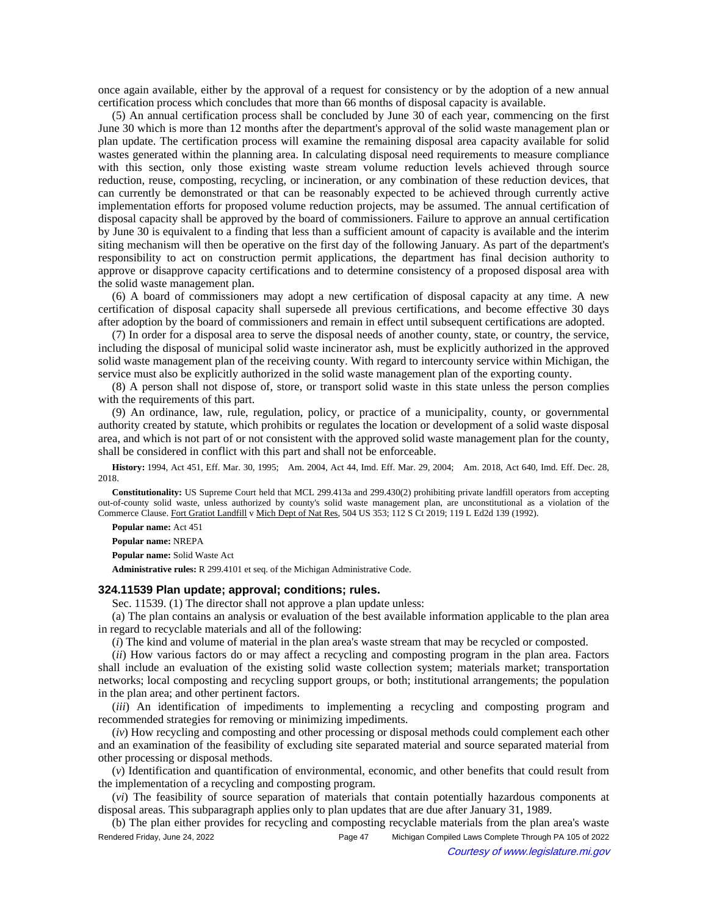once again available, either by the approval of a request for consistency or by the adoption of a new annual certification process which concludes that more than 66 months of disposal capacity is available.

(5) An annual certification process shall be concluded by June 30 of each year, commencing on the first June 30 which is more than 12 months after the department's approval of the solid waste management plan or plan update. The certification process will examine the remaining disposal area capacity available for solid wastes generated within the planning area. In calculating disposal need requirements to measure compliance with this section, only those existing waste stream volume reduction levels achieved through source reduction, reuse, composting, recycling, or incineration, or any combination of these reduction devices, that can currently be demonstrated or that can be reasonably expected to be achieved through currently active implementation efforts for proposed volume reduction projects, may be assumed. The annual certification of disposal capacity shall be approved by the board of commissioners. Failure to approve an annual certification by June 30 is equivalent to a finding that less than a sufficient amount of capacity is available and the interim siting mechanism will then be operative on the first day of the following January. As part of the department's responsibility to act on construction permit applications, the department has final decision authority to approve or disapprove capacity certifications and to determine consistency of a proposed disposal area with the solid waste management plan.

(6) A board of commissioners may adopt a new certification of disposal capacity at any time. A new certification of disposal capacity shall supersede all previous certifications, and become effective 30 days after adoption by the board of commissioners and remain in effect until subsequent certifications are adopted.

(7) In order for a disposal area to serve the disposal needs of another county, state, or country, the service, including the disposal of municipal solid waste incinerator ash, must be explicitly authorized in the approved solid waste management plan of the receiving county. With regard to intercounty service within Michigan, the service must also be explicitly authorized in the solid waste management plan of the exporting county.

(8) A person shall not dispose of, store, or transport solid waste in this state unless the person complies with the requirements of this part.

(9) An ordinance, law, rule, regulation, policy, or practice of a municipality, county, or governmental authority created by statute, which prohibits or regulates the location or development of a solid waste disposal area, and which is not part of or not consistent with the approved solid waste management plan for the county, shall be considered in conflict with this part and shall not be enforceable.

History: 1994, Act 451, Eff. Mar. 30, 1995;---Am. 2004, Act 44, Imd. Eff. Mar. 29, 2004;---Am. 2018, Act 640, Imd. Eff. Dec. 28, 2018.

**Constitutionality:** US Supreme Court held that MCL 299.413a and 299.430(2) prohibiting private landfill operators from accepting out-of-county solid waste, unless authorized by county's solid waste management plan, are unconstitutional as a violation of the Commerce Clause. Fort Gratiot Landfill v Mich Dept of Nat Res, 504 US 353; 112 S Ct 2019; 119 L Ed2d 139 (1992).

**Popular name:** Act 451

**Popular name:** NREPA

**Popular name:** Solid Waste Act

**Administrative rules:** R 299.4101 et seq. of the Michigan Administrative Code.

### **324.11539 Plan update; approval; conditions; rules.**

Sec. 11539. (1) The director shall not approve a plan update unless:

(a) The plan contains an analysis or evaluation of the best available information applicable to the plan area in regard to recyclable materials and all of the following:

(*i*) The kind and volume of material in the plan area's waste stream that may be recycled or composted.

(*ii*) How various factors do or may affect a recycling and composting program in the plan area. Factors shall include an evaluation of the existing solid waste collection system; materials market; transportation networks; local composting and recycling support groups, or both; institutional arrangements; the population in the plan area; and other pertinent factors.

(*iii*) An identification of impediments to implementing a recycling and composting program and recommended strategies for removing or minimizing impediments.

(*iv*) How recycling and composting and other processing or disposal methods could complement each other and an examination of the feasibility of excluding site separated material and source separated material from other processing or disposal methods.

(*v*) Identification and quantification of environmental, economic, and other benefits that could result from the implementation of a recycling and composting program.

(*vi*) The feasibility of source separation of materials that contain potentially hazardous components at disposal areas. This subparagraph applies only to plan updates that are due after January 31, 1989.

(b) The plan either provides for recycling and composting recyclable materials from the plan area's waste Rendered Friday, June 24, 2022 Page 47 Michigan Compiled Laws Complete Through PA 105 of 2022 Courtesy of www.legislature.mi.gov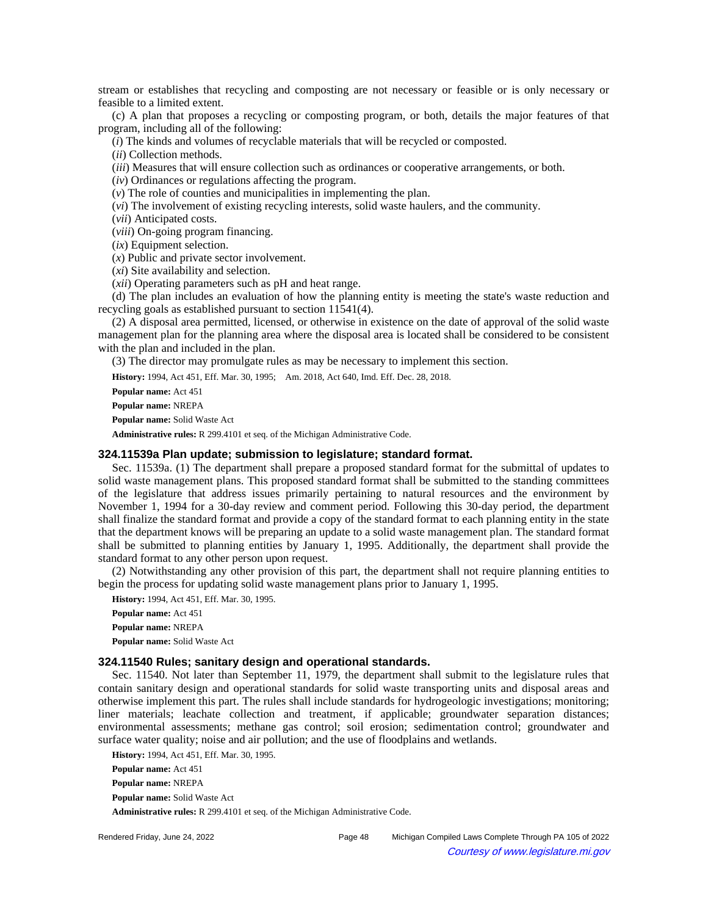stream or establishes that recycling and composting are not necessary or feasible or is only necessary or feasible to a limited extent.

(c) A plan that proposes a recycling or composting program, or both, details the major features of that program, including all of the following:

(*i*) The kinds and volumes of recyclable materials that will be recycled or composted.

(*ii*) Collection methods.

(*iii*) Measures that will ensure collection such as ordinances or cooperative arrangements, or both.

(*iv*) Ordinances or regulations affecting the program.

(*v*) The role of counties and municipalities in implementing the plan.

(*vi*) The involvement of existing recycling interests, solid waste haulers, and the community.

(*vii*) Anticipated costs.

(*viii*) On-going program financing.

(*ix*) Equipment selection.

(*x*) Public and private sector involvement.

(*xi*) Site availability and selection.

(*xii*) Operating parameters such as pH and heat range.

(d) The plan includes an evaluation of how the planning entity is meeting the state's waste reduction and recycling goals as established pursuant to section 11541(4).

(2) A disposal area permitted, licensed, or otherwise in existence on the date of approval of the solid waste management plan for the planning area where the disposal area is located shall be considered to be consistent with the plan and included in the plan.

(3) The director may promulgate rules as may be necessary to implement this section.

History: 1994, Act 451, Eff. Mar. 30, 1995;-- Am. 2018, Act 640, Imd. Eff. Dec. 28, 2018.

**Popular name:** Act 451

**Popular name:** NREPA

**Popular name:** Solid Waste Act

**Administrative rules:** R 299.4101 et seq. of the Michigan Administrative Code.

#### **324.11539a Plan update; submission to legislature; standard format.**

Sec. 11539a. (1) The department shall prepare a proposed standard format for the submittal of updates to solid waste management plans. This proposed standard format shall be submitted to the standing committees of the legislature that address issues primarily pertaining to natural resources and the environment by November 1, 1994 for a 30-day review and comment period. Following this 30-day period, the department shall finalize the standard format and provide a copy of the standard format to each planning entity in the state that the department knows will be preparing an update to a solid waste management plan. The standard format shall be submitted to planning entities by January 1, 1995. Additionally, the department shall provide the standard format to any other person upon request.

(2) Notwithstanding any other provision of this part, the department shall not require planning entities to begin the process for updating solid waste management plans prior to January 1, 1995.

**History:** 1994, Act 451, Eff. Mar. 30, 1995. **Popular name:** Act 451 **Popular name:** NREPA **Popular name:** Solid Waste Act

#### **324.11540 Rules; sanitary design and operational standards.**

Sec. 11540. Not later than September 11, 1979, the department shall submit to the legislature rules that contain sanitary design and operational standards for solid waste transporting units and disposal areas and otherwise implement this part. The rules shall include standards for hydrogeologic investigations; monitoring; liner materials; leachate collection and treatment, if applicable; groundwater separation distances; environmental assessments; methane gas control; soil erosion; sedimentation control; groundwater and surface water quality; noise and air pollution; and the use of floodplains and wetlands.

**History:** 1994, Act 451, Eff. Mar. 30, 1995. **Popular name:** Act 451 **Popular name:** NREPA **Popular name:** Solid Waste Act **Administrative rules:** R 299.4101 et seq. of the Michigan Administrative Code.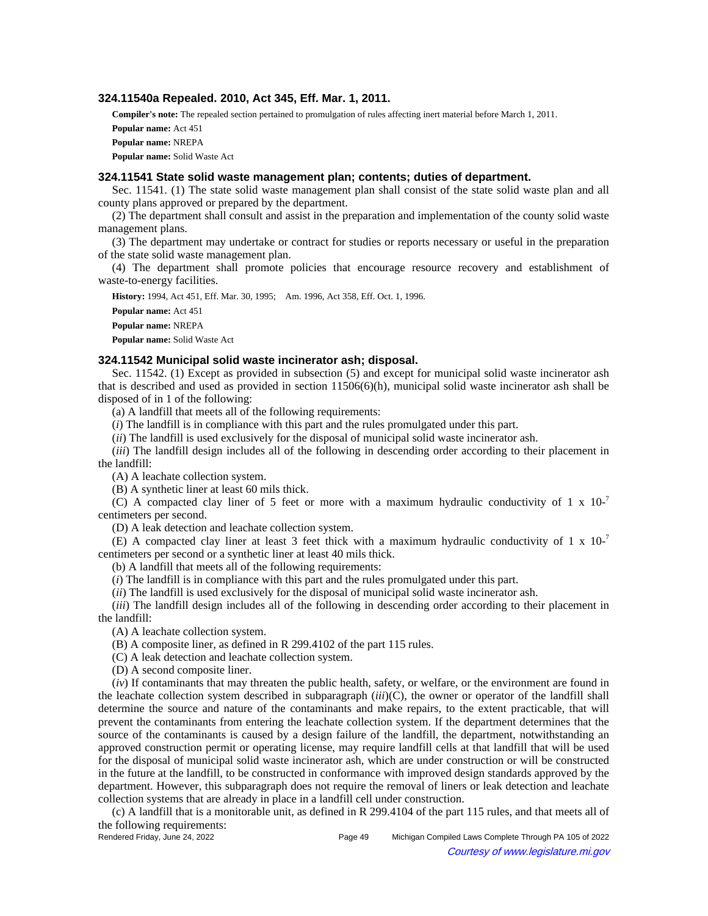## **324.11540a Repealed. 2010, Act 345, Eff. Mar. 1, 2011.**

**Compiler's note:** The repealed section pertained to promulgation of rules affecting inert material before March 1, 2011.

**Popular name:** Act 451

**Popular name:** NREPA

**Popular name:** Solid Waste Act

#### **324.11541 State solid waste management plan; contents; duties of department.**

Sec. 11541. (1) The state solid waste management plan shall consist of the state solid waste plan and all county plans approved or prepared by the department.

(2) The department shall consult and assist in the preparation and implementation of the county solid waste management plans.

(3) The department may undertake or contract for studies or reports necessary or useful in the preparation of the state solid waste management plan.

(4) The department shall promote policies that encourage resource recovery and establishment of waste-to-energy facilities.

**History:** 1994, Act 451, Eff. Mar. 30, 1995;—Am. 1996, Act 358, Eff. Oct. 1, 1996.

**Popular name:** Act 451 **Popular name:** NREPA **Popular name:** Solid Waste Act

#### **324.11542 Municipal solid waste incinerator ash; disposal.**

Sec. 11542. (1) Except as provided in subsection (5) and except for municipal solid waste incinerator ash that is described and used as provided in section 11506(6)(h), municipal solid waste incinerator ash shall be disposed of in 1 of the following:

(a) A landfill that meets all of the following requirements:

(*i*) The landfill is in compliance with this part and the rules promulgated under this part.

(*ii*) The landfill is used exclusively for the disposal of municipal solid waste incinerator ash.

(*iii*) The landfill design includes all of the following in descending order according to their placement in the landfill:

(A) A leachate collection system.

(B) A synthetic liner at least 60 mils thick.

(C) A compacted clay liner of 5 feet or more with a maximum hydraulic conductivity of  $1 \times 10^{-7}$ centimeters per second.

(D) A leak detection and leachate collection system.

(E) A compacted clay liner at least 3 feet thick with a maximum hydraulic conductivity of  $1 \times 10^{-7}$ centimeters per second or a synthetic liner at least 40 mils thick.

(b) A landfill that meets all of the following requirements:

(*i*) The landfill is in compliance with this part and the rules promulgated under this part.

(*ii*) The landfill is used exclusively for the disposal of municipal solid waste incinerator ash.

(*iii*) The landfill design includes all of the following in descending order according to their placement in the landfill:

(A) A leachate collection system.

(B) A composite liner, as defined in R 299.4102 of the part 115 rules.

(C) A leak detection and leachate collection system.

(D) A second composite liner.

(*iv*) If contaminants that may threaten the public health, safety, or welfare, or the environment are found in the leachate collection system described in subparagraph (*iii*)(C), the owner or operator of the landfill shall determine the source and nature of the contaminants and make repairs, to the extent practicable, that will prevent the contaminants from entering the leachate collection system. If the department determines that the source of the contaminants is caused by a design failure of the landfill, the department, notwithstanding an approved construction permit or operating license, may require landfill cells at that landfill that will be used for the disposal of municipal solid waste incinerator ash, which are under construction or will be constructed in the future at the landfill, to be constructed in conformance with improved design standards approved by the department. However, this subparagraph does not require the removal of liners or leak detection and leachate collection systems that are already in place in a landfill cell under construction.

(c) A landfill that is a monitorable unit, as defined in R 299.4104 of the part 115 rules, and that meets all of the following requirements:

Rendered Friday, June 24, 2022 Page 49 Michigan Compiled Laws Complete Through PA 105 of 2022 Courtesy of www.legislature.mi.gov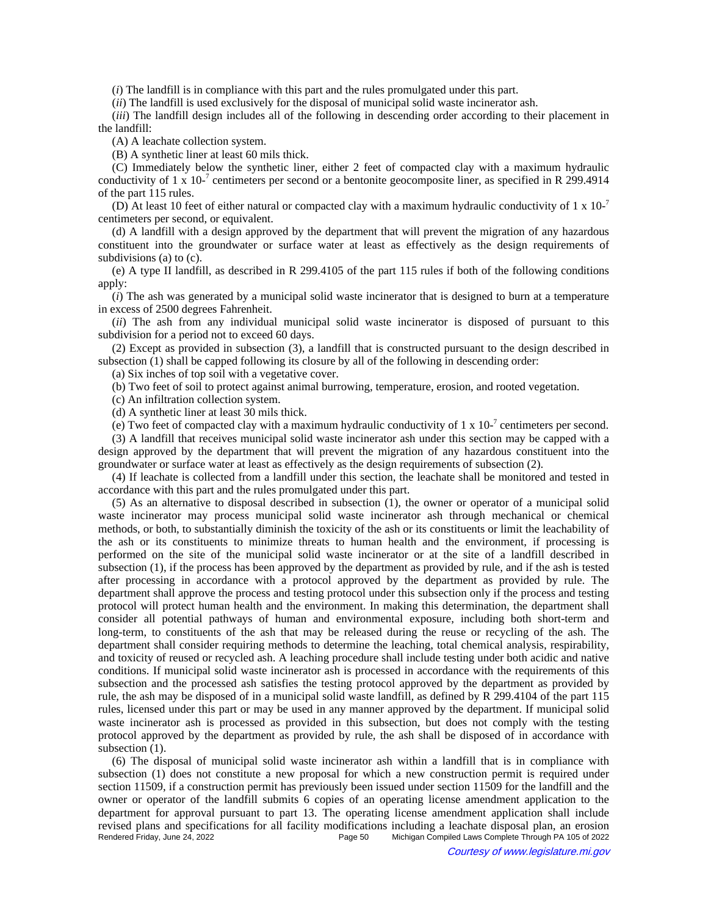(*i*) The landfill is in compliance with this part and the rules promulgated under this part.

(*ii*) The landfill is used exclusively for the disposal of municipal solid waste incinerator ash.

(*iii*) The landfill design includes all of the following in descending order according to their placement in the landfill:

(A) A leachate collection system.

(B) A synthetic liner at least 60 mils thick.

(C) Immediately below the synthetic liner, either 2 feet of compacted clay with a maximum hydraulic conductivity of 1 x 10<sup>-7</sup> centimeters per second or a bentonite geocomposite liner, as specified in R 299.4914 of the part 115 rules.

(D) At least 10 feet of either natural or compacted clay with a maximum hydraulic conductivity of 1 x  $10^{-7}$ centimeters per second, or equivalent.

(d) A landfill with a design approved by the department that will prevent the migration of any hazardous constituent into the groundwater or surface water at least as effectively as the design requirements of subdivisions (a) to (c).

(e) A type II landfill, as described in R 299.4105 of the part 115 rules if both of the following conditions apply:

(*i*) The ash was generated by a municipal solid waste incinerator that is designed to burn at a temperature in excess of 2500 degrees Fahrenheit.

(*ii*) The ash from any individual municipal solid waste incinerator is disposed of pursuant to this subdivision for a period not to exceed 60 days.

(2) Except as provided in subsection (3), a landfill that is constructed pursuant to the design described in subsection (1) shall be capped following its closure by all of the following in descending order:

(a) Six inches of top soil with a vegetative cover.

(b) Two feet of soil to protect against animal burrowing, temperature, erosion, and rooted vegetation.

(c) An infiltration collection system.

(d) A synthetic liner at least 30 mils thick.

(e) Two feet of compacted clay with a maximum hydraulic conductivity of  $1 \times 10^{-7}$  centimeters per second.

(3) A landfill that receives municipal solid waste incinerator ash under this section may be capped with a design approved by the department that will prevent the migration of any hazardous constituent into the groundwater or surface water at least as effectively as the design requirements of subsection (2).

(4) If leachate is collected from a landfill under this section, the leachate shall be monitored and tested in accordance with this part and the rules promulgated under this part.

(5) As an alternative to disposal described in subsection (1), the owner or operator of a municipal solid waste incinerator may process municipal solid waste incinerator ash through mechanical or chemical methods, or both, to substantially diminish the toxicity of the ash or its constituents or limit the leachability of the ash or its constituents to minimize threats to human health and the environment, if processing is performed on the site of the municipal solid waste incinerator or at the site of a landfill described in subsection (1), if the process has been approved by the department as provided by rule, and if the ash is tested after processing in accordance with a protocol approved by the department as provided by rule. The department shall approve the process and testing protocol under this subsection only if the process and testing protocol will protect human health and the environment. In making this determination, the department shall consider all potential pathways of human and environmental exposure, including both short-term and long-term, to constituents of the ash that may be released during the reuse or recycling of the ash. The department shall consider requiring methods to determine the leaching, total chemical analysis, respirability, and toxicity of reused or recycled ash. A leaching procedure shall include testing under both acidic and native conditions. If municipal solid waste incinerator ash is processed in accordance with the requirements of this subsection and the processed ash satisfies the testing protocol approved by the department as provided by rule, the ash may be disposed of in a municipal solid waste landfill, as defined by R 299.4104 of the part 115 rules, licensed under this part or may be used in any manner approved by the department. If municipal solid waste incinerator ash is processed as provided in this subsection, but does not comply with the testing protocol approved by the department as provided by rule, the ash shall be disposed of in accordance with subsection  $(1)$ .

(6) The disposal of municipal solid waste incinerator ash within a landfill that is in compliance with subsection (1) does not constitute a new proposal for which a new construction permit is required under section 11509, if a construction permit has previously been issued under section 11509 for the landfill and the owner or operator of the landfill submits 6 copies of an operating license amendment application to the department for approval pursuant to part 13. The operating license amendment application shall include revised plans and specifications for all facility modifications including a leachate disposal plan, an erosion<br>Rendered Friday, June 24, 2022<br>Page 50 Michigan Compiled Laws Complete Through PA 105 of 2022 Michigan Compiled Laws Complete Through PA 105 of 2022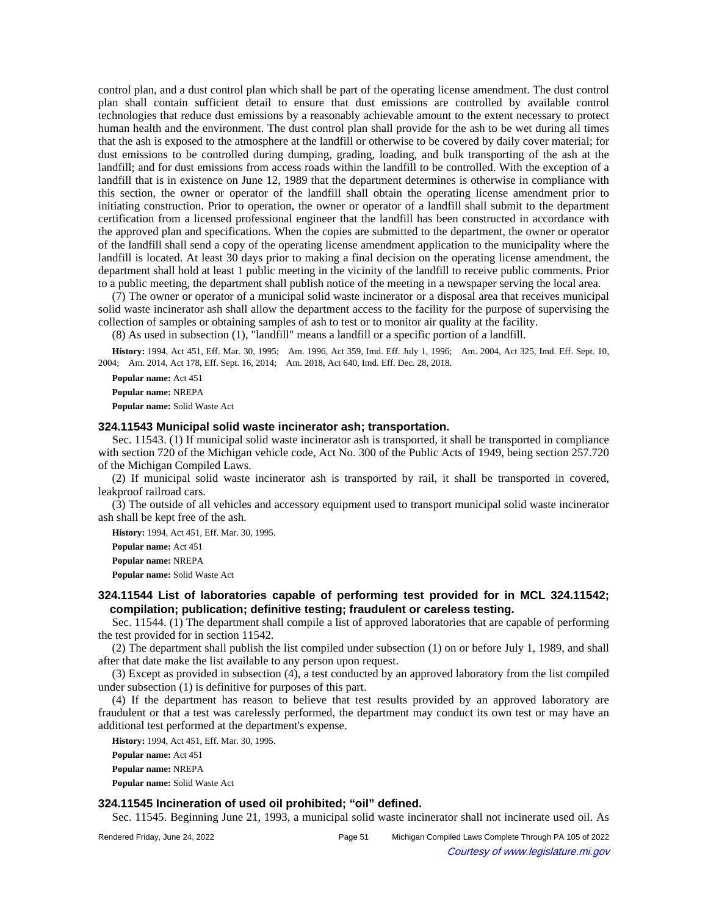control plan, and a dust control plan which shall be part of the operating license amendment. The dust control plan shall contain sufficient detail to ensure that dust emissions are controlled by available control technologies that reduce dust emissions by a reasonably achievable amount to the extent necessary to protect human health and the environment. The dust control plan shall provide for the ash to be wet during all times that the ash is exposed to the atmosphere at the landfill or otherwise to be covered by daily cover material; for dust emissions to be controlled during dumping, grading, loading, and bulk transporting of the ash at the landfill; and for dust emissions from access roads within the landfill to be controlled. With the exception of a landfill that is in existence on June 12, 1989 that the department determines is otherwise in compliance with this section, the owner or operator of the landfill shall obtain the operating license amendment prior to initiating construction. Prior to operation, the owner or operator of a landfill shall submit to the department certification from a licensed professional engineer that the landfill has been constructed in accordance with the approved plan and specifications. When the copies are submitted to the department, the owner or operator of the landfill shall send a copy of the operating license amendment application to the municipality where the landfill is located. At least 30 days prior to making a final decision on the operating license amendment, the department shall hold at least 1 public meeting in the vicinity of the landfill to receive public comments. Prior to a public meeting, the department shall publish notice of the meeting in a newspaper serving the local area.

(7) The owner or operator of a municipal solid waste incinerator or a disposal area that receives municipal solid waste incinerator ash shall allow the department access to the facility for the purpose of supervising the collection of samples or obtaining samples of ash to test or to monitor air quality at the facility.

(8) As used in subsection (1), "landfill" means a landfill or a specific portion of a landfill.

History: 1994, Act 451, Eff. Mar. 30, 1995;--Am. 1996, Act 359, Imd. Eff. July 1, 1996;--Am. 2004, Act 325, Imd. Eff. Sept. 10, 2004; Am. 2014, Act 178, Eff. Sept. 16, 2014; Am. 2018, Act 640, Imd. Eff. Dec. 28, 2018.

**Popular name:** Act 451

**Popular name:** NREPA

**Popular name:** Solid Waste Act

#### **324.11543 Municipal solid waste incinerator ash; transportation.**

Sec. 11543. (1) If municipal solid waste incinerator ash is transported, it shall be transported in compliance with section 720 of the Michigan vehicle code, Act No. 300 of the Public Acts of 1949, being section 257.720 of the Michigan Compiled Laws.

(2) If municipal solid waste incinerator ash is transported by rail, it shall be transported in covered, leakproof railroad cars.

(3) The outside of all vehicles and accessory equipment used to transport municipal solid waste incinerator ash shall be kept free of the ash.

**History:** 1994, Act 451, Eff. Mar. 30, 1995.

**Popular name:** Act 451

**Popular name:** NREPA

**Popular name:** Solid Waste Act

## **324.11544 List of laboratories capable of performing test provided for in MCL 324.11542; compilation; publication; definitive testing; fraudulent or careless testing.**

Sec. 11544. (1) The department shall compile a list of approved laboratories that are capable of performing the test provided for in section 11542.

(2) The department shall publish the list compiled under subsection (1) on or before July 1, 1989, and shall after that date make the list available to any person upon request.

(3) Except as provided in subsection (4), a test conducted by an approved laboratory from the list compiled under subsection (1) is definitive for purposes of this part.

(4) If the department has reason to believe that test results provided by an approved laboratory are fraudulent or that a test was carelessly performed, the department may conduct its own test or may have an additional test performed at the department's expense.

**History:** 1994, Act 451, Eff. Mar. 30, 1995.

**Popular name:** Act 451

**Popular name:** NREPA

**Popular name:** Solid Waste Act

# **324.11545 Incineration of used oil prohibited; "oil" defined.**

Sec. 11545. Beginning June 21, 1993, a municipal solid waste incinerator shall not incinerate used oil. As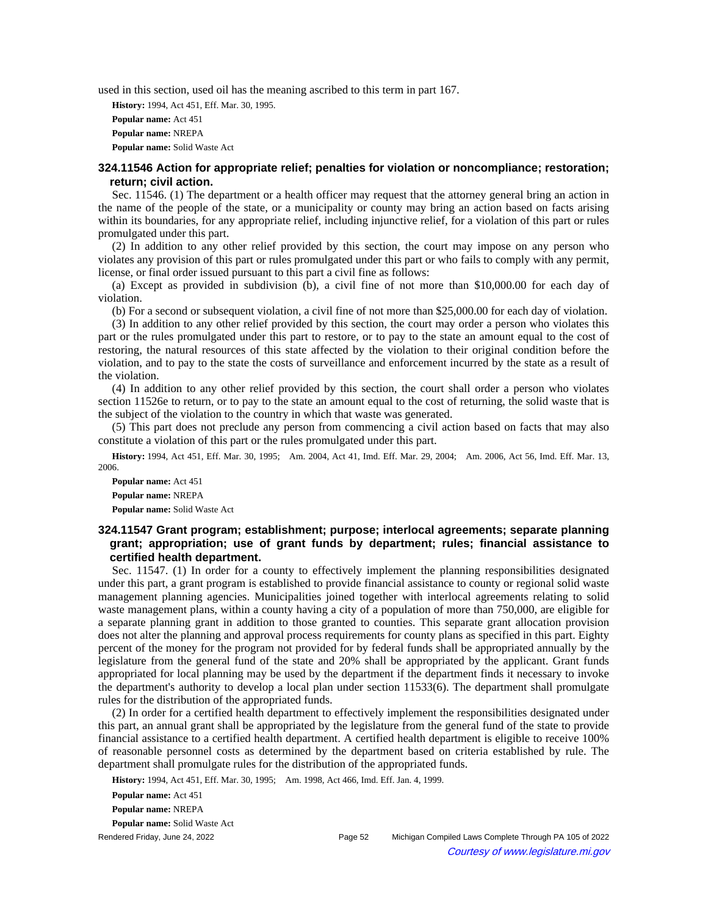used in this section, used oil has the meaning ascribed to this term in part 167.

**History:** 1994, Act 451, Eff. Mar. 30, 1995. **Popular name:** Act 451 **Popular name:** NREPA **Popular name:** Solid Waste Act

## **324.11546 Action for appropriate relief; penalties for violation or noncompliance; restoration; return; civil action.**

Sec. 11546. (1) The department or a health officer may request that the attorney general bring an action in the name of the people of the state, or a municipality or county may bring an action based on facts arising within its boundaries, for any appropriate relief, including injunctive relief, for a violation of this part or rules promulgated under this part.

(2) In addition to any other relief provided by this section, the court may impose on any person who violates any provision of this part or rules promulgated under this part or who fails to comply with any permit, license, or final order issued pursuant to this part a civil fine as follows:

(a) Except as provided in subdivision (b), a civil fine of not more than \$10,000.00 for each day of violation.

(b) For a second or subsequent violation, a civil fine of not more than \$25,000.00 for each day of violation.

(3) In addition to any other relief provided by this section, the court may order a person who violates this part or the rules promulgated under this part to restore, or to pay to the state an amount equal to the cost of restoring, the natural resources of this state affected by the violation to their original condition before the violation, and to pay to the state the costs of surveillance and enforcement incurred by the state as a result of the violation.

(4) In addition to any other relief provided by this section, the court shall order a person who violates section 11526e to return, or to pay to the state an amount equal to the cost of returning, the solid waste that is the subject of the violation to the country in which that waste was generated.

(5) This part does not preclude any person from commencing a civil action based on facts that may also constitute a violation of this part or the rules promulgated under this part.

History: 1994, Act 451, Eff. Mar. 30, 1995;-Am. 2004, Act 41, Imd. Eff. Mar. 29, 2004;--Am. 2006, Act 56, Imd. Eff. Mar. 13, 2006.

**Popular name:** Act 451 **Popular name:** NREPA **Popular name:** Solid Waste Act

# **324.11547 Grant program; establishment; purpose; interlocal agreements; separate planning grant; appropriation; use of grant funds by department; rules; financial assistance to certified health department.**

Sec. 11547. (1) In order for a county to effectively implement the planning responsibilities designated under this part, a grant program is established to provide financial assistance to county or regional solid waste management planning agencies. Municipalities joined together with interlocal agreements relating to solid waste management plans, within a county having a city of a population of more than 750,000, are eligible for a separate planning grant in addition to those granted to counties. This separate grant allocation provision does not alter the planning and approval process requirements for county plans as specified in this part. Eighty percent of the money for the program not provided for by federal funds shall be appropriated annually by the legislature from the general fund of the state and 20% shall be appropriated by the applicant. Grant funds appropriated for local planning may be used by the department if the department finds it necessary to invoke the department's authority to develop a local plan under section 11533(6). The department shall promulgate rules for the distribution of the appropriated funds.

(2) In order for a certified health department to effectively implement the responsibilities designated under this part, an annual grant shall be appropriated by the legislature from the general fund of the state to provide financial assistance to a certified health department. A certified health department is eligible to receive 100% of reasonable personnel costs as determined by the department based on criteria established by rule. The department shall promulgate rules for the distribution of the appropriated funds.

History: 1994, Act 451, Eff. Mar. 30, 1995;-- Am. 1998, Act 466, Imd. Eff. Jan. 4, 1999.

**Popular name:** Act 451

**Popular name:** NREPA

**Popular name:** Solid Waste Act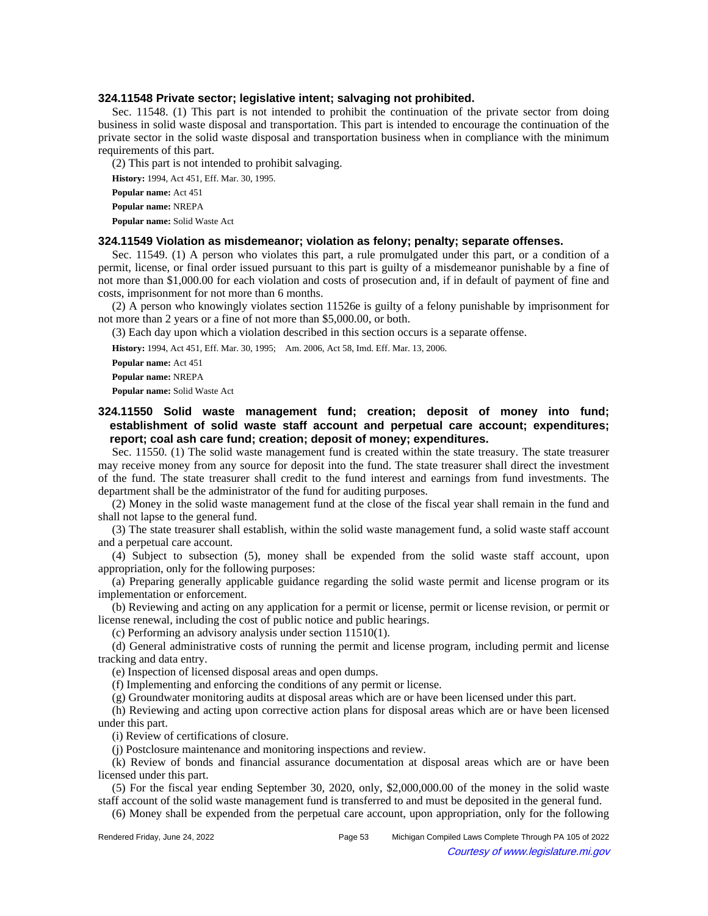#### **324.11548 Private sector; legislative intent; salvaging not prohibited.**

Sec. 11548. (1) This part is not intended to prohibit the continuation of the private sector from doing business in solid waste disposal and transportation. This part is intended to encourage the continuation of the private sector in the solid waste disposal and transportation business when in compliance with the minimum requirements of this part.

(2) This part is not intended to prohibit salvaging.

**History:** 1994, Act 451, Eff. Mar. 30, 1995.

**Popular name:** Act 451

**Popular name:** NREPA

**Popular name:** Solid Waste Act

#### **324.11549 Violation as misdemeanor; violation as felony; penalty; separate offenses.**

Sec. 11549. (1) A person who violates this part, a rule promulgated under this part, or a condition of a permit, license, or final order issued pursuant to this part is guilty of a misdemeanor punishable by a fine of not more than \$1,000.00 for each violation and costs of prosecution and, if in default of payment of fine and costs, imprisonment for not more than 6 months.

(2) A person who knowingly violates section 11526e is guilty of a felony punishable by imprisonment for not more than 2 years or a fine of not more than \$5,000.00, or both.

(3) Each day upon which a violation described in this section occurs is a separate offense.

History: 1994, Act 451, Eff. Mar. 30, 1995;-- Am. 2006, Act 58, Imd. Eff. Mar. 13, 2006.

**Popular name:** Act 451

**Popular name:** NREPA

**Popular name:** Solid Waste Act

# **324.11550 Solid waste management fund; creation; deposit of money into fund; establishment of solid waste staff account and perpetual care account; expenditures; report; coal ash care fund; creation; deposit of money; expenditures.**

Sec. 11550. (1) The solid waste management fund is created within the state treasury. The state treasurer may receive money from any source for deposit into the fund. The state treasurer shall direct the investment of the fund. The state treasurer shall credit to the fund interest and earnings from fund investments. The department shall be the administrator of the fund for auditing purposes.

(2) Money in the solid waste management fund at the close of the fiscal year shall remain in the fund and shall not lapse to the general fund.

(3) The state treasurer shall establish, within the solid waste management fund, a solid waste staff account and a perpetual care account.

(4) Subject to subsection (5), money shall be expended from the solid waste staff account, upon appropriation, only for the following purposes:

(a) Preparing generally applicable guidance regarding the solid waste permit and license program or its implementation or enforcement.

(b) Reviewing and acting on any application for a permit or license, permit or license revision, or permit or license renewal, including the cost of public notice and public hearings.

(c) Performing an advisory analysis under section 11510(1).

(d) General administrative costs of running the permit and license program, including permit and license tracking and data entry.

(e) Inspection of licensed disposal areas and open dumps.

(f) Implementing and enforcing the conditions of any permit or license.

(g) Groundwater monitoring audits at disposal areas which are or have been licensed under this part.

(h) Reviewing and acting upon corrective action plans for disposal areas which are or have been licensed under this part.

(i) Review of certifications of closure.

(j) Postclosure maintenance and monitoring inspections and review.

(k) Review of bonds and financial assurance documentation at disposal areas which are or have been licensed under this part.

(5) For the fiscal year ending September 30, 2020, only, \$2,000,000.00 of the money in the solid waste staff account of the solid waste management fund is transferred to and must be deposited in the general fund.

(6) Money shall be expended from the perpetual care account, upon appropriation, only for the following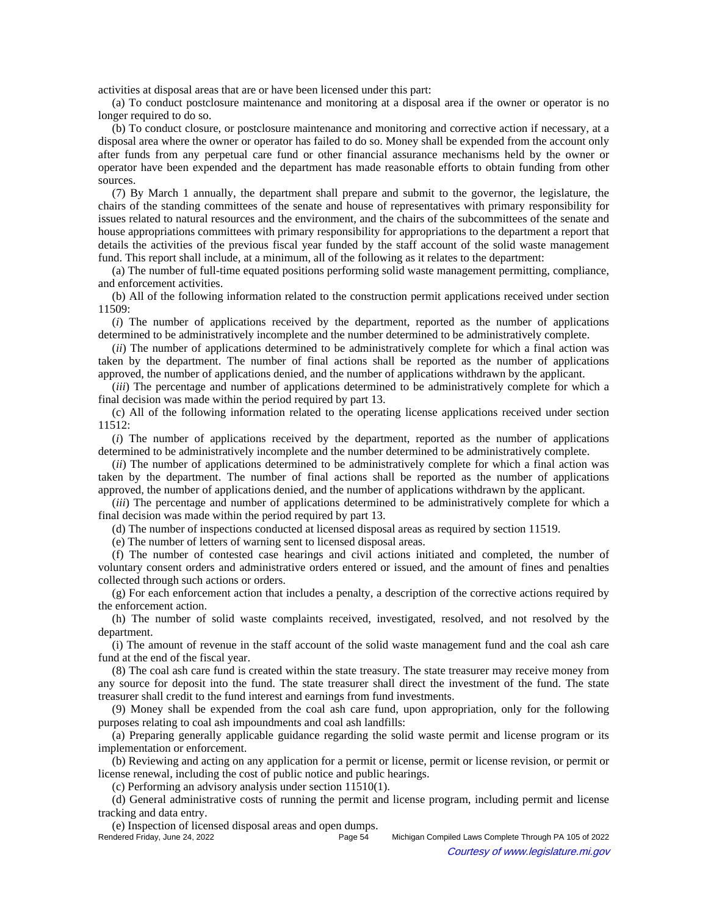activities at disposal areas that are or have been licensed under this part:

(a) To conduct postclosure maintenance and monitoring at a disposal area if the owner or operator is no longer required to do so.

(b) To conduct closure, or postclosure maintenance and monitoring and corrective action if necessary, at a disposal area where the owner or operator has failed to do so. Money shall be expended from the account only after funds from any perpetual care fund or other financial assurance mechanisms held by the owner or operator have been expended and the department has made reasonable efforts to obtain funding from other sources.

(7) By March 1 annually, the department shall prepare and submit to the governor, the legislature, the chairs of the standing committees of the senate and house of representatives with primary responsibility for issues related to natural resources and the environment, and the chairs of the subcommittees of the senate and house appropriations committees with primary responsibility for appropriations to the department a report that details the activities of the previous fiscal year funded by the staff account of the solid waste management fund. This report shall include, at a minimum, all of the following as it relates to the department:

(a) The number of full-time equated positions performing solid waste management permitting, compliance, and enforcement activities.

(b) All of the following information related to the construction permit applications received under section 11509:

(*i*) The number of applications received by the department, reported as the number of applications determined to be administratively incomplete and the number determined to be administratively complete.

(*ii*) The number of applications determined to be administratively complete for which a final action was taken by the department. The number of final actions shall be reported as the number of applications approved, the number of applications denied, and the number of applications withdrawn by the applicant.

(*iii*) The percentage and number of applications determined to be administratively complete for which a final decision was made within the period required by part 13.

(c) All of the following information related to the operating license applications received under section 11512:

(*i*) The number of applications received by the department, reported as the number of applications determined to be administratively incomplete and the number determined to be administratively complete.

(*ii*) The number of applications determined to be administratively complete for which a final action was taken by the department. The number of final actions shall be reported as the number of applications approved, the number of applications denied, and the number of applications withdrawn by the applicant.

(*iii*) The percentage and number of applications determined to be administratively complete for which a final decision was made within the period required by part 13.

(d) The number of inspections conducted at licensed disposal areas as required by section 11519.

(e) The number of letters of warning sent to licensed disposal areas.

(f) The number of contested case hearings and civil actions initiated and completed, the number of voluntary consent orders and administrative orders entered or issued, and the amount of fines and penalties collected through such actions or orders.

(g) For each enforcement action that includes a penalty, a description of the corrective actions required by the enforcement action.

(h) The number of solid waste complaints received, investigated, resolved, and not resolved by the department.

(i) The amount of revenue in the staff account of the solid waste management fund and the coal ash care fund at the end of the fiscal year.

(8) The coal ash care fund is created within the state treasury. The state treasurer may receive money from any source for deposit into the fund. The state treasurer shall direct the investment of the fund. The state treasurer shall credit to the fund interest and earnings from fund investments.

(9) Money shall be expended from the coal ash care fund, upon appropriation, only for the following purposes relating to coal ash impoundments and coal ash landfills:

(a) Preparing generally applicable guidance regarding the solid waste permit and license program or its implementation or enforcement.

(b) Reviewing and acting on any application for a permit or license, permit or license revision, or permit or license renewal, including the cost of public notice and public hearings.

(c) Performing an advisory analysis under section 11510(1).

(d) General administrative costs of running the permit and license program, including permit and license tracking and data entry.

(e) Inspection of licensed disposal areas and open dumps. Michigan Compiled Laws Complete Through PA 105 of 2022 Courtesy of www.legislature.mi.gov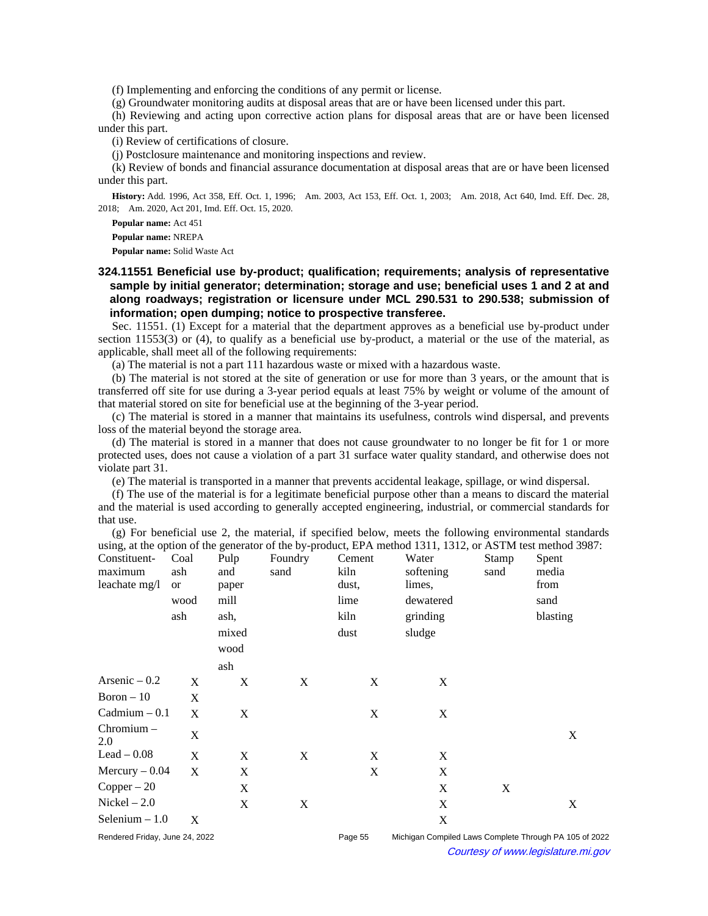(f) Implementing and enforcing the conditions of any permit or license.

(g) Groundwater monitoring audits at disposal areas that are or have been licensed under this part.

(h) Reviewing and acting upon corrective action plans for disposal areas that are or have been licensed under this part.

(i) Review of certifications of closure.

(j) Postclosure maintenance and monitoring inspections and review.

(k) Review of bonds and financial assurance documentation at disposal areas that are or have been licensed under this part.

History: Add. 1996, Act 358, Eff. Oct. 1, 1996;—Am. 2003, Act 153, Eff. Oct. 1, 2003;—Am. 2018, Act 640, Imd. Eff. Dec. 28, 2018; Am. 2020, Act 201, Imd. Eff. Oct. 15, 2020.

**Popular name:** Act 451

**Popular name:** NREPA

**Popular name:** Solid Waste Act

# **324.11551 Beneficial use by-product; qualification; requirements; analysis of representative sample by initial generator; determination; storage and use; beneficial uses 1 and 2 at and along roadways; registration or licensure under MCL 290.531 to 290.538; submission of information; open dumping; notice to prospective transferee.**

Sec. 11551. (1) Except for a material that the department approves as a beneficial use by-product under section 11553(3) or (4), to qualify as a beneficial use by-product, a material or the use of the material, as applicable, shall meet all of the following requirements:

(a) The material is not a part 111 hazardous waste or mixed with a hazardous waste.

(b) The material is not stored at the site of generation or use for more than 3 years, or the amount that is transferred off site for use during a 3-year period equals at least 75% by weight or volume of the amount of that material stored on site for beneficial use at the beginning of the 3-year period.

(c) The material is stored in a manner that maintains its usefulness, controls wind dispersal, and prevents loss of the material beyond the storage area.

(d) The material is stored in a manner that does not cause groundwater to no longer be fit for 1 or more protected uses, does not cause a violation of a part 31 surface water quality standard, and otherwise does not violate part 31.

(e) The material is transported in a manner that prevents accidental leakage, spillage, or wind dispersal.

(f) The use of the material is for a legitimate beneficial purpose other than a means to discard the material and the material is used according to generally accepted engineering, industrial, or commercial standards for that use.

(g) For beneficial use 2, the material, if specified below, meets the following environmental standards using, at the option of the generator of the by-product, EPA method 1311, 1312, or ASTM test method 3987:

| Constituent-<br>maximum<br>leachate mg/l | Coal<br>ash<br><b>or</b> | Pulp<br>and<br>paper | Foundry<br>sand | Cement<br>kiln<br>dust, | Water<br>softening<br>limes, | Stamp<br>sand | Spent<br>media<br>from                                 |
|------------------------------------------|--------------------------|----------------------|-----------------|-------------------------|------------------------------|---------------|--------------------------------------------------------|
|                                          | wood                     | mill                 |                 | lime                    | dewatered                    |               | sand                                                   |
|                                          | ash                      | ash,                 |                 | kiln                    | grinding                     |               | blasting                                               |
|                                          |                          | mixed<br>wood        |                 | dust                    | sludge                       |               |                                                        |
|                                          |                          | ash                  |                 |                         |                              |               |                                                        |
| Arsenic $-0.2$                           | X                        | X                    | X               | X                       | X                            |               |                                                        |
| $Boron - 10$                             | X                        |                      |                 |                         |                              |               |                                                        |
| $Cadmium - 0.1$                          | X                        | X                    |                 | X                       | X                            |               |                                                        |
| Chromium-<br>2.0                         | X                        |                      |                 |                         |                              |               | X                                                      |
| $Leaf - 0.08$                            | X                        | X                    | X               | X                       | X                            |               |                                                        |
| $Mercury - 0.04$                         | X                        | X                    |                 | X                       | X                            |               |                                                        |
| $Copper - 20$                            |                          | X                    |                 |                         | X                            | X             |                                                        |
| $Nickel - 2.0$                           |                          | X                    | X               |                         | X                            |               | X                                                      |
| Selenium $-1.0$                          | X                        |                      |                 |                         | X                            |               |                                                        |
| Rendered Friday, June 24, 2022           |                          |                      |                 | Page 55                 |                              |               | Michigan Compiled Laws Complete Through PA 105 of 2022 |

Courtesy of www.legislature.mi.gov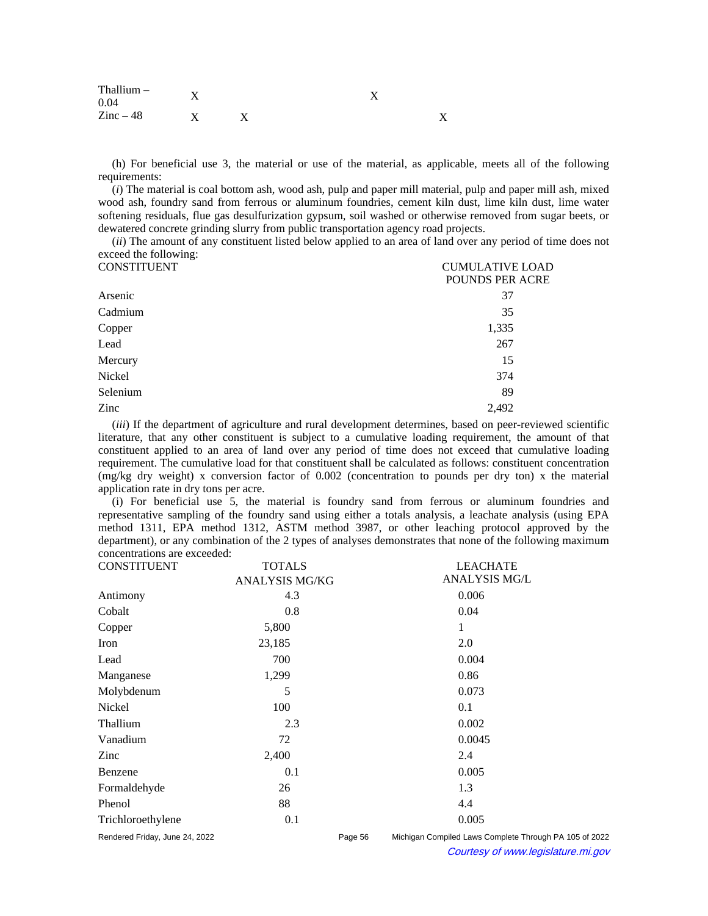| Thallium $-$<br>0.04 |  |  |
|----------------------|--|--|
| $\text{Zinc}-48$     |  |  |

(h) For beneficial use 3, the material or use of the material, as applicable, meets all of the following requirements:

(*i*) The material is coal bottom ash, wood ash, pulp and paper mill material, pulp and paper mill ash, mixed wood ash, foundry sand from ferrous or aluminum foundries, cement kiln dust, lime kiln dust, lime water softening residuals, flue gas desulfurization gypsum, soil washed or otherwise removed from sugar beets, or dewatered concrete grinding slurry from public transportation agency road projects.

(*ii*) The amount of any constituent listed below applied to an area of land over any period of time does not exceed the following:

| <b>CONSTITUENT</b> | <b>CUMULATIVE LOAD</b> |  |  |
|--------------------|------------------------|--|--|
|                    | POUNDS PER ACRE        |  |  |
| Arsenic            | 37                     |  |  |
| Cadmium            | 35                     |  |  |
| Copper             | 1,335                  |  |  |
| Lead               | 267                    |  |  |
| Mercury            | 15                     |  |  |
| Nickel             | 374                    |  |  |
| Selenium           | 89                     |  |  |
| Zinc               | 2,492                  |  |  |
|                    |                        |  |  |

(*iii*) If the department of agriculture and rural development determines, based on peer-reviewed scientific literature, that any other constituent is subject to a cumulative loading requirement, the amount of that constituent applied to an area of land over any period of time does not exceed that cumulative loading requirement. The cumulative load for that constituent shall be calculated as follows: constituent concentration (mg/kg dry weight) x conversion factor of 0.002 (concentration to pounds per dry ton) x the material application rate in dry tons per acre.

(i) For beneficial use 5, the material is foundry sand from ferrous or aluminum foundries and representative sampling of the foundry sand using either a totals analysis, a leachate analysis (using EPA method 1311, EPA method 1312, ASTM method 3987, or other leaching protocol approved by the department), or any combination of the 2 types of analyses demonstrates that none of the following maximum concentrations are exceeded:

| <b>CONSTITUENT</b>             | <b>TOTALS</b>         |         | <b>LEACHATE</b>                                        |  |
|--------------------------------|-----------------------|---------|--------------------------------------------------------|--|
|                                | <b>ANALYSIS MG/KG</b> |         | <b>ANALYSIS MG/L</b>                                   |  |
| Antimony                       | 4.3                   |         | 0.006                                                  |  |
| Cobalt                         | 0.8                   |         | 0.04                                                   |  |
| Copper                         | 5,800                 |         | 1                                                      |  |
| Iron                           | 23,185                |         | 2.0                                                    |  |
| Lead                           | 700                   |         | 0.004                                                  |  |
| Manganese                      | 1,299                 |         | 0.86                                                   |  |
| Molybdenum                     | 5                     |         | 0.073                                                  |  |
| Nickel                         | 100                   |         | 0.1                                                    |  |
| Thallium                       | 2.3                   |         | 0.002                                                  |  |
| Vanadium                       | 72                    |         | 0.0045                                                 |  |
| Zinc                           | 2,400                 |         | 2.4                                                    |  |
| Benzene                        | 0.1                   |         | 0.005                                                  |  |
| Formaldehyde                   | 26                    |         | 1.3                                                    |  |
| Phenol                         | 88                    |         | 4.4                                                    |  |
| Trichloroethylene              | 0.1                   |         | 0.005                                                  |  |
| Rendered Friday, June 24, 2022 |                       | Page 56 | Michigan Compiled Laws Complete Through PA 105 of 2022 |  |
| $^{\circ}$                     |                       |         | Courtesy of www.legislature.mi.gov                     |  |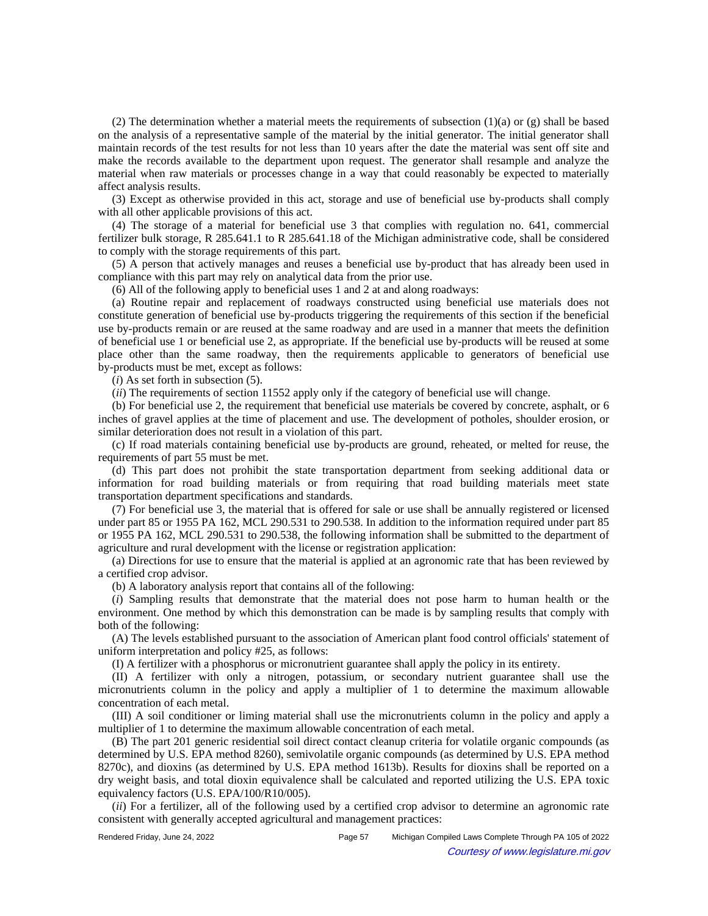(2) The determination whether a material meets the requirements of subsection (1)(a) or (g) shall be based on the analysis of a representative sample of the material by the initial generator. The initial generator shall maintain records of the test results for not less than 10 years after the date the material was sent off site and make the records available to the department upon request. The generator shall resample and analyze the material when raw materials or processes change in a way that could reasonably be expected to materially affect analysis results.

(3) Except as otherwise provided in this act, storage and use of beneficial use by-products shall comply with all other applicable provisions of this act.

(4) The storage of a material for beneficial use 3 that complies with regulation no. 641, commercial fertilizer bulk storage, R 285.641.1 to R 285.641.18 of the Michigan administrative code, shall be considered to comply with the storage requirements of this part.

(5) A person that actively manages and reuses a beneficial use by-product that has already been used in compliance with this part may rely on analytical data from the prior use.

(6) All of the following apply to beneficial uses 1 and 2 at and along roadways:

(a) Routine repair and replacement of roadways constructed using beneficial use materials does not constitute generation of beneficial use by-products triggering the requirements of this section if the beneficial use by-products remain or are reused at the same roadway and are used in a manner that meets the definition of beneficial use 1 or beneficial use 2, as appropriate. If the beneficial use by-products will be reused at some place other than the same roadway, then the requirements applicable to generators of beneficial use by-products must be met, except as follows:

(*i*) As set forth in subsection (5).

(*ii*) The requirements of section 11552 apply only if the category of beneficial use will change.

(b) For beneficial use 2, the requirement that beneficial use materials be covered by concrete, asphalt, or 6 inches of gravel applies at the time of placement and use. The development of potholes, shoulder erosion, or similar deterioration does not result in a violation of this part.

(c) If road materials containing beneficial use by-products are ground, reheated, or melted for reuse, the requirements of part 55 must be met.

(d) This part does not prohibit the state transportation department from seeking additional data or information for road building materials or from requiring that road building materials meet state transportation department specifications and standards.

(7) For beneficial use 3, the material that is offered for sale or use shall be annually registered or licensed under part 85 or 1955 PA 162, MCL 290.531 to 290.538. In addition to the information required under part 85 or 1955 PA 162, MCL 290.531 to 290.538, the following information shall be submitted to the department of agriculture and rural development with the license or registration application:

(a) Directions for use to ensure that the material is applied at an agronomic rate that has been reviewed by a certified crop advisor.

(b) A laboratory analysis report that contains all of the following:

(*i*) Sampling results that demonstrate that the material does not pose harm to human health or the environment. One method by which this demonstration can be made is by sampling results that comply with both of the following:

(A) The levels established pursuant to the association of American plant food control officials' statement of uniform interpretation and policy #25, as follows:

(I) A fertilizer with a phosphorus or micronutrient guarantee shall apply the policy in its entirety.

(II) A fertilizer with only a nitrogen, potassium, or secondary nutrient guarantee shall use the micronutrients column in the policy and apply a multiplier of 1 to determine the maximum allowable concentration of each metal.

(III) A soil conditioner or liming material shall use the micronutrients column in the policy and apply a multiplier of 1 to determine the maximum allowable concentration of each metal.

(B) The part 201 generic residential soil direct contact cleanup criteria for volatile organic compounds (as determined by U.S. EPA method 8260), semivolatile organic compounds (as determined by U.S. EPA method 8270c), and dioxins (as determined by U.S. EPA method 1613b). Results for dioxins shall be reported on a dry weight basis, and total dioxin equivalence shall be calculated and reported utilizing the U.S. EPA toxic equivalency factors (U.S. EPA/100/R10/005).

(*ii*) For a fertilizer, all of the following used by a certified crop advisor to determine an agronomic rate consistent with generally accepted agricultural and management practices: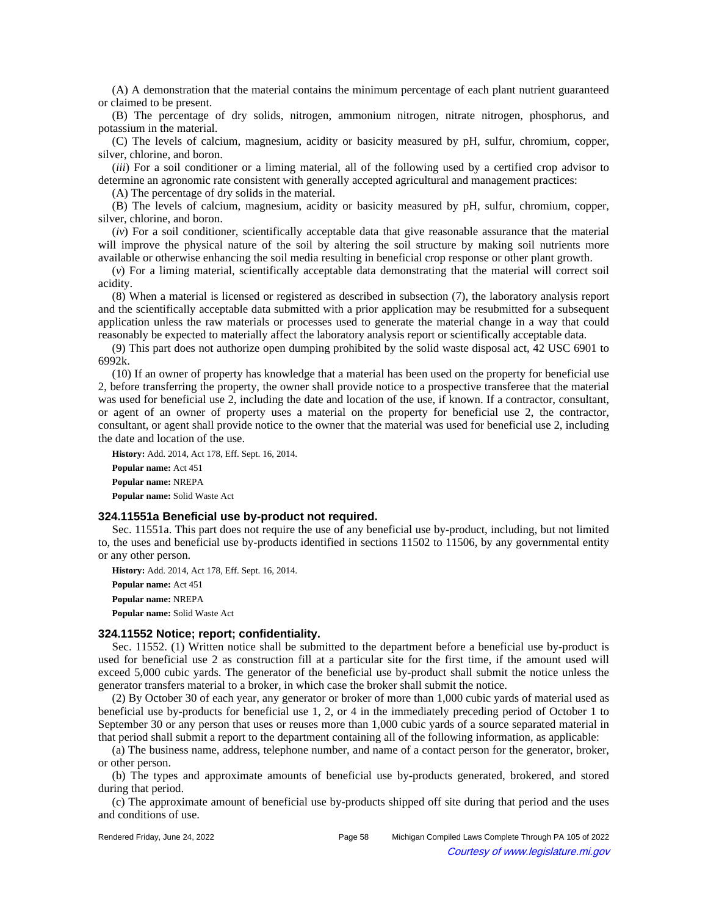(A) A demonstration that the material contains the minimum percentage of each plant nutrient guaranteed or claimed to be present.

(B) The percentage of dry solids, nitrogen, ammonium nitrogen, nitrate nitrogen, phosphorus, and potassium in the material.

(C) The levels of calcium, magnesium, acidity or basicity measured by pH, sulfur, chromium, copper, silver, chlorine, and boron.

(*iii*) For a soil conditioner or a liming material, all of the following used by a certified crop advisor to determine an agronomic rate consistent with generally accepted agricultural and management practices:

(A) The percentage of dry solids in the material.

(B) The levels of calcium, magnesium, acidity or basicity measured by pH, sulfur, chromium, copper, silver, chlorine, and boron.

(*iv*) For a soil conditioner, scientifically acceptable data that give reasonable assurance that the material will improve the physical nature of the soil by altering the soil structure by making soil nutrients more available or otherwise enhancing the soil media resulting in beneficial crop response or other plant growth.

(*v*) For a liming material, scientifically acceptable data demonstrating that the material will correct soil acidity.

(8) When a material is licensed or registered as described in subsection (7), the laboratory analysis report and the scientifically acceptable data submitted with a prior application may be resubmitted for a subsequent application unless the raw materials or processes used to generate the material change in a way that could reasonably be expected to materially affect the laboratory analysis report or scientifically acceptable data.

(9) This part does not authorize open dumping prohibited by the solid waste disposal act, 42 USC 6901 to 6992k.

(10) If an owner of property has knowledge that a material has been used on the property for beneficial use 2, before transferring the property, the owner shall provide notice to a prospective transferee that the material was used for beneficial use 2, including the date and location of the use, if known. If a contractor, consultant, or agent of an owner of property uses a material on the property for beneficial use 2, the contractor, consultant, or agent shall provide notice to the owner that the material was used for beneficial use 2, including the date and location of the use.

**History:** Add. 2014, Act 178, Eff. Sept. 16, 2014. **Popular name:** Act 451 **Popular name:** NREPA **Popular name:** Solid Waste Act

#### **324.11551a Beneficial use by-product not required.**

Sec. 11551a. This part does not require the use of any beneficial use by-product, including, but not limited to, the uses and beneficial use by-products identified in sections 11502 to 11506, by any governmental entity or any other person.

**History:** Add. 2014, Act 178, Eff. Sept. 16, 2014. **Popular name:** Act 451 **Popular name:** NREPA **Popular name:** Solid Waste Act

#### **324.11552 Notice; report; confidentiality.**

Sec. 11552. (1) Written notice shall be submitted to the department before a beneficial use by-product is used for beneficial use 2 as construction fill at a particular site for the first time, if the amount used will exceed 5,000 cubic yards. The generator of the beneficial use by-product shall submit the notice unless the generator transfers material to a broker, in which case the broker shall submit the notice.

(2) By October 30 of each year, any generator or broker of more than 1,000 cubic yards of material used as beneficial use by-products for beneficial use 1, 2, or 4 in the immediately preceding period of October 1 to September 30 or any person that uses or reuses more than 1,000 cubic yards of a source separated material in that period shall submit a report to the department containing all of the following information, as applicable:

(a) The business name, address, telephone number, and name of a contact person for the generator, broker, or other person.

(b) The types and approximate amounts of beneficial use by-products generated, brokered, and stored during that period.

(c) The approximate amount of beneficial use by-products shipped off site during that period and the uses and conditions of use.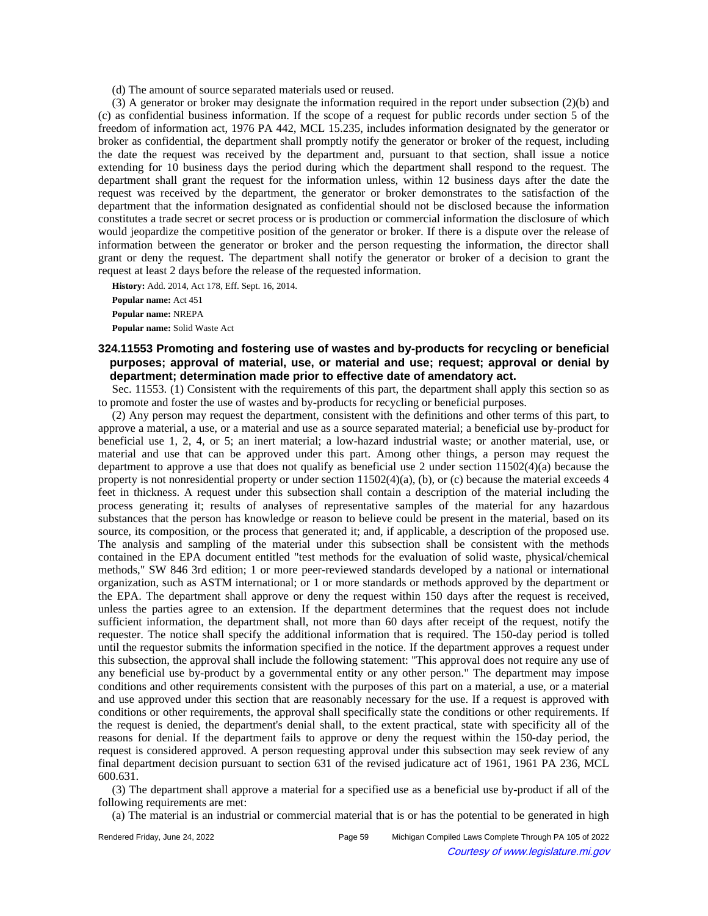(d) The amount of source separated materials used or reused.

(3) A generator or broker may designate the information required in the report under subsection (2)(b) and (c) as confidential business information. If the scope of a request for public records under section 5 of the freedom of information act, 1976 PA 442, MCL 15.235, includes information designated by the generator or broker as confidential, the department shall promptly notify the generator or broker of the request, including the date the request was received by the department and, pursuant to that section, shall issue a notice extending for 10 business days the period during which the department shall respond to the request. The department shall grant the request for the information unless, within 12 business days after the date the request was received by the department, the generator or broker demonstrates to the satisfaction of the department that the information designated as confidential should not be disclosed because the information constitutes a trade secret or secret process or is production or commercial information the disclosure of which would jeopardize the competitive position of the generator or broker. If there is a dispute over the release of information between the generator or broker and the person requesting the information, the director shall grant or deny the request. The department shall notify the generator or broker of a decision to grant the request at least 2 days before the release of the requested information.

**History:** Add. 2014, Act 178, Eff. Sept. 16, 2014. **Popular name:** Act 451 **Popular name:** NREPA **Popular name:** Solid Waste Act

**324.11553 Promoting and fostering use of wastes and by-products for recycling or beneficial purposes; approval of material, use, or material and use; request; approval or denial by department; determination made prior to effective date of amendatory act.**

Sec. 11553. (1) Consistent with the requirements of this part, the department shall apply this section so as to promote and foster the use of wastes and by-products for recycling or beneficial purposes.

(2) Any person may request the department, consistent with the definitions and other terms of this part, to approve a material, a use, or a material and use as a source separated material; a beneficial use by-product for beneficial use 1, 2, 4, or 5; an inert material; a low-hazard industrial waste; or another material, use, or material and use that can be approved under this part. Among other things, a person may request the department to approve a use that does not qualify as beneficial use 2 under section 11502(4)(a) because the property is not nonresidential property or under section  $11502(4)(a)$ , (b), or (c) because the material exceeds 4 feet in thickness. A request under this subsection shall contain a description of the material including the process generating it; results of analyses of representative samples of the material for any hazardous substances that the person has knowledge or reason to believe could be present in the material, based on its source, its composition, or the process that generated it; and, if applicable, a description of the proposed use. The analysis and sampling of the material under this subsection shall be consistent with the methods contained in the EPA document entitled "test methods for the evaluation of solid waste, physical/chemical methods," SW 846 3rd edition; 1 or more peer-reviewed standards developed by a national or international organization, such as ASTM international; or 1 or more standards or methods approved by the department or the EPA. The department shall approve or deny the request within 150 days after the request is received, unless the parties agree to an extension. If the department determines that the request does not include sufficient information, the department shall, not more than 60 days after receipt of the request, notify the requester. The notice shall specify the additional information that is required. The 150-day period is tolled until the requestor submits the information specified in the notice. If the department approves a request under this subsection, the approval shall include the following statement: "This approval does not require any use of any beneficial use by-product by a governmental entity or any other person." The department may impose conditions and other requirements consistent with the purposes of this part on a material, a use, or a material and use approved under this section that are reasonably necessary for the use. If a request is approved with conditions or other requirements, the approval shall specifically state the conditions or other requirements. If the request is denied, the department's denial shall, to the extent practical, state with specificity all of the reasons for denial. If the department fails to approve or deny the request within the 150-day period, the request is considered approved. A person requesting approval under this subsection may seek review of any final department decision pursuant to section 631 of the revised judicature act of 1961, 1961 PA 236, MCL 600.631.

(3) The department shall approve a material for a specified use as a beneficial use by-product if all of the following requirements are met:

(a) The material is an industrial or commercial material that is or has the potential to be generated in high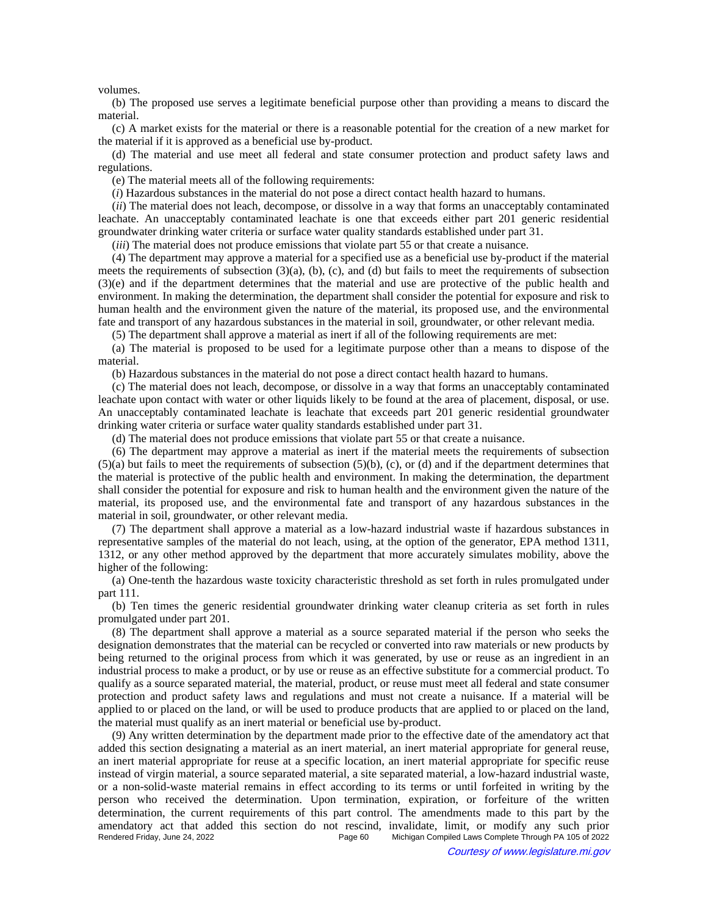volumes.

(b) The proposed use serves a legitimate beneficial purpose other than providing a means to discard the material.

(c) A market exists for the material or there is a reasonable potential for the creation of a new market for the material if it is approved as a beneficial use by-product.

(d) The material and use meet all federal and state consumer protection and product safety laws and regulations.

(e) The material meets all of the following requirements:

(*i*) Hazardous substances in the material do not pose a direct contact health hazard to humans.

(*ii*) The material does not leach, decompose, or dissolve in a way that forms an unacceptably contaminated leachate. An unacceptably contaminated leachate is one that exceeds either part 201 generic residential groundwater drinking water criteria or surface water quality standards established under part 31.

(*iii*) The material does not produce emissions that violate part 55 or that create a nuisance.

(4) The department may approve a material for a specified use as a beneficial use by-product if the material meets the requirements of subsection  $(3)(a)$ ,  $(b)$ ,  $(c)$ , and  $(d)$  but fails to meet the requirements of subsection (3)(e) and if the department determines that the material and use are protective of the public health and environment. In making the determination, the department shall consider the potential for exposure and risk to human health and the environment given the nature of the material, its proposed use, and the environmental fate and transport of any hazardous substances in the material in soil, groundwater, or other relevant media.

(5) The department shall approve a material as inert if all of the following requirements are met:

(a) The material is proposed to be used for a legitimate purpose other than a means to dispose of the material.

(b) Hazardous substances in the material do not pose a direct contact health hazard to humans.

(c) The material does not leach, decompose, or dissolve in a way that forms an unacceptably contaminated leachate upon contact with water or other liquids likely to be found at the area of placement, disposal, or use. An unacceptably contaminated leachate is leachate that exceeds part 201 generic residential groundwater drinking water criteria or surface water quality standards established under part 31.

(d) The material does not produce emissions that violate part 55 or that create a nuisance.

(6) The department may approve a material as inert if the material meets the requirements of subsection  $(5)(a)$  but fails to meet the requirements of subsection  $(5)(b)$ , (c), or (d) and if the department determines that the material is protective of the public health and environment. In making the determination, the department shall consider the potential for exposure and risk to human health and the environment given the nature of the material, its proposed use, and the environmental fate and transport of any hazardous substances in the material in soil, groundwater, or other relevant media.

(7) The department shall approve a material as a low-hazard industrial waste if hazardous substances in representative samples of the material do not leach, using, at the option of the generator, EPA method 1311, 1312, or any other method approved by the department that more accurately simulates mobility, above the higher of the following:

(a) One-tenth the hazardous waste toxicity characteristic threshold as set forth in rules promulgated under part 111.

(b) Ten times the generic residential groundwater drinking water cleanup criteria as set forth in rules promulgated under part 201.

(8) The department shall approve a material as a source separated material if the person who seeks the designation demonstrates that the material can be recycled or converted into raw materials or new products by being returned to the original process from which it was generated, by use or reuse as an ingredient in an industrial process to make a product, or by use or reuse as an effective substitute for a commercial product. To qualify as a source separated material, the material, product, or reuse must meet all federal and state consumer protection and product safety laws and regulations and must not create a nuisance. If a material will be applied to or placed on the land, or will be used to produce products that are applied to or placed on the land, the material must qualify as an inert material or beneficial use by-product.

(9) Any written determination by the department made prior to the effective date of the amendatory act that added this section designating a material as an inert material, an inert material appropriate for general reuse, an inert material appropriate for reuse at a specific location, an inert material appropriate for specific reuse instead of virgin material, a source separated material, a site separated material, a low-hazard industrial waste, or a non-solid-waste material remains in effect according to its terms or until forfeited in writing by the person who received the determination. Upon termination, expiration, or forfeiture of the written determination, the current requirements of this part control. The amendments made to this part by the amendatory act that added this section do not rescind, invalidate, limit, or modify any such prior Michigan Compiled Laws Complete Through PA 105 of 2022